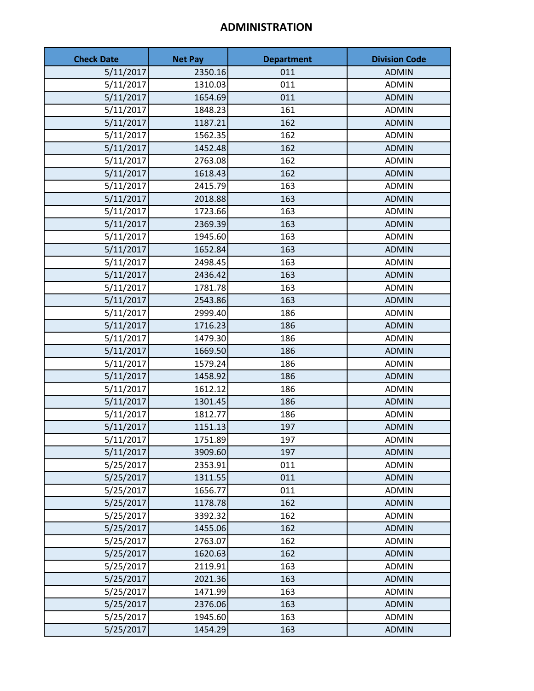# **ADMINISTRATION**

| <b>Check Date</b> | <b>Net Pay</b> | <b>Department</b> | <b>Division Code</b> |
|-------------------|----------------|-------------------|----------------------|
| 5/11/2017         | 2350.16        | 011               | <b>ADMIN</b>         |
| 5/11/2017         | 1310.03        | 011               | <b>ADMIN</b>         |
| 5/11/2017         | 1654.69        | 011               | <b>ADMIN</b>         |
| 5/11/2017         | 1848.23        | 161               | <b>ADMIN</b>         |
| 5/11/2017         | 1187.21        | 162               | <b>ADMIN</b>         |
| 5/11/2017         | 1562.35        | 162               | <b>ADMIN</b>         |
| 5/11/2017         | 1452.48        | 162               | <b>ADMIN</b>         |
| 5/11/2017         | 2763.08        | 162               | <b>ADMIN</b>         |
| 5/11/2017         | 1618.43        | 162               | <b>ADMIN</b>         |
| 5/11/2017         | 2415.79        | 163               | <b>ADMIN</b>         |
| 5/11/2017         | 2018.88        | 163               | <b>ADMIN</b>         |
| 5/11/2017         | 1723.66        | 163               | <b>ADMIN</b>         |
| 5/11/2017         | 2369.39        | 163               | <b>ADMIN</b>         |
| 5/11/2017         | 1945.60        | 163               | <b>ADMIN</b>         |
| 5/11/2017         | 1652.84        | 163               | <b>ADMIN</b>         |
| 5/11/2017         | 2498.45        | 163               | <b>ADMIN</b>         |
| 5/11/2017         | 2436.42        | 163               | <b>ADMIN</b>         |
| 5/11/2017         | 1781.78        | 163               | <b>ADMIN</b>         |
| 5/11/2017         | 2543.86        | 163               | <b>ADMIN</b>         |
| 5/11/2017         | 2999.40        | 186               | <b>ADMIN</b>         |
| 5/11/2017         | 1716.23        | 186               | <b>ADMIN</b>         |
| 5/11/2017         | 1479.30        | 186               | <b>ADMIN</b>         |
| 5/11/2017         | 1669.50        | 186               | <b>ADMIN</b>         |
| 5/11/2017         | 1579.24        | 186               | <b>ADMIN</b>         |
| 5/11/2017         | 1458.92        | 186               | <b>ADMIN</b>         |
| 5/11/2017         | 1612.12        | 186               | <b>ADMIN</b>         |
| 5/11/2017         | 1301.45        | 186               | <b>ADMIN</b>         |
| 5/11/2017         | 1812.77        | 186               | <b>ADMIN</b>         |
| 5/11/2017         | 1151.13        | 197               | <b>ADMIN</b>         |
| 5/11/2017         | 1751.89        | 197               | <b>ADMIN</b>         |
| 5/11/2017         | 3909.60        | 197               | <b>ADMIN</b>         |
| 5/25/2017         | 2353.91        | 011               | <b>ADMIN</b>         |
| 5/25/2017         | 1311.55        | 011               | <b>ADMIN</b>         |
| 5/25/2017         | 1656.77        | 011               | <b>ADMIN</b>         |
| 5/25/2017         | 1178.78        | 162               | <b>ADMIN</b>         |
| 5/25/2017         | 3392.32        | 162               | <b>ADMIN</b>         |
| 5/25/2017         | 1455.06        | 162               | <b>ADMIN</b>         |
| 5/25/2017         | 2763.07        | 162               | <b>ADMIN</b>         |
| 5/25/2017         | 1620.63        | 162               | <b>ADMIN</b>         |
| 5/25/2017         | 2119.91        | 163               | <b>ADMIN</b>         |
| 5/25/2017         | 2021.36        | 163               | <b>ADMIN</b>         |
| 5/25/2017         | 1471.99        | 163               | <b>ADMIN</b>         |
| 5/25/2017         | 2376.06        | 163               | <b>ADMIN</b>         |
| 5/25/2017         | 1945.60        | 163               | <b>ADMIN</b>         |
| 5/25/2017         | 1454.29        | 163               | <b>ADMIN</b>         |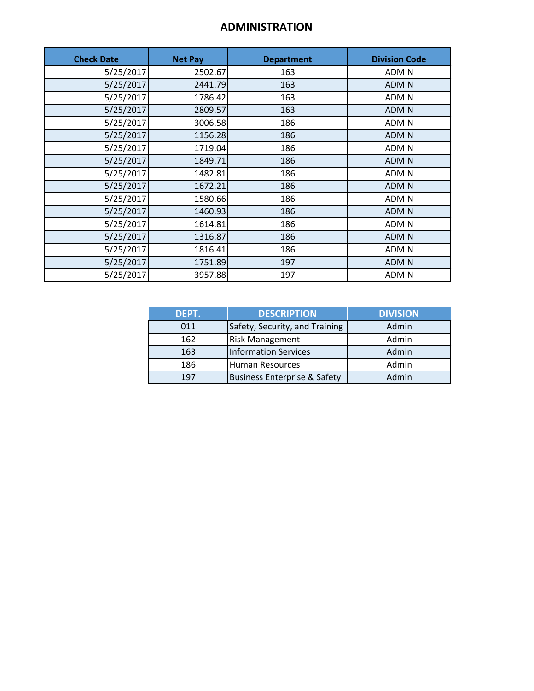#### **ADMINISTRATION**

| <b>Check Date</b> | <b>Net Pay</b> | <b>Department</b> | <b>Division Code</b> |
|-------------------|----------------|-------------------|----------------------|
| 5/25/2017         | 2502.67        | 163               | <b>ADMIN</b>         |
| 5/25/2017         | 2441.79        | 163               | <b>ADMIN</b>         |
| 5/25/2017         | 1786.42        | 163               | <b>ADMIN</b>         |
| 5/25/2017         | 2809.57        | 163               | <b>ADMIN</b>         |
| 5/25/2017         | 3006.58        | 186               | <b>ADMIN</b>         |
| 5/25/2017         | 1156.28        | 186               | <b>ADMIN</b>         |
| 5/25/2017         | 1719.04        | 186               | <b>ADMIN</b>         |
| 5/25/2017         | 1849.71        | 186               | <b>ADMIN</b>         |
| 5/25/2017         | 1482.81        | 186               | <b>ADMIN</b>         |
| 5/25/2017         | 1672.21        | 186               | <b>ADMIN</b>         |
| 5/25/2017         | 1580.66        | 186               | <b>ADMIN</b>         |
| 5/25/2017         | 1460.93        | 186               | <b>ADMIN</b>         |
| 5/25/2017         | 1614.81        | 186               | <b>ADMIN</b>         |
| 5/25/2017         | 1316.87        | 186               | <b>ADMIN</b>         |
| 5/25/2017         | 1816.41        | 186               | <b>ADMIN</b>         |
| 5/25/2017         | 1751.89        | 197               | <b>ADMIN</b>         |
| 5/25/2017         | 3957.88        | 197               | <b>ADMIN</b>         |

| DEPT. | <b>DESCRIPTION</b>                      | <b>DIVISION</b> |
|-------|-----------------------------------------|-----------------|
| 011   | Safety, Security, and Training          | Admin           |
| 162   | <b>Risk Management</b>                  | Admin           |
| 163   | <b>Information Services</b>             | Admin           |
| 186   | Human Resources                         | Admin           |
| 197   | <b>Business Enterprise &amp; Safety</b> | Admin           |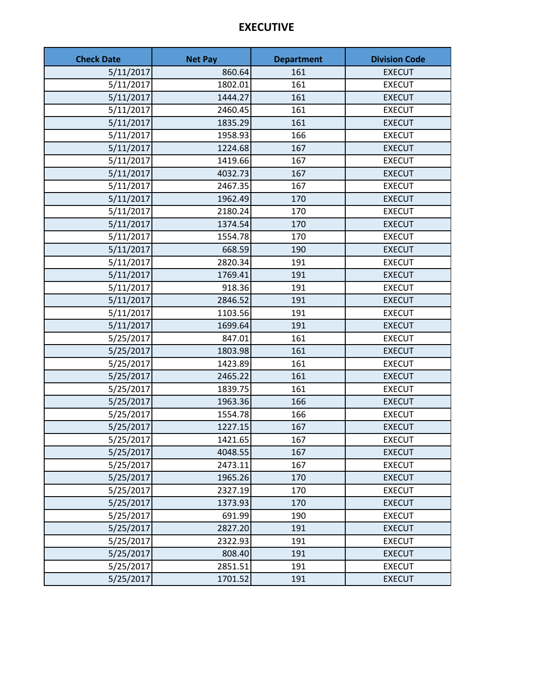#### **EXECUTIVE**

| <b>Check Date</b> | <b>Net Pay</b> | <b>Department</b> | <b>Division Code</b> |
|-------------------|----------------|-------------------|----------------------|
| 5/11/2017         | 860.64         | 161               | <b>EXECUT</b>        |
| 5/11/2017         | 1802.01        | 161               | <b>EXECUT</b>        |
| 5/11/2017         | 1444.27        | 161               | <b>EXECUT</b>        |
| 5/11/2017         | 2460.45        | 161               | <b>EXECUT</b>        |
| 5/11/2017         | 1835.29        | 161               | <b>EXECUT</b>        |
| 5/11/2017         | 1958.93        | 166               | <b>EXECUT</b>        |
| 5/11/2017         | 1224.68        | 167               | <b>EXECUT</b>        |
| 5/11/2017         | 1419.66        | 167               | <b>EXECUT</b>        |
| 5/11/2017         | 4032.73        | 167               | <b>EXECUT</b>        |
| 5/11/2017         | 2467.35        | 167               | <b>EXECUT</b>        |
| 5/11/2017         | 1962.49        | 170               | <b>EXECUT</b>        |
| 5/11/2017         | 2180.24        | 170               | <b>EXECUT</b>        |
| 5/11/2017         | 1374.54        | 170               | <b>EXECUT</b>        |
| 5/11/2017         | 1554.78        | 170               | <b>EXECUT</b>        |
| 5/11/2017         | 668.59         | 190               | <b>EXECUT</b>        |
| 5/11/2017         | 2820.34        | 191               | <b>EXECUT</b>        |
| 5/11/2017         | 1769.41        | 191               | <b>EXECUT</b>        |
| 5/11/2017         | 918.36         | 191               | <b>EXECUT</b>        |
| 5/11/2017         | 2846.52        | 191               | <b>EXECUT</b>        |
| 5/11/2017         | 1103.56        | 191               | <b>EXECUT</b>        |
| 5/11/2017         | 1699.64        | 191               | <b>EXECUT</b>        |
| 5/25/2017         | 847.01         | 161               | <b>EXECUT</b>        |
| 5/25/2017         | 1803.98        | 161               | <b>EXECUT</b>        |
| 5/25/2017         | 1423.89        | 161               | <b>EXECUT</b>        |
| 5/25/2017         | 2465.22        | 161               | <b>EXECUT</b>        |
| 5/25/2017         | 1839.75        | 161               | <b>EXECUT</b>        |
| 5/25/2017         | 1963.36        | 166               | <b>EXECUT</b>        |
| 5/25/2017         | 1554.78        | 166               | <b>EXECUT</b>        |
| 5/25/2017         | 1227.15        | 167               | <b>EXECUT</b>        |
| 5/25/2017         | 1421.65        | 167               | <b>EXECUT</b>        |
| 5/25/2017         | 4048.55        | 167               | <b>EXECUT</b>        |
| 5/25/2017         | 2473.11        | 167               | <b>EXECUT</b>        |
| 5/25/2017         | 1965.26        | 170               | <b>EXECUT</b>        |
| 5/25/2017         | 2327.19        | 170               | <b>EXECUT</b>        |
| 5/25/2017         | 1373.93        | 170               | <b>EXECUT</b>        |
| 5/25/2017         | 691.99         | 190               | <b>EXECUT</b>        |
| 5/25/2017         | 2827.20        | 191               | <b>EXECUT</b>        |
| 5/25/2017         | 2322.93        | 191               | <b>EXECUT</b>        |
| 5/25/2017         | 808.40         | 191               | <b>EXECUT</b>        |
| 5/25/2017         | 2851.51        | 191               | <b>EXECUT</b>        |
| 5/25/2017         | 1701.52        | 191               | <b>EXECUT</b>        |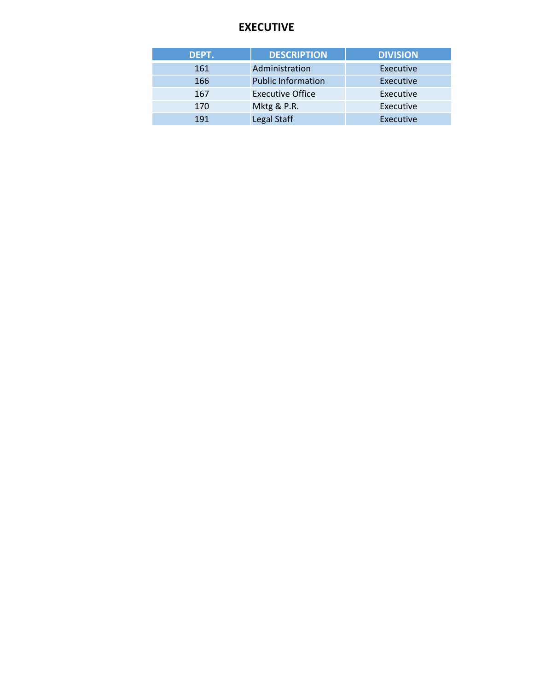#### **EXECUTIVE**

| DEPT. | <b>DESCRIPTION</b>        | <b>DIVISION</b> |
|-------|---------------------------|-----------------|
| 161   | Administration            | Executive       |
| 166   | <b>Public Information</b> | Executive       |
| 167   | <b>Executive Office</b>   | Executive       |
| 170   | Mktg & P.R.               | Executive       |
| 191   | Legal Staff               | Executive       |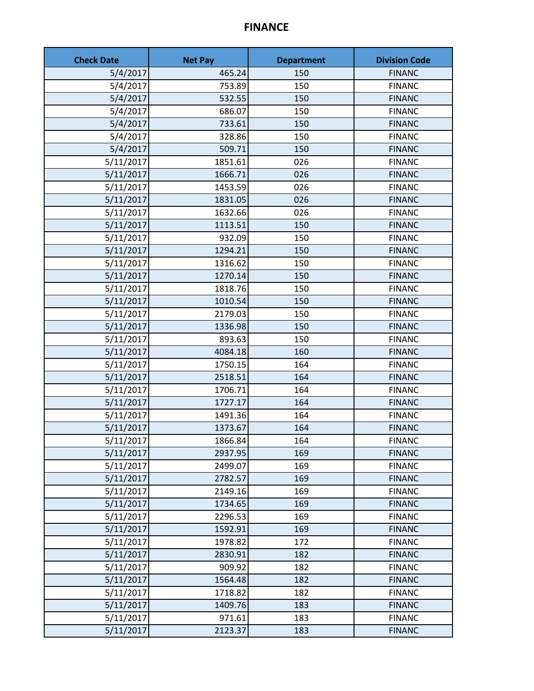#### **FINANCE**

| <b>Check Date</b> | <b>Net Pay</b> | <b>Department</b> | <b>Division Code</b> |
|-------------------|----------------|-------------------|----------------------|
| 5/4/2017          | 465.24         | 150               | <b>FINANC</b>        |
| 5/4/2017          | 753.89         | 150               | <b>FINANC</b>        |
| 5/4/2017          | 532.55         | 150               | <b>FINANC</b>        |
| 5/4/2017          | 686.07         | 150               | <b>FINANC</b>        |
| 5/4/2017          | 733.61         | 150               | <b>FINANC</b>        |
| 5/4/2017          | 328.86         | 150               | <b>FINANC</b>        |
| 5/4/2017          | 509.71         | 150               | <b>FINANC</b>        |
| 5/11/2017         | 1851.61        | 026               | <b>FINANC</b>        |
| 5/11/2017         | 1666.71        | 026               | <b>FINANC</b>        |
| 5/11/2017         | 1453.59        | 026               | <b>FINANC</b>        |
| 5/11/2017         | 1831.05        | 026               | <b>FINANC</b>        |
| 5/11/2017         | 1632.66        | 026               | <b>FINANC</b>        |
| 5/11/2017         | 1113.51        | 150               | <b>FINANC</b>        |
| 5/11/2017         | 932.09         | 150               | <b>FINANC</b>        |
| 5/11/2017         | 1294.21        | 150               | <b>FINANC</b>        |
| 5/11/2017         | 1316.62        | 150               | <b>FINANC</b>        |
| 5/11/2017         | 1270.14        | 150               | <b>FINANC</b>        |
| 5/11/2017         | 1818.76        | 150               | <b>FINANC</b>        |
| 5/11/2017         | 1010.54        | 150               | <b>FINANC</b>        |
| 5/11/2017         | 2179.03        | 150               | <b>FINANC</b>        |
| 5/11/2017         | 1336.98        | 150               | <b>FINANC</b>        |
| 5/11/2017         | 893.63         | 150               | <b>FINANC</b>        |
| 5/11/2017         | 4084.18        | 160               | <b>FINANC</b>        |
| 5/11/2017         | 1750.15        | 164               | <b>FINANC</b>        |
| 5/11/2017         | 2518.51        | 164               | <b>FINANC</b>        |
| 5/11/2017         | 1706.71        | 164               | <b>FINANC</b>        |
| 5/11/2017         | 1727.17        | 164               | <b>FINANC</b>        |
| 5/11/2017         | 1491.36        | 164               | <b>FINANC</b>        |
| 5/11/2017         | 1373.67        | 164               | <b>FINANC</b>        |
| 5/11/2017         | 1866.84        | 164               | <b>FINANC</b>        |
| 5/11/2017         | 2937.95        | 169               | <b>FINANC</b>        |
| 5/11/2017         | 2499.07        | 169               | <b>FINANC</b>        |
| 5/11/2017         | 2782.57        | 169               | <b>FINANC</b>        |
| 5/11/2017         | 2149.16        | 169               | <b>FINANC</b>        |
| 5/11/2017         | 1734.65        | 169               | <b>FINANC</b>        |
| 5/11/2017         | 2296.53        | 169               | <b>FINANC</b>        |
| 5/11/2017         | 1592.91        | 169               | <b>FINANC</b>        |
| 5/11/2017         | 1978.82        | 172               | <b>FINANC</b>        |
| 5/11/2017         | 2830.91        | 182               | <b>FINANC</b>        |
| 5/11/2017         | 909.92         | 182               | <b>FINANC</b>        |
| 5/11/2017         | 1564.48        | 182               | <b>FINANC</b>        |
| 5/11/2017         | 1718.82        | 182               | <b>FINANC</b>        |
| 5/11/2017         | 1409.76        | 183               | <b>FINANC</b>        |
| 5/11/2017         | 971.61         | 183               | <b>FINANC</b>        |
| 5/11/2017         | 2123.37        | 183               | <b>FINANC</b>        |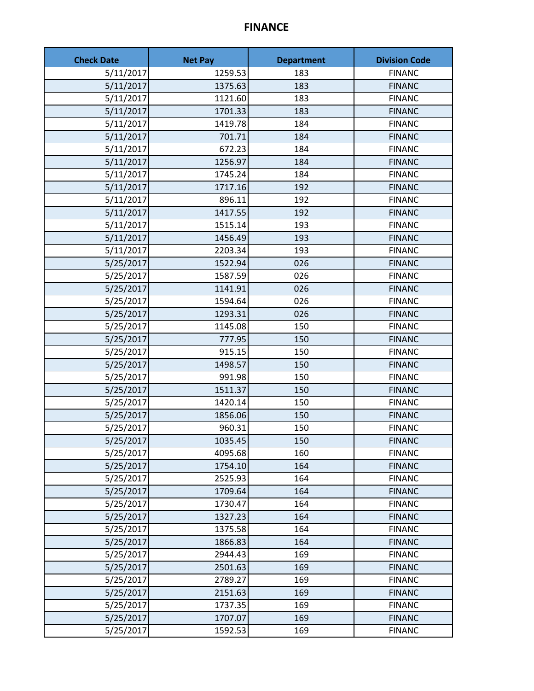#### **FINANCE**

| <b>Check Date</b> | <b>Net Pay</b> | <b>Department</b> | <b>Division Code</b> |
|-------------------|----------------|-------------------|----------------------|
| 5/11/2017         | 1259.53        | 183               | <b>FINANC</b>        |
| 5/11/2017         | 1375.63        | 183               | <b>FINANC</b>        |
| 5/11/2017         | 1121.60        | 183               | <b>FINANC</b>        |
| 5/11/2017         | 1701.33        | 183               | <b>FINANC</b>        |
| 5/11/2017         | 1419.78        | 184               | <b>FINANC</b>        |
| 5/11/2017         | 701.71         | 184               | <b>FINANC</b>        |
| 5/11/2017         | 672.23         | 184               | <b>FINANC</b>        |
| 5/11/2017         | 1256.97        | 184               | <b>FINANC</b>        |
| 5/11/2017         | 1745.24        | 184               | <b>FINANC</b>        |
| 5/11/2017         | 1717.16        | 192               | <b>FINANC</b>        |
| 5/11/2017         | 896.11         | 192               | <b>FINANC</b>        |
| 5/11/2017         | 1417.55        | 192               | <b>FINANC</b>        |
| 5/11/2017         | 1515.14        | 193               | <b>FINANC</b>        |
| 5/11/2017         | 1456.49        | 193               | <b>FINANC</b>        |
| 5/11/2017         | 2203.34        | 193               | <b>FINANC</b>        |
| 5/25/2017         | 1522.94        | 026               | <b>FINANC</b>        |
| 5/25/2017         | 1587.59        | 026               | <b>FINANC</b>        |
| 5/25/2017         | 1141.91        | 026               | <b>FINANC</b>        |
| 5/25/2017         | 1594.64        | 026               | <b>FINANC</b>        |
| 5/25/2017         | 1293.31        | 026               | <b>FINANC</b>        |
| 5/25/2017         | 1145.08        | 150               | <b>FINANC</b>        |
| 5/25/2017         | 777.95         | 150               | <b>FINANC</b>        |
| 5/25/2017         | 915.15         | 150               | <b>FINANC</b>        |
| 5/25/2017         | 1498.57        | 150               | <b>FINANC</b>        |
| 5/25/2017         | 991.98         | 150               | <b>FINANC</b>        |
| 5/25/2017         | 1511.37        | 150               | <b>FINANC</b>        |
| 5/25/2017         | 1420.14        | 150               | <b>FINANC</b>        |
| 5/25/2017         | 1856.06        | 150               | <b>FINANC</b>        |
| 5/25/2017         | 960.31         | 150               | <b>FINANC</b>        |
| 5/25/2017         | 1035.45        | 150               | <b>FINANC</b>        |
| 5/25/2017         | 4095.68        | 160               | <b>FINANC</b>        |
| 5/25/2017         | 1754.10        | 164               | <b>FINANC</b>        |
| 5/25/2017         | 2525.93        | 164               | <b>FINANC</b>        |
| 5/25/2017         | 1709.64        | 164               | <b>FINANC</b>        |
| 5/25/2017         | 1730.47        | 164               | <b>FINANC</b>        |
| 5/25/2017         | 1327.23        | 164               | <b>FINANC</b>        |
| 5/25/2017         | 1375.58        | 164               | <b>FINANC</b>        |
| 5/25/2017         | 1866.83        | 164               | <b>FINANC</b>        |
| 5/25/2017         | 2944.43        | 169               | <b>FINANC</b>        |
| 5/25/2017         | 2501.63        | 169               | <b>FINANC</b>        |
| 5/25/2017         | 2789.27        | 169               | <b>FINANC</b>        |
| 5/25/2017         | 2151.63        | 169               | <b>FINANC</b>        |
| 5/25/2017         | 1737.35        | 169               | <b>FINANC</b>        |
| 5/25/2017         | 1707.07        | 169               | <b>FINANC</b>        |
| 5/25/2017         | 1592.53        | 169               | <b>FINANC</b>        |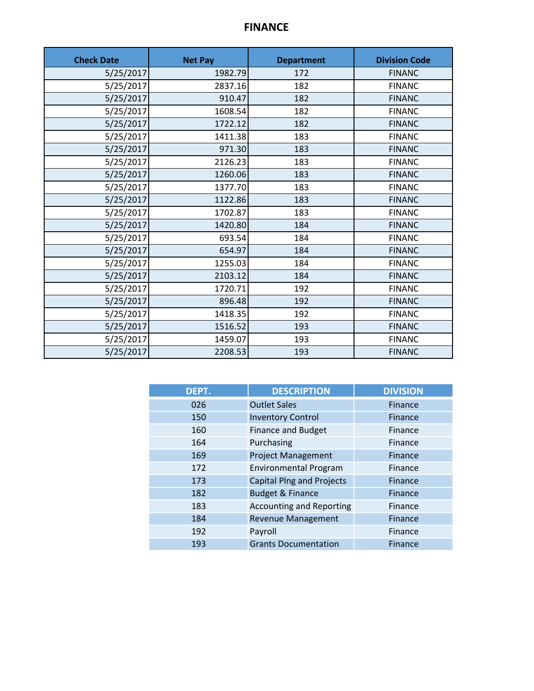## **FINANCE**

| <b>Check Date</b> | <b>Net Pay</b> | <b>Department</b> | <b>Division Code</b> |
|-------------------|----------------|-------------------|----------------------|
| 5/25/2017         | 1982.79        | 172               | <b>FINANC</b>        |
| 5/25/2017         | 2837.16        | 182               | <b>FINANC</b>        |
| 5/25/2017         | 910.47         | 182               | <b>FINANC</b>        |
| 5/25/2017         | 1608.54        | 182               | <b>FINANC</b>        |
| 5/25/2017         | 1722.12        | 182               | <b>FINANC</b>        |
| 5/25/2017         | 1411.38        | 183               | <b>FINANC</b>        |
| 5/25/2017         | 971.30         | 183               | <b>FINANC</b>        |
| 5/25/2017         | 2126.23        | 183               | <b>FINANC</b>        |
| 5/25/2017         | 1260.06        | 183               | <b>FINANC</b>        |
| 5/25/2017         | 1377.70        | 183               | <b>FINANC</b>        |
| 5/25/2017         | 1122.86        | 183               | <b>FINANC</b>        |
| 5/25/2017         | 1702.87        | 183               | <b>FINANC</b>        |
| 5/25/2017         | 1420.80        | 184               | <b>FINANC</b>        |
| 5/25/2017         | 693.54         | 184               | <b>FINANC</b>        |
| 5/25/2017         | 654.97         | 184               | <b>FINANC</b>        |
| 5/25/2017         | 1255.03        | 184               | <b>FINANC</b>        |
| 5/25/2017         | 2103.12        | 184               | <b>FINANC</b>        |
| 5/25/2017         | 1720.71        | 192               | <b>FINANC</b>        |
| 5/25/2017         | 896.48         | 192               | <b>FINANC</b>        |
| 5/25/2017         | 1418.35        | 192               | <b>FINANC</b>        |
| 5/25/2017         | 1516.52        | 193               | <b>FINANC</b>        |
| 5/25/2017         | 1459.07        | 193               | <b>FINANC</b>        |
| 5/25/2017         | 2208.53        | 193               | <b>FINANC</b>        |

| DEPT. | <b>DESCRIPTION</b>               | <b>DIVISION</b> |
|-------|----------------------------------|-----------------|
| 026   | <b>Outlet Sales</b>              | Finance         |
| 150   | <b>Inventory Control</b>         | Finance         |
| 160   | <b>Finance and Budget</b>        | Finance         |
| 164   | Purchasing                       | Finance         |
| 169   | <b>Project Management</b>        | Finance         |
| 172   | <b>Environmental Program</b>     | Finance         |
| 173   | <b>Capital Plng and Projects</b> | Finance         |
| 182   | <b>Budget &amp; Finance</b>      | Finance         |
| 183   | <b>Accounting and Reporting</b>  | Finance         |
| 184   | <b>Revenue Management</b>        | Finance         |
| 192   | Payroll                          | Finance         |
| 193   | <b>Grants Documentation</b>      | Finance         |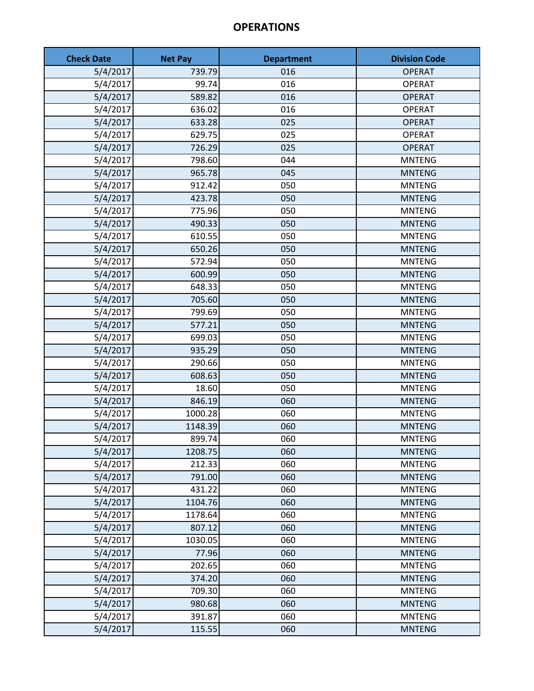| <b>Check Date</b> | <b>Net Pay</b> | <b>Department</b> | <b>Division Code</b> |
|-------------------|----------------|-------------------|----------------------|
| 5/4/2017          | 739.79         | 016               | <b>OPERAT</b>        |
| 5/4/2017          | 99.74          | 016               | <b>OPERAT</b>        |
| 5/4/2017          | 589.82         | 016               | <b>OPERAT</b>        |
| 5/4/2017          | 636.02         | 016               | <b>OPERAT</b>        |
| 5/4/2017          | 633.28         | 025               | <b>OPERAT</b>        |
| 5/4/2017          | 629.75         | 025               | <b>OPERAT</b>        |
| 5/4/2017          | 726.29         | 025               | <b>OPERAT</b>        |
| 5/4/2017          | 798.60         | 044               | <b>MNTENG</b>        |
| 5/4/2017          | 965.78         | 045               | <b>MNTENG</b>        |
| 5/4/2017          | 912.42         | 050               | <b>MNTENG</b>        |
| 5/4/2017          | 423.78         | 050               | <b>MNTENG</b>        |
| 5/4/2017          | 775.96         | 050               | <b>MNTENG</b>        |
| 5/4/2017          | 490.33         | 050               | <b>MNTENG</b>        |
| 5/4/2017          | 610.55         | 050               | <b>MNTENG</b>        |
| 5/4/2017          | 650.26         | 050               | <b>MNTENG</b>        |
| 5/4/2017          | 572.94         | 050               | <b>MNTENG</b>        |
| 5/4/2017          | 600.99         | 050               | <b>MNTENG</b>        |
| 5/4/2017          | 648.33         | 050               | <b>MNTENG</b>        |
| 5/4/2017          | 705.60         | 050               | <b>MNTENG</b>        |
| 5/4/2017          | 799.69         | 050               | <b>MNTENG</b>        |
| 5/4/2017          | 577.21         | 050               | <b>MNTENG</b>        |
| 5/4/2017          | 699.03         | 050               | <b>MNTENG</b>        |
| 5/4/2017          | 935.29         | 050               | <b>MNTENG</b>        |
| 5/4/2017          | 290.66         | 050               | <b>MNTENG</b>        |
| 5/4/2017          | 608.63         | 050               | <b>MNTENG</b>        |
| 5/4/2017          | 18.60          | 050               | <b>MNTENG</b>        |
| 5/4/2017          | 846.19         | 060               | <b>MNTENG</b>        |
| 5/4/2017          | 1000.28        | 060               | <b>MNTENG</b>        |
| 5/4/2017          | 1148.39        | 060               | <b>MNTENG</b>        |
| 5/4/2017          | 899.74         | 060               | <b>MNTENG</b>        |
| 5/4/2017          | 1208.75        | 060               | <b>MNTENG</b>        |
| 5/4/2017          | 212.33         | 060               | <b>MNTENG</b>        |
| 5/4/2017          | 791.00         | 060               | <b>MNTENG</b>        |
| 5/4/2017          | 431.22         | 060               | <b>MNTENG</b>        |
| 5/4/2017          | 1104.76        | 060               | <b>MNTENG</b>        |
| 5/4/2017          | 1178.64        | 060               | <b>MNTENG</b>        |
| 5/4/2017          | 807.12         | 060               | <b>MNTENG</b>        |
| 5/4/2017          | 1030.05        | 060               | <b>MNTENG</b>        |
| 5/4/2017          | 77.96          | 060               | <b>MNTENG</b>        |
| 5/4/2017          | 202.65         | 060               | <b>MNTENG</b>        |
| 5/4/2017          | 374.20         | 060               | <b>MNTENG</b>        |
| 5/4/2017          | 709.30         | 060               | <b>MNTENG</b>        |
| 5/4/2017          | 980.68         | 060               | <b>MNTENG</b>        |
| 5/4/2017          | 391.87         | 060               | <b>MNTENG</b>        |
| 5/4/2017          | 115.55         | 060               | <b>MNTENG</b>        |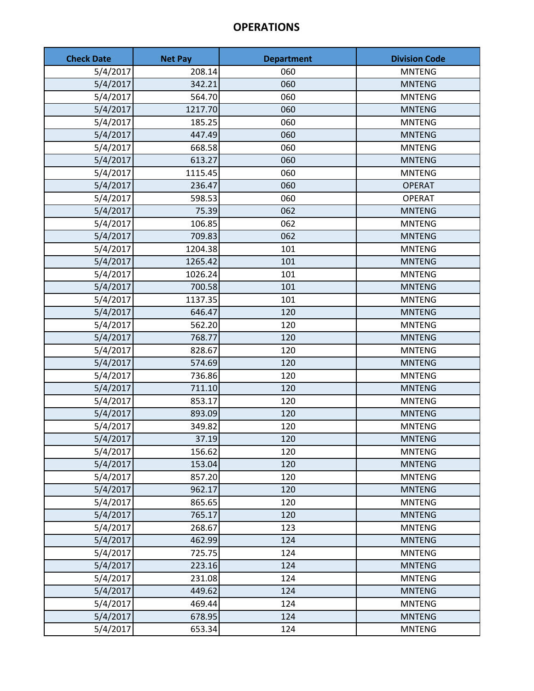| <b>Check Date</b> | <b>Net Pay</b> | <b>Department</b> | <b>Division Code</b> |
|-------------------|----------------|-------------------|----------------------|
| 5/4/2017          | 208.14         | 060               | <b>MNTENG</b>        |
| 5/4/2017          | 342.21         | 060               | <b>MNTENG</b>        |
| 5/4/2017          | 564.70         | 060               | <b>MNTENG</b>        |
| 5/4/2017          | 1217.70        | 060               | <b>MNTENG</b>        |
| 5/4/2017          | 185.25         | 060               | <b>MNTENG</b>        |
| 5/4/2017          | 447.49         | 060               | <b>MNTENG</b>        |
| 5/4/2017          | 668.58         | 060               | <b>MNTENG</b>        |
| 5/4/2017          | 613.27         | 060               | <b>MNTENG</b>        |
| 5/4/2017          | 1115.45        | 060               | <b>MNTENG</b>        |
| 5/4/2017          | 236.47         | 060               | <b>OPERAT</b>        |
| 5/4/2017          | 598.53         | 060               | <b>OPERAT</b>        |
| 5/4/2017          | 75.39          | 062               | <b>MNTENG</b>        |
| 5/4/2017          | 106.85         | 062               | <b>MNTENG</b>        |
| 5/4/2017          | 709.83         | 062               | <b>MNTENG</b>        |
| 5/4/2017          | 1204.38        | 101               | <b>MNTENG</b>        |
| 5/4/2017          | 1265.42        | 101               | <b>MNTENG</b>        |
| 5/4/2017          | 1026.24        | 101               | <b>MNTENG</b>        |
| 5/4/2017          | 700.58         | 101               | <b>MNTENG</b>        |
| 5/4/2017          | 1137.35        | 101               | <b>MNTENG</b>        |
| 5/4/2017          | 646.47         | 120               | <b>MNTENG</b>        |
| 5/4/2017          | 562.20         | 120               | <b>MNTENG</b>        |
| 5/4/2017          | 768.77         | 120               | <b>MNTENG</b>        |
| 5/4/2017          | 828.67         | 120               | <b>MNTENG</b>        |
| 5/4/2017          | 574.69         | 120               | <b>MNTENG</b>        |
| 5/4/2017          | 736.86         | 120               | <b>MNTENG</b>        |
| 5/4/2017          | 711.10         | 120               | <b>MNTENG</b>        |
| 5/4/2017          | 853.17         | 120               | <b>MNTENG</b>        |
| 5/4/2017          | 893.09         | 120               | <b>MNTENG</b>        |
| 5/4/2017          | 349.82         | 120               | <b>MNTENG</b>        |
| 5/4/2017          | 37.19          | 120               | <b>MNTENG</b>        |
| 5/4/2017          | 156.62         | 120               | <b>MNTENG</b>        |
| 5/4/2017          | 153.04         | 120               | <b>MNTENG</b>        |
| 5/4/2017          | 857.20         | 120               | <b>MNTENG</b>        |
| 5/4/2017          | 962.17         | 120               | <b>MNTENG</b>        |
| 5/4/2017          | 865.65         | 120               | <b>MNTENG</b>        |
| 5/4/2017          | 765.17         | 120               | <b>MNTENG</b>        |
| 5/4/2017          | 268.67         | 123               | <b>MNTENG</b>        |
| 5/4/2017          | 462.99         | 124               | <b>MNTENG</b>        |
| 5/4/2017          | 725.75         | 124               | <b>MNTENG</b>        |
| 5/4/2017          | 223.16         | 124               | <b>MNTENG</b>        |
| 5/4/2017          | 231.08         | 124               | <b>MNTENG</b>        |
| 5/4/2017          | 449.62         | 124               | <b>MNTENG</b>        |
| 5/4/2017          | 469.44         | 124               | <b>MNTENG</b>        |
| 5/4/2017          | 678.95         | 124               | <b>MNTENG</b>        |
| 5/4/2017          | 653.34         | 124               | <b>MNTENG</b>        |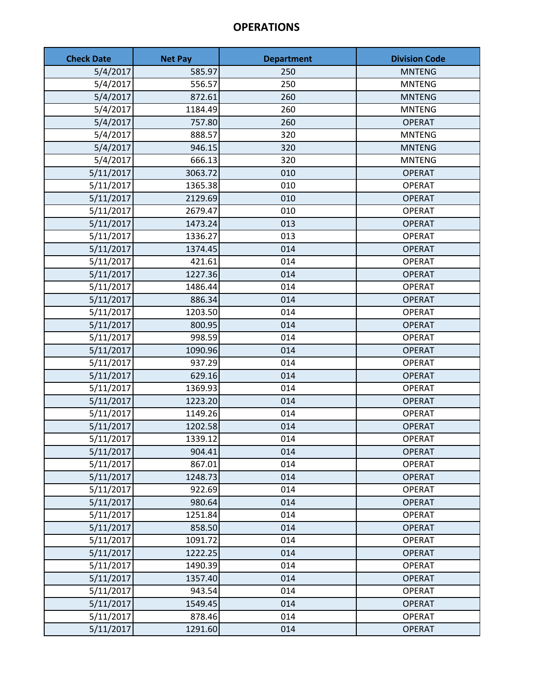| <b>Check Date</b> | <b>Net Pay</b> | <b>Department</b> | <b>Division Code</b> |
|-------------------|----------------|-------------------|----------------------|
| 5/4/2017          | 585.97         | 250               | <b>MNTENG</b>        |
| 5/4/2017          | 556.57         | 250               | <b>MNTENG</b>        |
| 5/4/2017          | 872.61         | 260               | <b>MNTENG</b>        |
| 5/4/2017          | 1184.49        | 260               | <b>MNTENG</b>        |
| 5/4/2017          | 757.80         | 260               | <b>OPERAT</b>        |
| 5/4/2017          | 888.57         | 320               | <b>MNTENG</b>        |
| 5/4/2017          | 946.15         | 320               | <b>MNTENG</b>        |
| 5/4/2017          | 666.13         | 320               | <b>MNTENG</b>        |
| 5/11/2017         | 3063.72        | 010               | <b>OPERAT</b>        |
| 5/11/2017         | 1365.38        | 010               | <b>OPERAT</b>        |
| 5/11/2017         | 2129.69        | 010               | <b>OPERAT</b>        |
| 5/11/2017         | 2679.47        | 010               | <b>OPERAT</b>        |
| 5/11/2017         | 1473.24        | 013               | <b>OPERAT</b>        |
| 5/11/2017         | 1336.27        | 013               | <b>OPERAT</b>        |
| 5/11/2017         | 1374.45        | 014               | <b>OPERAT</b>        |
| 5/11/2017         | 421.61         | 014               | <b>OPERAT</b>        |
| 5/11/2017         | 1227.36        | 014               | <b>OPERAT</b>        |
| 5/11/2017         | 1486.44        | 014               | <b>OPERAT</b>        |
| 5/11/2017         | 886.34         | 014               | <b>OPERAT</b>        |
| 5/11/2017         | 1203.50        | 014               | <b>OPERAT</b>        |
| 5/11/2017         | 800.95         | 014               | <b>OPERAT</b>        |
| 5/11/2017         | 998.59         | 014               | <b>OPERAT</b>        |
| 5/11/2017         | 1090.96        | 014               | <b>OPERAT</b>        |
| 5/11/2017         | 937.29         | 014               | <b>OPERAT</b>        |
| 5/11/2017         | 629.16         | 014               | <b>OPERAT</b>        |
| 5/11/2017         | 1369.93        | 014               | <b>OPERAT</b>        |
| 5/11/2017         | 1223.20        | 014               | <b>OPERAT</b>        |
| 5/11/2017         | 1149.26        | 014               | <b>OPERAT</b>        |
| 5/11/2017         | 1202.58        | 014               | <b>OPERAT</b>        |
| 5/11/2017         | 1339.12        | 014               | OPERAT               |
| 5/11/2017         | 904.41         | 014               | <b>OPERAT</b>        |
| 5/11/2017         | 867.01         | 014               | <b>OPERAT</b>        |
| 5/11/2017         | 1248.73        | 014               | <b>OPERAT</b>        |
| 5/11/2017         | 922.69         | 014               | <b>OPERAT</b>        |
| 5/11/2017         | 980.64         | 014               | <b>OPERAT</b>        |
| 5/11/2017         | 1251.84        | 014               | <b>OPERAT</b>        |
| 5/11/2017         | 858.50         | 014               | <b>OPERAT</b>        |
| 5/11/2017         | 1091.72        | 014               | <b>OPERAT</b>        |
| 5/11/2017         | 1222.25        | 014               | <b>OPERAT</b>        |
| 5/11/2017         | 1490.39        | 014               | <b>OPERAT</b>        |
| 5/11/2017         | 1357.40        | 014               | <b>OPERAT</b>        |
| 5/11/2017         | 943.54         | 014               | <b>OPERAT</b>        |
| 5/11/2017         | 1549.45        | 014               | <b>OPERAT</b>        |
| 5/11/2017         | 878.46         | 014               | <b>OPERAT</b>        |
| 5/11/2017         | 1291.60        | 014               | <b>OPERAT</b>        |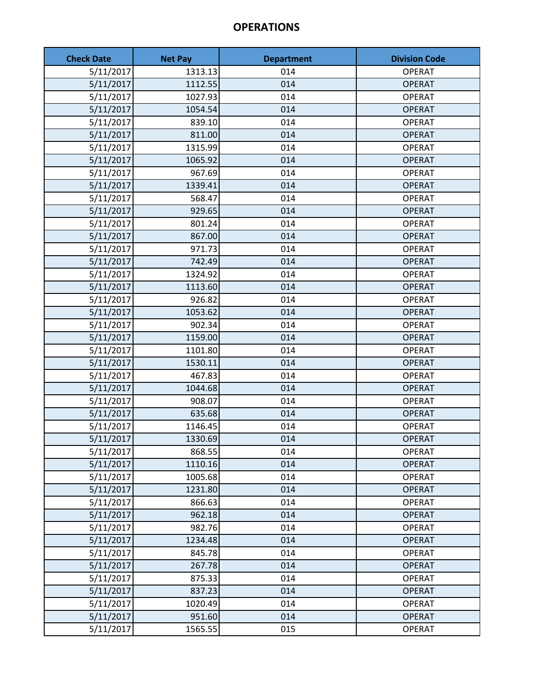| <b>Check Date</b> | <b>Net Pay</b> | <b>Department</b> | <b>Division Code</b> |
|-------------------|----------------|-------------------|----------------------|
| 5/11/2017         | 1313.13        | 014               | <b>OPERAT</b>        |
| 5/11/2017         | 1112.55        | 014               | <b>OPERAT</b>        |
| 5/11/2017         | 1027.93        | 014               | <b>OPERAT</b>        |
| 5/11/2017         | 1054.54        | 014               | <b>OPERAT</b>        |
| 5/11/2017         | 839.10         | 014               | <b>OPERAT</b>        |
| 5/11/2017         | 811.00         | 014               | <b>OPERAT</b>        |
| 5/11/2017         | 1315.99        | 014               | <b>OPERAT</b>        |
| 5/11/2017         | 1065.92        | 014               | <b>OPERAT</b>        |
| 5/11/2017         | 967.69         | 014               | <b>OPERAT</b>        |
| 5/11/2017         | 1339.41        | 014               | <b>OPERAT</b>        |
| 5/11/2017         | 568.47         | 014               | <b>OPERAT</b>        |
| 5/11/2017         | 929.65         | 014               | <b>OPERAT</b>        |
| 5/11/2017         | 801.24         | 014               | <b>OPERAT</b>        |
| 5/11/2017         | 867.00         | 014               | <b>OPERAT</b>        |
| 5/11/2017         | 971.73         | 014               | <b>OPERAT</b>        |
| 5/11/2017         | 742.49         | 014               | <b>OPERAT</b>        |
| 5/11/2017         | 1324.92        | 014               | <b>OPERAT</b>        |
| 5/11/2017         | 1113.60        | 014               | <b>OPERAT</b>        |
| 5/11/2017         | 926.82         | 014               | <b>OPERAT</b>        |
| 5/11/2017         | 1053.62        | 014               | <b>OPERAT</b>        |
| 5/11/2017         | 902.34         | 014               | <b>OPERAT</b>        |
| 5/11/2017         | 1159.00        | 014               | <b>OPERAT</b>        |
| 5/11/2017         | 1101.80        | 014               | <b>OPERAT</b>        |
| 5/11/2017         | 1530.11        | 014               | <b>OPERAT</b>        |
| 5/11/2017         | 467.83         | 014               | <b>OPERAT</b>        |
| 5/11/2017         | 1044.68        | 014               | <b>OPERAT</b>        |
| 5/11/2017         | 908.07         | 014               | <b>OPERAT</b>        |
| 5/11/2017         | 635.68         | 014               | <b>OPERAT</b>        |
| 5/11/2017         | 1146.45        | 014               | <b>OPERAT</b>        |
| 5/11/2017         | 1330.69        | 014               | <b>OPERAT</b>        |
| 5/11/2017         | 868.55         | 014               | <b>OPERAT</b>        |
| 5/11/2017         | 1110.16        | 014               | <b>OPERAT</b>        |
| 5/11/2017         | 1005.68        | 014               | <b>OPERAT</b>        |
| 5/11/2017         | 1231.80        | 014               | <b>OPERAT</b>        |
| 5/11/2017         | 866.63         | 014               | <b>OPERAT</b>        |
| 5/11/2017         | 962.18         | 014               | <b>OPERAT</b>        |
| 5/11/2017         | 982.76         | 014               | <b>OPERAT</b>        |
| 5/11/2017         | 1234.48        | 014               | <b>OPERAT</b>        |
| 5/11/2017         | 845.78         | 014               | <b>OPERAT</b>        |
| 5/11/2017         | 267.78         | 014               | <b>OPERAT</b>        |
| 5/11/2017         | 875.33         | 014               | <b>OPERAT</b>        |
| 5/11/2017         | 837.23         | 014               | <b>OPERAT</b>        |
| 5/11/2017         | 1020.49        | 014               | <b>OPERAT</b>        |
| 5/11/2017         | 951.60         | 014               | <b>OPERAT</b>        |
| 5/11/2017         | 1565.55        | 015               | <b>OPERAT</b>        |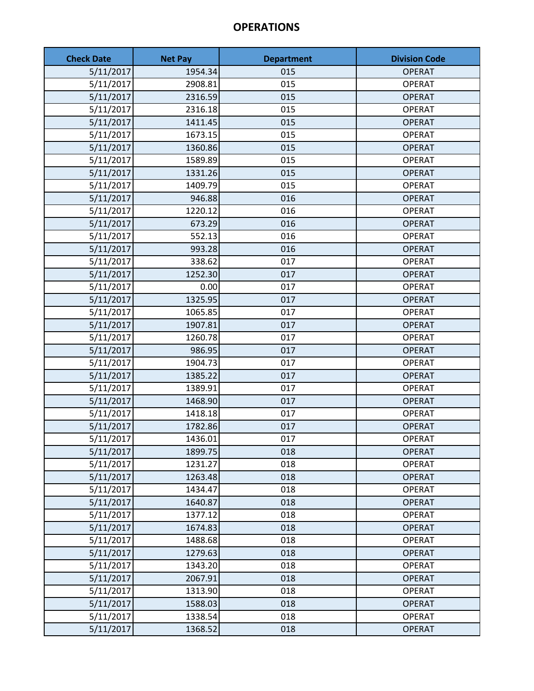| <b>Check Date</b> | <b>Net Pay</b> | <b>Department</b> | <b>Division Code</b> |
|-------------------|----------------|-------------------|----------------------|
| 5/11/2017         | 1954.34        | 015               | <b>OPERAT</b>        |
| 5/11/2017         | 2908.81        | 015               | <b>OPERAT</b>        |
| 5/11/2017         | 2316.59        | 015               | <b>OPERAT</b>        |
| 5/11/2017         | 2316.18        | 015               | <b>OPERAT</b>        |
| 5/11/2017         | 1411.45        | 015               | <b>OPERAT</b>        |
| 5/11/2017         | 1673.15        | 015               | <b>OPERAT</b>        |
| 5/11/2017         | 1360.86        | 015               | <b>OPERAT</b>        |
| 5/11/2017         | 1589.89        | 015               | <b>OPERAT</b>        |
| 5/11/2017         | 1331.26        | 015               | <b>OPERAT</b>        |
| 5/11/2017         | 1409.79        | 015               | <b>OPERAT</b>        |
| 5/11/2017         | 946.88         | 016               | <b>OPERAT</b>        |
| 5/11/2017         | 1220.12        | 016               | <b>OPERAT</b>        |
| 5/11/2017         | 673.29         | 016               | <b>OPERAT</b>        |
| 5/11/2017         | 552.13         | 016               | <b>OPERAT</b>        |
| 5/11/2017         | 993.28         | 016               | <b>OPERAT</b>        |
| 5/11/2017         | 338.62         | 017               | <b>OPERAT</b>        |
| 5/11/2017         | 1252.30        | 017               | <b>OPERAT</b>        |
| 5/11/2017         | 0.00           | 017               | <b>OPERAT</b>        |
| 5/11/2017         | 1325.95        | 017               | <b>OPERAT</b>        |
| 5/11/2017         | 1065.85        | 017               | <b>OPERAT</b>        |
| 5/11/2017         | 1907.81        | 017               | <b>OPERAT</b>        |
| 5/11/2017         | 1260.78        | 017               | <b>OPERAT</b>        |
| 5/11/2017         | 986.95         | 017               | <b>OPERAT</b>        |
| 5/11/2017         | 1904.73        | 017               | <b>OPERAT</b>        |
| 5/11/2017         | 1385.22        | 017               | <b>OPERAT</b>        |
| 5/11/2017         | 1389.91        | 017               | <b>OPERAT</b>        |
| 5/11/2017         | 1468.90        | 017               | <b>OPERAT</b>        |
| 5/11/2017         | 1418.18        | 017               | <b>OPERAT</b>        |
| 5/11/2017         | 1782.86        | 017               | <b>OPERAT</b>        |
| 5/11/2017         | 1436.01        | 017               | <b>OPERAT</b>        |
| 5/11/2017         | 1899.75        | 018               | <b>OPERAT</b>        |
| 5/11/2017         | 1231.27        | 018               | <b>OPERAT</b>        |
| 5/11/2017         | 1263.48        | 018               | <b>OPERAT</b>        |
| 5/11/2017         | 1434.47        | 018               | <b>OPERAT</b>        |
| 5/11/2017         | 1640.87        | 018               | <b>OPERAT</b>        |
| 5/11/2017         | 1377.12        | 018               | <b>OPERAT</b>        |
| 5/11/2017         | 1674.83        | 018               | <b>OPERAT</b>        |
| 5/11/2017         | 1488.68        | 018               | <b>OPERAT</b>        |
| 5/11/2017         | 1279.63        | 018               | <b>OPERAT</b>        |
| 5/11/2017         | 1343.20        | 018               | <b>OPERAT</b>        |
| 5/11/2017         | 2067.91        | 018               | <b>OPERAT</b>        |
| 5/11/2017         | 1313.90        | 018               | <b>OPERAT</b>        |
| 5/11/2017         | 1588.03        | 018               | <b>OPERAT</b>        |
| 5/11/2017         | 1338.54        | 018               | <b>OPERAT</b>        |
| 5/11/2017         | 1368.52        | 018               | <b>OPERAT</b>        |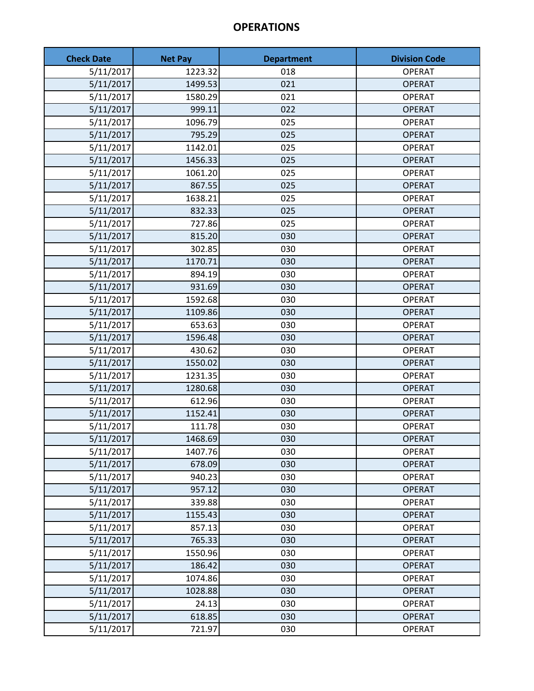| <b>Check Date</b> | <b>Net Pay</b> | <b>Department</b> | <b>Division Code</b> |
|-------------------|----------------|-------------------|----------------------|
| 5/11/2017         | 1223.32        | 018               | <b>OPERAT</b>        |
| 5/11/2017         | 1499.53        | 021               | <b>OPERAT</b>        |
| 5/11/2017         | 1580.29        | 021               | <b>OPERAT</b>        |
| 5/11/2017         | 999.11         | 022               | <b>OPERAT</b>        |
| 5/11/2017         | 1096.79        | 025               | <b>OPERAT</b>        |
| 5/11/2017         | 795.29         | 025               | <b>OPERAT</b>        |
| 5/11/2017         | 1142.01        | 025               | <b>OPERAT</b>        |
| 5/11/2017         | 1456.33        | 025               | <b>OPERAT</b>        |
| 5/11/2017         | 1061.20        | 025               | <b>OPERAT</b>        |
| 5/11/2017         | 867.55         | 025               | <b>OPERAT</b>        |
| 5/11/2017         | 1638.21        | 025               | <b>OPERAT</b>        |
| 5/11/2017         | 832.33         | 025               | <b>OPERAT</b>        |
| 5/11/2017         | 727.86         | 025               | <b>OPERAT</b>        |
| 5/11/2017         | 815.20         | 030               | <b>OPERAT</b>        |
| 5/11/2017         | 302.85         | 030               | <b>OPERAT</b>        |
| 5/11/2017         | 1170.71        | 030               | <b>OPERAT</b>        |
| 5/11/2017         | 894.19         | 030               | <b>OPERAT</b>        |
| 5/11/2017         | 931.69         | 030               | <b>OPERAT</b>        |
| 5/11/2017         | 1592.68        | 030               | <b>OPERAT</b>        |
| 5/11/2017         | 1109.86        | 030               | <b>OPERAT</b>        |
| 5/11/2017         | 653.63         | 030               | <b>OPERAT</b>        |
| 5/11/2017         | 1596.48        | 030               | <b>OPERAT</b>        |
| 5/11/2017         | 430.62         | 030               | <b>OPERAT</b>        |
| 5/11/2017         | 1550.02        | 030               | <b>OPERAT</b>        |
| 5/11/2017         | 1231.35        | 030               | <b>OPERAT</b>        |
| 5/11/2017         | 1280.68        | 030               | <b>OPERAT</b>        |
| 5/11/2017         | 612.96         | 030               | <b>OPERAT</b>        |
| 5/11/2017         | 1152.41        | 030               | <b>OPERAT</b>        |
| 5/11/2017         | 111.78         | 030               | <b>OPERAT</b>        |
| 5/11/2017         | 1468.69        | 030               | <b>OPERAT</b>        |
| 5/11/2017         | 1407.76        | 030               | <b>OPERAT</b>        |
| 5/11/2017         | 678.09         | 030               | <b>OPERAT</b>        |
| 5/11/2017         | 940.23         | 030               | <b>OPERAT</b>        |
| 5/11/2017         | 957.12         | 030               | <b>OPERAT</b>        |
| 5/11/2017         | 339.88         | 030               | <b>OPERAT</b>        |
| 5/11/2017         | 1155.43        | 030               | <b>OPERAT</b>        |
| 5/11/2017         | 857.13         | 030               | <b>OPERAT</b>        |
| 5/11/2017         | 765.33         | 030               | <b>OPERAT</b>        |
| 5/11/2017         | 1550.96        | 030               | <b>OPERAT</b>        |
| 5/11/2017         | 186.42         | 030               | <b>OPERAT</b>        |
| 5/11/2017         | 1074.86        | 030               | <b>OPERAT</b>        |
| 5/11/2017         | 1028.88        | 030               | <b>OPERAT</b>        |
| 5/11/2017         | 24.13          | 030               | <b>OPERAT</b>        |
| 5/11/2017         | 618.85         | 030               | <b>OPERAT</b>        |
| 5/11/2017         | 721.97         | 030               | <b>OPERAT</b>        |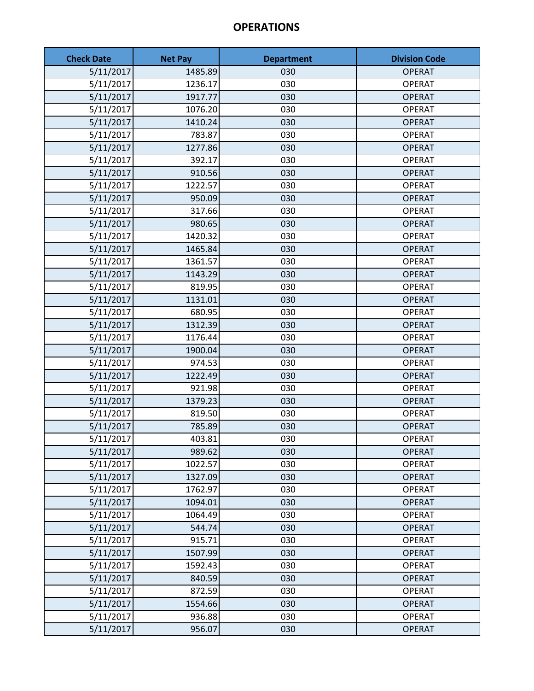| <b>Check Date</b> | <b>Net Pay</b> | <b>Department</b> | <b>Division Code</b> |
|-------------------|----------------|-------------------|----------------------|
| 5/11/2017         | 1485.89        | 030               | <b>OPERAT</b>        |
| 5/11/2017         | 1236.17        | 030               | <b>OPERAT</b>        |
| 5/11/2017         | 1917.77        | 030               | <b>OPERAT</b>        |
| 5/11/2017         | 1076.20        | 030               | <b>OPERAT</b>        |
| 5/11/2017         | 1410.24        | 030               | <b>OPERAT</b>        |
| 5/11/2017         | 783.87         | 030               | <b>OPERAT</b>        |
| 5/11/2017         | 1277.86        | 030               | <b>OPERAT</b>        |
| 5/11/2017         | 392.17         | 030               | <b>OPERAT</b>        |
| 5/11/2017         | 910.56         | 030               | <b>OPERAT</b>        |
| 5/11/2017         | 1222.57        | 030               | <b>OPERAT</b>        |
| 5/11/2017         | 950.09         | 030               | <b>OPERAT</b>        |
| 5/11/2017         | 317.66         | 030               | <b>OPERAT</b>        |
| 5/11/2017         | 980.65         | 030               | <b>OPERAT</b>        |
| 5/11/2017         | 1420.32        | 030               | <b>OPERAT</b>        |
| 5/11/2017         | 1465.84        | 030               | <b>OPERAT</b>        |
| 5/11/2017         | 1361.57        | 030               | <b>OPERAT</b>        |
| 5/11/2017         | 1143.29        | 030               | <b>OPERAT</b>        |
| 5/11/2017         | 819.95         | 030               | <b>OPERAT</b>        |
| 5/11/2017         | 1131.01        | 030               | <b>OPERAT</b>        |
| 5/11/2017         | 680.95         | 030               | <b>OPERAT</b>        |
| 5/11/2017         | 1312.39        | 030               | <b>OPERAT</b>        |
| 5/11/2017         | 1176.44        | 030               | <b>OPERAT</b>        |
| 5/11/2017         | 1900.04        | 030               | <b>OPERAT</b>        |
| 5/11/2017         | 974.53         | 030               | <b>OPERAT</b>        |
| 5/11/2017         | 1222.49        | 030               | <b>OPERAT</b>        |
| 5/11/2017         | 921.98         | 030               | <b>OPERAT</b>        |
| 5/11/2017         | 1379.23        | 030               | <b>OPERAT</b>        |
| 5/11/2017         | 819.50         | 030               | <b>OPERAT</b>        |
| 5/11/2017         | 785.89         | 030               | <b>OPERAT</b>        |
| 5/11/2017         | 403.81         | 030               | <b>OPERAT</b>        |
| 5/11/2017         | 989.62         | 030               | <b>OPERAT</b>        |
| 5/11/2017         | 1022.57        | 030               | <b>OPERAT</b>        |
| 5/11/2017         | 1327.09        | 030               | <b>OPERAT</b>        |
| 5/11/2017         | 1762.97        | 030               | <b>OPERAT</b>        |
| 5/11/2017         | 1094.01        | 030               | <b>OPERAT</b>        |
| 5/11/2017         | 1064.49        | 030               | <b>OPERAT</b>        |
| 5/11/2017         | 544.74         | 030               | <b>OPERAT</b>        |
| 5/11/2017         | 915.71         | 030               | <b>OPERAT</b>        |
| 5/11/2017         | 1507.99        | 030               | <b>OPERAT</b>        |
| 5/11/2017         | 1592.43        | 030               | <b>OPERAT</b>        |
| 5/11/2017         | 840.59         | 030               | <b>OPERAT</b>        |
| 5/11/2017         | 872.59         | 030               | <b>OPERAT</b>        |
| 5/11/2017         | 1554.66        | 030               | <b>OPERAT</b>        |
| 5/11/2017         | 936.88         | 030               | <b>OPERAT</b>        |
| 5/11/2017         | 956.07         | 030               | <b>OPERAT</b>        |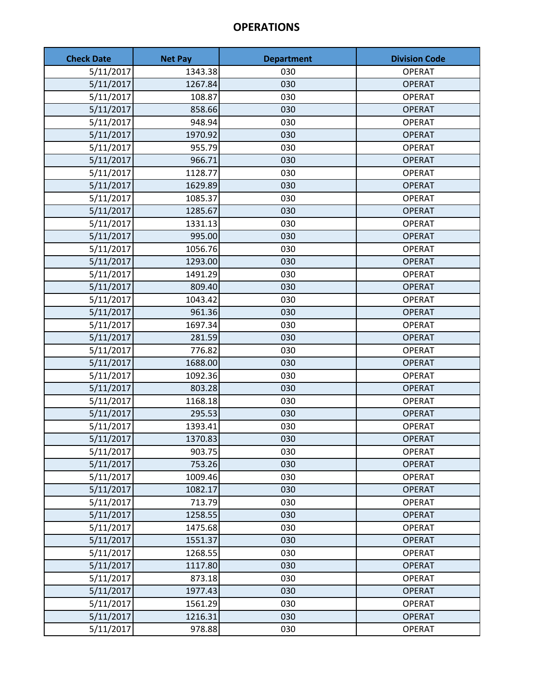| <b>Check Date</b>     | <b>Net Pay</b> | <b>Department</b> | <b>Division Code</b> |
|-----------------------|----------------|-------------------|----------------------|
| 5/11/2017             | 1343.38        | 030               | <b>OPERAT</b>        |
| 5/11/2017             | 1267.84        | 030               | <b>OPERAT</b>        |
| 5/11/2017             | 108.87         | 030               | <b>OPERAT</b>        |
| 5/11/2017             | 858.66         | 030               | <b>OPERAT</b>        |
| 5/11/2017             | 948.94         | 030               | <b>OPERAT</b>        |
| 5/11/2017             | 1970.92        | 030               | <b>OPERAT</b>        |
| 5/11/2017             | 955.79         | 030               | <b>OPERAT</b>        |
| 5/11/2017             | 966.71         | 030               | <b>OPERAT</b>        |
| 5/11/2017             | 1128.77        | 030               | <b>OPERAT</b>        |
| 5/11/2017             | 1629.89        | 030               | <b>OPERAT</b>        |
| 5/11/2017             | 1085.37        | 030               | <b>OPERAT</b>        |
| 5/11/2017             | 1285.67        | 030               | <b>OPERAT</b>        |
| 5/11/2017             | 1331.13        | 030               | <b>OPERAT</b>        |
| 5/11/2017             | 995.00         | 030               | <b>OPERAT</b>        |
| 5/11/2017             | 1056.76        | 030               | <b>OPERAT</b>        |
| 5/11/2017             | 1293.00        | 030               | <b>OPERAT</b>        |
| 5/11/2017             | 1491.29        | 030               | <b>OPERAT</b>        |
| 5/11/2017             | 809.40         | 030               | <b>OPERAT</b>        |
| 5/11/2017             | 1043.42        | 030               | <b>OPERAT</b>        |
| 5/11/2017             | 961.36         | 030               | <b>OPERAT</b>        |
| 5/11/2017             | 1697.34        | 030               | <b>OPERAT</b>        |
| 5/11/2017             | 281.59         | 030               | <b>OPERAT</b>        |
| 5/11/2017             | 776.82         | 030               | <b>OPERAT</b>        |
| $\frac{1}{5}/11/2017$ | 1688.00        | 030               | <b>OPERAT</b>        |
| 5/11/2017             | 1092.36        | 030               | <b>OPERAT</b>        |
| 5/11/2017             | 803.28         | 030               | <b>OPERAT</b>        |
| 5/11/2017             | 1168.18        | 030               | <b>OPERAT</b>        |
| 5/11/2017             | 295.53         | 030               | <b>OPERAT</b>        |
| 5/11/2017             | 1393.41        | 030               | <b>OPERAT</b>        |
| 5/11/2017             | 1370.83        | 030               | <b>OPERAT</b>        |
| 5/11/2017             | 903.75         | 030               | <b>OPERAT</b>        |
| 5/11/2017             | 753.26         | 030               | <b>OPERAT</b>        |
| 5/11/2017             | 1009.46        | 030               | <b>OPERAT</b>        |
| 5/11/2017             | 1082.17        | 030               | <b>OPERAT</b>        |
| 5/11/2017             | 713.79         | 030               | <b>OPERAT</b>        |
| 5/11/2017             | 1258.55        | 030               | <b>OPERAT</b>        |
| 5/11/2017             | 1475.68        | 030               | <b>OPERAT</b>        |
| 5/11/2017             | 1551.37        | 030               | <b>OPERAT</b>        |
| 5/11/2017             | 1268.55        | 030               | <b>OPERAT</b>        |
| 5/11/2017             | 1117.80        | 030               | <b>OPERAT</b>        |
| 5/11/2017             | 873.18         | 030               | <b>OPERAT</b>        |
| 5/11/2017             | 1977.43        | 030               | <b>OPERAT</b>        |
| 5/11/2017             | 1561.29        | 030               | <b>OPERAT</b>        |
| 5/11/2017             | 1216.31        | 030               | <b>OPERAT</b>        |
| 5/11/2017             | 978.88         | 030               | <b>OPERAT</b>        |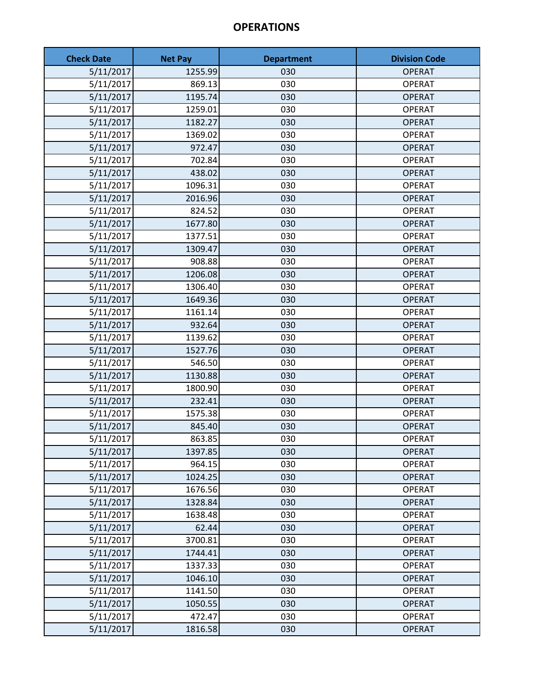| <b>Check Date</b> | <b>Net Pay</b> | <b>Department</b> | <b>Division Code</b> |
|-------------------|----------------|-------------------|----------------------|
| 5/11/2017         | 1255.99        | 030               | <b>OPERAT</b>        |
| 5/11/2017         | 869.13         | 030               | <b>OPERAT</b>        |
| 5/11/2017         | 1195.74        | 030               | <b>OPERAT</b>        |
| 5/11/2017         | 1259.01        | 030               | <b>OPERAT</b>        |
| 5/11/2017         | 1182.27        | 030               | <b>OPERAT</b>        |
| 5/11/2017         | 1369.02        | 030               | <b>OPERAT</b>        |
| 5/11/2017         | 972.47         | 030               | <b>OPERAT</b>        |
| 5/11/2017         | 702.84         | 030               | <b>OPERAT</b>        |
| 5/11/2017         | 438.02         | 030               | <b>OPERAT</b>        |
| 5/11/2017         | 1096.31        | 030               | <b>OPERAT</b>        |
| 5/11/2017         | 2016.96        | 030               | <b>OPERAT</b>        |
| 5/11/2017         | 824.52         | 030               | <b>OPERAT</b>        |
| 5/11/2017         | 1677.80        | 030               | <b>OPERAT</b>        |
| 5/11/2017         | 1377.51        | 030               | <b>OPERAT</b>        |
| 5/11/2017         | 1309.47        | 030               | <b>OPERAT</b>        |
| 5/11/2017         | 908.88         | 030               | <b>OPERAT</b>        |
| 5/11/2017         | 1206.08        | 030               | <b>OPERAT</b>        |
| 5/11/2017         | 1306.40        | 030               | <b>OPERAT</b>        |
| 5/11/2017         | 1649.36        | 030               | <b>OPERAT</b>        |
| 5/11/2017         | 1161.14        | 030               | <b>OPERAT</b>        |
| 5/11/2017         | 932.64         | 030               | <b>OPERAT</b>        |
| 5/11/2017         | 1139.62        | 030               | <b>OPERAT</b>        |
| 5/11/2017         | 1527.76        | 030               | <b>OPERAT</b>        |
| 5/11/2017         | 546.50         | 030               | <b>OPERAT</b>        |
| 5/11/2017         | 1130.88        | 030               | <b>OPERAT</b>        |
| 5/11/2017         | 1800.90        | 030               | <b>OPERAT</b>        |
| 5/11/2017         | 232.41         | 030               | <b>OPERAT</b>        |
| 5/11/2017         | 1575.38        | 030               | <b>OPERAT</b>        |
| 5/11/2017         | 845.40         | 030               | <b>OPERAT</b>        |
| 5/11/2017         | 863.85         | 030               | <b>OPERAT</b>        |
| 5/11/2017         | 1397.85        | 030               | <b>OPERAT</b>        |
| 5/11/2017         | 964.15         | 030               | <b>OPERAT</b>        |
| 5/11/2017         | 1024.25        | 030               | <b>OPERAT</b>        |
| 5/11/2017         | 1676.56        | 030               | <b>OPERAT</b>        |
| 5/11/2017         | 1328.84        | 030               | <b>OPERAT</b>        |
| 5/11/2017         | 1638.48        | 030               | <b>OPERAT</b>        |
| 5/11/2017         | 62.44          | 030               | <b>OPERAT</b>        |
| 5/11/2017         | 3700.81        | 030               | <b>OPERAT</b>        |
| 5/11/2017         | 1744.41        | 030               | <b>OPERAT</b>        |
| 5/11/2017         | 1337.33        | 030               | <b>OPERAT</b>        |
| 5/11/2017         | 1046.10        | 030               | <b>OPERAT</b>        |
| 5/11/2017         | 1141.50        | 030               | <b>OPERAT</b>        |
| 5/11/2017         | 1050.55        | 030               | <b>OPERAT</b>        |
| 5/11/2017         | 472.47         | 030               | <b>OPERAT</b>        |
| 5/11/2017         | 1816.58        | 030               | <b>OPERAT</b>        |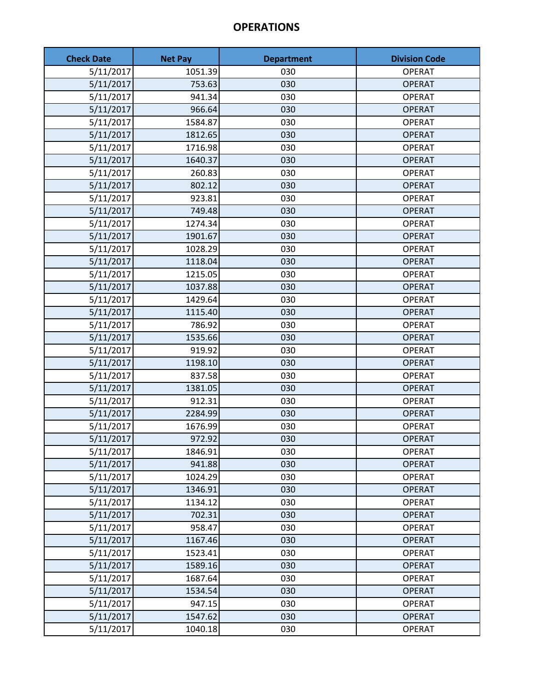| <b>Check Date</b> | <b>Net Pay</b> | <b>Department</b> | <b>Division Code</b> |
|-------------------|----------------|-------------------|----------------------|
| 5/11/2017         | 1051.39        | 030               | <b>OPERAT</b>        |
| 5/11/2017         | 753.63         | 030               | <b>OPERAT</b>        |
| 5/11/2017         | 941.34         | 030               | <b>OPERAT</b>        |
| 5/11/2017         | 966.64         | 030               | <b>OPERAT</b>        |
| 5/11/2017         | 1584.87        | 030               | <b>OPERAT</b>        |
| 5/11/2017         | 1812.65        | 030               | <b>OPERAT</b>        |
| 5/11/2017         | 1716.98        | 030               | <b>OPERAT</b>        |
| 5/11/2017         | 1640.37        | 030               | <b>OPERAT</b>        |
| 5/11/2017         | 260.83         | 030               | <b>OPERAT</b>        |
| 5/11/2017         | 802.12         | 030               | <b>OPERAT</b>        |
| 5/11/2017         | 923.81         | 030               | <b>OPERAT</b>        |
| 5/11/2017         | 749.48         | 030               | <b>OPERAT</b>        |
| 5/11/2017         | 1274.34        | 030               | <b>OPERAT</b>        |
| 5/11/2017         | 1901.67        | 030               | <b>OPERAT</b>        |
| 5/11/2017         | 1028.29        | 030               | <b>OPERAT</b>        |
| 5/11/2017         | 1118.04        | 030               | <b>OPERAT</b>        |
| 5/11/2017         | 1215.05        | 030               | <b>OPERAT</b>        |
| 5/11/2017         | 1037.88        | 030               | <b>OPERAT</b>        |
| 5/11/2017         | 1429.64        | 030               | <b>OPERAT</b>        |
| 5/11/2017         | 1115.40        | 030               | <b>OPERAT</b>        |
| 5/11/2017         | 786.92         | 030               | <b>OPERAT</b>        |
| 5/11/2017         | 1535.66        | 030               | <b>OPERAT</b>        |
| 5/11/2017         | 919.92         | 030               | <b>OPERAT</b>        |
| 5/11/2017         | 1198.10        | 030               | <b>OPERAT</b>        |
| 5/11/2017         | 837.58         | 030               | <b>OPERAT</b>        |
| 5/11/2017         | 1381.05        | 030               | <b>OPERAT</b>        |
| 5/11/2017         | 912.31         | 030               | <b>OPERAT</b>        |
| 5/11/2017         | 2284.99        | 030               | <b>OPERAT</b>        |
| 5/11/2017         | 1676.99        | 030               | <b>OPERAT</b>        |
| 5/11/2017         | 972.92         | 030               | <b>OPERAT</b>        |
| 5/11/2017         | 1846.91        | 030               | <b>OPERAT</b>        |
| 5/11/2017         | 941.88         | 030               | <b>OPERAT</b>        |
| 5/11/2017         | 1024.29        | 030               | <b>OPERAT</b>        |
| 5/11/2017         | 1346.91        | 030               | <b>OPERAT</b>        |
| 5/11/2017         | 1134.12        | 030               | <b>OPERAT</b>        |
| 5/11/2017         | 702.31         | 030               | <b>OPERAT</b>        |
| 5/11/2017         | 958.47         | 030               | <b>OPERAT</b>        |
| 5/11/2017         | 1167.46        | 030               | <b>OPERAT</b>        |
| 5/11/2017         | 1523.41        | 030               | <b>OPERAT</b>        |
| 5/11/2017         | 1589.16        | 030               | <b>OPERAT</b>        |
| 5/11/2017         | 1687.64        | 030               | <b>OPERAT</b>        |
| 5/11/2017         | 1534.54        | 030               | <b>OPERAT</b>        |
| 5/11/2017         | 947.15         | 030               | <b>OPERAT</b>        |
| 5/11/2017         | 1547.62        | 030               | <b>OPERAT</b>        |
| 5/11/2017         | 1040.18        | 030               | <b>OPERAT</b>        |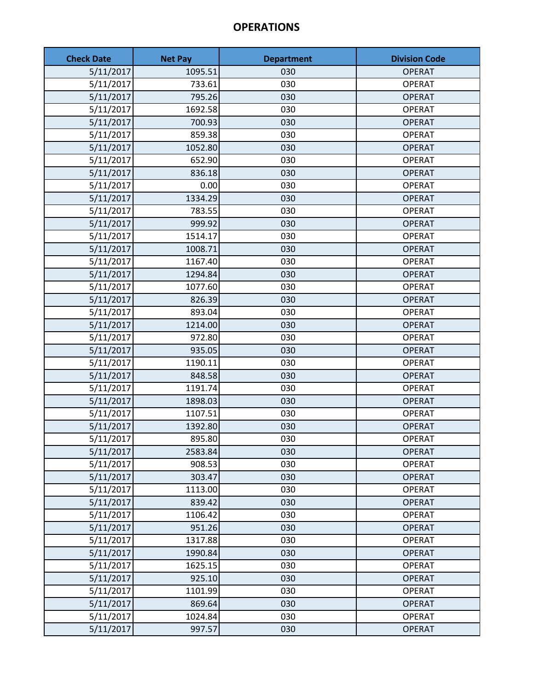| <b>Check Date</b> | <b>Net Pay</b> | <b>Department</b> | <b>Division Code</b> |
|-------------------|----------------|-------------------|----------------------|
| 5/11/2017         | 1095.51        | 030               | <b>OPERAT</b>        |
| 5/11/2017         | 733.61         | 030               | <b>OPERAT</b>        |
| 5/11/2017         | 795.26         | 030               | <b>OPERAT</b>        |
| 5/11/2017         | 1692.58        | 030               | <b>OPERAT</b>        |
| 5/11/2017         | 700.93         | 030               | <b>OPERAT</b>        |
| 5/11/2017         | 859.38         | 030               | <b>OPERAT</b>        |
| 5/11/2017         | 1052.80        | 030               | <b>OPERAT</b>        |
| 5/11/2017         | 652.90         | 030               | <b>OPERAT</b>        |
| 5/11/2017         | 836.18         | 030               | <b>OPERAT</b>        |
| 5/11/2017         | 0.00           | 030               | <b>OPERAT</b>        |
| 5/11/2017         | 1334.29        | 030               | <b>OPERAT</b>        |
| 5/11/2017         | 783.55         | 030               | <b>OPERAT</b>        |
| 5/11/2017         | 999.92         | 030               | <b>OPERAT</b>        |
| 5/11/2017         | 1514.17        | 030               | <b>OPERAT</b>        |
| 5/11/2017         | 1008.71        | 030               | <b>OPERAT</b>        |
| 5/11/2017         | 1167.40        | 030               | <b>OPERAT</b>        |
| 5/11/2017         | 1294.84        | 030               | <b>OPERAT</b>        |
| 5/11/2017         | 1077.60        | 030               | <b>OPERAT</b>        |
| 5/11/2017         | 826.39         | 030               | <b>OPERAT</b>        |
| 5/11/2017         | 893.04         | 030               | <b>OPERAT</b>        |
| 5/11/2017         | 1214.00        | 030               | <b>OPERAT</b>        |
| 5/11/2017         | 972.80         | 030               | <b>OPERAT</b>        |
| 5/11/2017         | 935.05         | 030               | <b>OPERAT</b>        |
| 5/11/2017         | 1190.11        | 030               | <b>OPERAT</b>        |
| 5/11/2017         | 848.58         | 030               | <b>OPERAT</b>        |
| 5/11/2017         | 1191.74        | 030               | <b>OPERAT</b>        |
| 5/11/2017         | 1898.03        | 030               | <b>OPERAT</b>        |
| 5/11/2017         | 1107.51        | 030               | <b>OPERAT</b>        |
| 5/11/2017         | 1392.80        | 030               | <b>OPERAT</b>        |
| 5/11/2017         | 895.80         | 030               | <b>OPERAT</b>        |
| 5/11/2017         | 2583.84        | 030               | <b>OPERAT</b>        |
| 5/11/2017         | 908.53         | 030               | <b>OPERAT</b>        |
| 5/11/2017         | 303.47         | 030               | <b>OPERAT</b>        |
| 5/11/2017         | 1113.00        | 030               | <b>OPERAT</b>        |
| 5/11/2017         | 839.42         | 030               | <b>OPERAT</b>        |
| 5/11/2017         | 1106.42        | 030               | <b>OPERAT</b>        |
| 5/11/2017         | 951.26         | 030               | <b>OPERAT</b>        |
| 5/11/2017         | 1317.88        | 030               | <b>OPERAT</b>        |
| 5/11/2017         | 1990.84        | 030               | <b>OPERAT</b>        |
| 5/11/2017         | 1625.15        | 030               | <b>OPERAT</b>        |
| 5/11/2017         | 925.10         | 030               | <b>OPERAT</b>        |
| 5/11/2017         | 1101.99        | 030               | <b>OPERAT</b>        |
| 5/11/2017         | 869.64         | 030               | <b>OPERAT</b>        |
| 5/11/2017         | 1024.84        | 030               | <b>OPERAT</b>        |
| 5/11/2017         | 997.57         | 030               | <b>OPERAT</b>        |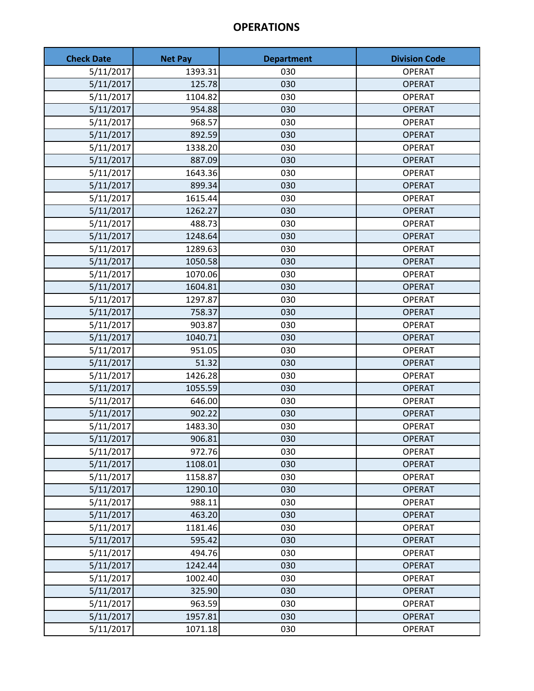| <b>Check Date</b> | <b>Net Pay</b> | <b>Department</b> | <b>Division Code</b> |
|-------------------|----------------|-------------------|----------------------|
| 5/11/2017         | 1393.31        | 030               | <b>OPERAT</b>        |
| 5/11/2017         | 125.78         | 030               | <b>OPERAT</b>        |
| 5/11/2017         | 1104.82        | 030               | <b>OPERAT</b>        |
| 5/11/2017         | 954.88         | 030               | <b>OPERAT</b>        |
| 5/11/2017         | 968.57         | 030               | <b>OPERAT</b>        |
| 5/11/2017         | 892.59         | 030               | <b>OPERAT</b>        |
| 5/11/2017         | 1338.20        | 030               | <b>OPERAT</b>        |
| 5/11/2017         | 887.09         | 030               | <b>OPERAT</b>        |
| 5/11/2017         | 1643.36        | 030               | <b>OPERAT</b>        |
| 5/11/2017         | 899.34         | 030               | <b>OPERAT</b>        |
| 5/11/2017         | 1615.44        | 030               | <b>OPERAT</b>        |
| 5/11/2017         | 1262.27        | 030               | <b>OPERAT</b>        |
| 5/11/2017         | 488.73         | 030               | <b>OPERAT</b>        |
| 5/11/2017         | 1248.64        | 030               | <b>OPERAT</b>        |
| 5/11/2017         | 1289.63        | 030               | <b>OPERAT</b>        |
| 5/11/2017         | 1050.58        | 030               | <b>OPERAT</b>        |
| 5/11/2017         | 1070.06        | 030               | <b>OPERAT</b>        |
| 5/11/2017         | 1604.81        | 030               | <b>OPERAT</b>        |
| 5/11/2017         | 1297.87        | 030               | <b>OPERAT</b>        |
| 5/11/2017         | 758.37         | 030               | <b>OPERAT</b>        |
| 5/11/2017         | 903.87         | 030               | <b>OPERAT</b>        |
| 5/11/2017         | 1040.71        | 030               | <b>OPERAT</b>        |
| 5/11/2017         | 951.05         | 030               | <b>OPERAT</b>        |
| 5/11/2017         | 51.32          | 030               | <b>OPERAT</b>        |
| 5/11/2017         | 1426.28        | 030               | <b>OPERAT</b>        |
| 5/11/2017         | 1055.59        | 030               | <b>OPERAT</b>        |
| 5/11/2017         | 646.00         | 030               | <b>OPERAT</b>        |
| 5/11/2017         | 902.22         | 030               | <b>OPERAT</b>        |
| 5/11/2017         | 1483.30        | 030               | <b>OPERAT</b>        |
| 5/11/2017         | 906.81         | 030               | <b>OPERAT</b>        |
| 5/11/2017         | 972.76         | 030               | <b>OPERAT</b>        |
| 5/11/2017         | 1108.01        | 030               | <b>OPERAT</b>        |
| 5/11/2017         | 1158.87        | 030               | <b>OPERAT</b>        |
| 5/11/2017         | 1290.10        | 030               | <b>OPERAT</b>        |
| 5/11/2017         | 988.11         | 030               | <b>OPERAT</b>        |
| 5/11/2017         | 463.20         | 030               | <b>OPERAT</b>        |
| 5/11/2017         | 1181.46        | 030               | <b>OPERAT</b>        |
| 5/11/2017         | 595.42         | 030               | <b>OPERAT</b>        |
| 5/11/2017         | 494.76         | 030               | <b>OPERAT</b>        |
| 5/11/2017         | 1242.44        | 030               | <b>OPERAT</b>        |
| 5/11/2017         | 1002.40        | 030               | <b>OPERAT</b>        |
| 5/11/2017         | 325.90         | 030               | <b>OPERAT</b>        |
| 5/11/2017         | 963.59         | 030               | <b>OPERAT</b>        |
| 5/11/2017         | 1957.81        | 030               | <b>OPERAT</b>        |
| 5/11/2017         | 1071.18        | 030               | <b>OPERAT</b>        |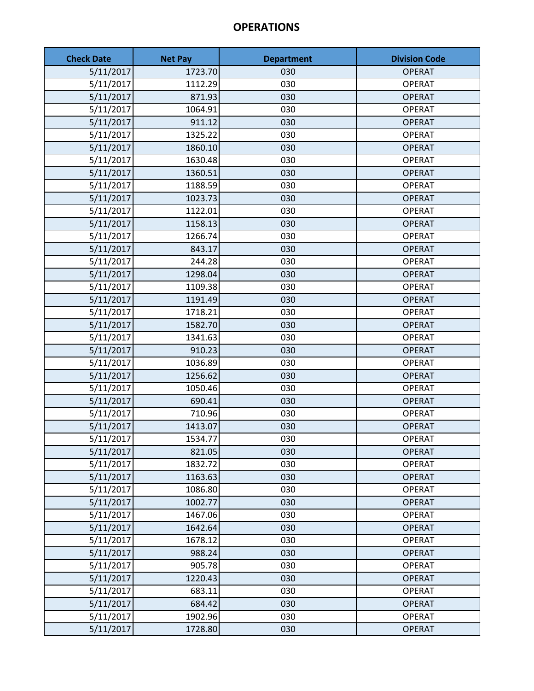| <b>Check Date</b> | <b>Net Pay</b> | <b>Department</b> | <b>Division Code</b> |
|-------------------|----------------|-------------------|----------------------|
| 5/11/2017         | 1723.70        | 030               | <b>OPERAT</b>        |
| 5/11/2017         | 1112.29        | 030               | <b>OPERAT</b>        |
| 5/11/2017         | 871.93         | 030               | <b>OPERAT</b>        |
| 5/11/2017         | 1064.91        | 030               | <b>OPERAT</b>        |
| 5/11/2017         | 911.12         | 030               | <b>OPERAT</b>        |
| 5/11/2017         | 1325.22        | 030               | <b>OPERAT</b>        |
| 5/11/2017         | 1860.10        | 030               | <b>OPERAT</b>        |
| 5/11/2017         | 1630.48        | 030               | <b>OPERAT</b>        |
| 5/11/2017         | 1360.51        | 030               | <b>OPERAT</b>        |
| 5/11/2017         | 1188.59        | 030               | <b>OPERAT</b>        |
| 5/11/2017         | 1023.73        | 030               | <b>OPERAT</b>        |
| 5/11/2017         | 1122.01        | 030               | <b>OPERAT</b>        |
| 5/11/2017         | 1158.13        | 030               | <b>OPERAT</b>        |
| 5/11/2017         | 1266.74        | 030               | <b>OPERAT</b>        |
| 5/11/2017         | 843.17         | 030               | <b>OPERAT</b>        |
| 5/11/2017         | 244.28         | 030               | <b>OPERAT</b>        |
| 5/11/2017         | 1298.04        | 030               | <b>OPERAT</b>        |
| 5/11/2017         | 1109.38        | 030               | <b>OPERAT</b>        |
| 5/11/2017         | 1191.49        | 030               | <b>OPERAT</b>        |
| 5/11/2017         | 1718.21        | 030               | <b>OPERAT</b>        |
| 5/11/2017         | 1582.70        | 030               | <b>OPERAT</b>        |
| 5/11/2017         | 1341.63        | 030               | <b>OPERAT</b>        |
| 5/11/2017         | 910.23         | 030               | <b>OPERAT</b>        |
| 5/11/2017         | 1036.89        | 030               | <b>OPERAT</b>        |
| 5/11/2017         | 1256.62        | 030               | <b>OPERAT</b>        |
| 5/11/2017         | 1050.46        | 030               | <b>OPERAT</b>        |
| 5/11/2017         | 690.41         | 030               | <b>OPERAT</b>        |
| 5/11/2017         | 710.96         | 030               | <b>OPERAT</b>        |
| 5/11/2017         | 1413.07        | 030               | <b>OPERAT</b>        |
| 5/11/2017         | 1534.77        | 030               | <b>OPERAT</b>        |
| 5/11/2017         | 821.05         | 030               | <b>OPERAT</b>        |
| 5/11/2017         | 1832.72        | 030               | <b>OPERAT</b>        |
| 5/11/2017         | 1163.63        | 030               | <b>OPERAT</b>        |
| 5/11/2017         | 1086.80        | 030               | <b>OPERAT</b>        |
| 5/11/2017         | 1002.77        | 030               | <b>OPERAT</b>        |
| 5/11/2017         | 1467.06        | 030               | <b>OPERAT</b>        |
| 5/11/2017         | 1642.64        | 030               | <b>OPERAT</b>        |
| 5/11/2017         | 1678.12        | 030               | <b>OPERAT</b>        |
| 5/11/2017         | 988.24         | 030               | <b>OPERAT</b>        |
| 5/11/2017         | 905.78         | 030               | <b>OPERAT</b>        |
| 5/11/2017         | 1220.43        | 030               | <b>OPERAT</b>        |
| 5/11/2017         | 683.11         | 030               | <b>OPERAT</b>        |
| 5/11/2017         | 684.42         | 030               | <b>OPERAT</b>        |
| 5/11/2017         | 1902.96        | 030               | <b>OPERAT</b>        |
| 5/11/2017         | 1728.80        | 030               | <b>OPERAT</b>        |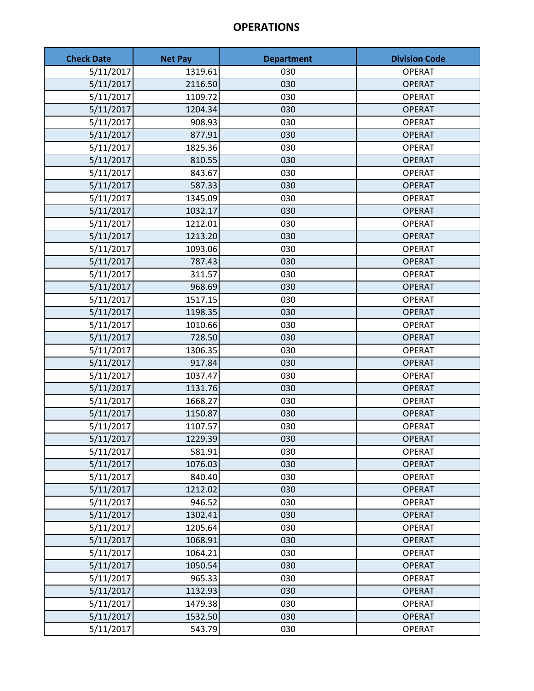| <b>Check Date</b> | <b>Net Pay</b> | <b>Department</b> | <b>Division Code</b> |
|-------------------|----------------|-------------------|----------------------|
| 5/11/2017         | 1319.61        | 030               | <b>OPERAT</b>        |
| 5/11/2017         | 2116.50        | 030               | <b>OPERAT</b>        |
| 5/11/2017         | 1109.72        | 030               | <b>OPERAT</b>        |
| 5/11/2017         | 1204.34        | 030               | <b>OPERAT</b>        |
| 5/11/2017         | 908.93         | 030               | <b>OPERAT</b>        |
| 5/11/2017         | 877.91         | 030               | <b>OPERAT</b>        |
| 5/11/2017         | 1825.36        | 030               | <b>OPERAT</b>        |
| 5/11/2017         | 810.55         | 030               | <b>OPERAT</b>        |
| 5/11/2017         | 843.67         | 030               | <b>OPERAT</b>        |
| 5/11/2017         | 587.33         | 030               | <b>OPERAT</b>        |
| 5/11/2017         | 1345.09        | 030               | <b>OPERAT</b>        |
| 5/11/2017         | 1032.17        | 030               | <b>OPERAT</b>        |
| 5/11/2017         | 1212.01        | 030               | <b>OPERAT</b>        |
| 5/11/2017         | 1213.20        | 030               | <b>OPERAT</b>        |
| 5/11/2017         | 1093.06        | 030               | <b>OPERAT</b>        |
| 5/11/2017         | 787.43         | 030               | <b>OPERAT</b>        |
| 5/11/2017         | 311.57         | 030               | <b>OPERAT</b>        |
| 5/11/2017         | 968.69         | 030               | <b>OPERAT</b>        |
| 5/11/2017         | 1517.15        | 030               | <b>OPERAT</b>        |
| 5/11/2017         | 1198.35        | 030               | <b>OPERAT</b>        |
| 5/11/2017         | 1010.66        | 030               | <b>OPERAT</b>        |
| 5/11/2017         | 728.50         | 030               | <b>OPERAT</b>        |
| 5/11/2017         | 1306.35        | 030               | <b>OPERAT</b>        |
| 5/11/2017         | 917.84         | 030               | <b>OPERAT</b>        |
| 5/11/2017         | 1037.47        | 030               | <b>OPERAT</b>        |
| 5/11/2017         | 1131.76        | 030               | <b>OPERAT</b>        |
| 5/11/2017         | 1668.27        | 030               | <b>OPERAT</b>        |
| 5/11/2017         | 1150.87        | 030               | <b>OPERAT</b>        |
| 5/11/2017         | 1107.57        | 030               | <b>OPERAT</b>        |
| 5/11/2017         | 1229.39        | 030               | <b>OPERAT</b>        |
| 5/11/2017         | 581.91         | 030               | <b>OPERAT</b>        |
| 5/11/2017         | 1076.03        | 030               | <b>OPERAT</b>        |
| 5/11/2017         | 840.40         | 030               | <b>OPERAT</b>        |
| 5/11/2017         | 1212.02        | 030               | <b>OPERAT</b>        |
| 5/11/2017         | 946.52         | 030               | <b>OPERAT</b>        |
| 5/11/2017         | 1302.41        | 030               | <b>OPERAT</b>        |
| 5/11/2017         | 1205.64        | 030               | <b>OPERAT</b>        |
| 5/11/2017         | 1068.91        | 030               | <b>OPERAT</b>        |
| 5/11/2017         | 1064.21        | 030               | <b>OPERAT</b>        |
| 5/11/2017         | 1050.54        | 030               | <b>OPERAT</b>        |
| 5/11/2017         | 965.33         | 030               | <b>OPERAT</b>        |
| 5/11/2017         | 1132.93        | 030               | <b>OPERAT</b>        |
| 5/11/2017         | 1479.38        | 030               | <b>OPERAT</b>        |
| 5/11/2017         | 1532.50        | 030               | <b>OPERAT</b>        |
| 5/11/2017         | 543.79         | 030               | <b>OPERAT</b>        |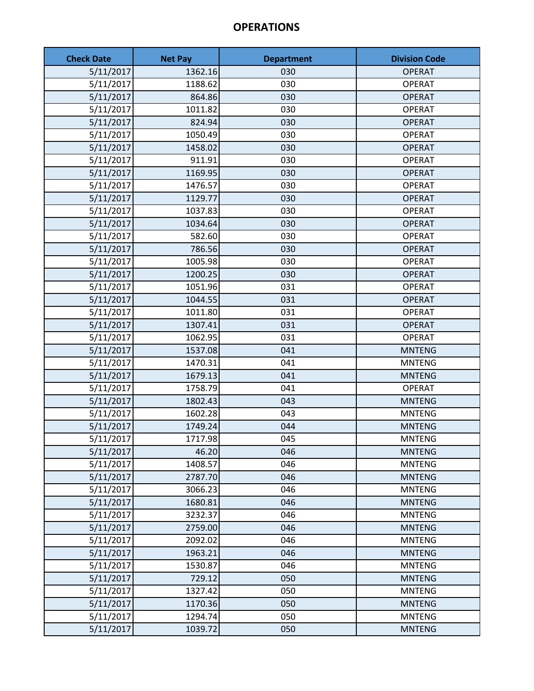| <b>Check Date</b> | <b>Net Pay</b> | <b>Department</b> | <b>Division Code</b> |
|-------------------|----------------|-------------------|----------------------|
| 5/11/2017         | 1362.16        | 030               | <b>OPERAT</b>        |
| 5/11/2017         | 1188.62        | 030               | <b>OPERAT</b>        |
| 5/11/2017         | 864.86         | 030               | <b>OPERAT</b>        |
| 5/11/2017         | 1011.82        | 030               | <b>OPERAT</b>        |
| 5/11/2017         | 824.94         | 030               | <b>OPERAT</b>        |
| 5/11/2017         | 1050.49        | 030               | <b>OPERAT</b>        |
| 5/11/2017         | 1458.02        | 030               | <b>OPERAT</b>        |
| 5/11/2017         | 911.91         | 030               | <b>OPERAT</b>        |
| 5/11/2017         | 1169.95        | 030               | <b>OPERAT</b>        |
| 5/11/2017         | 1476.57        | 030               | <b>OPERAT</b>        |
| 5/11/2017         | 1129.77        | 030               | <b>OPERAT</b>        |
| 5/11/2017         | 1037.83        | 030               | <b>OPERAT</b>        |
| 5/11/2017         | 1034.64        | 030               | <b>OPERAT</b>        |
| 5/11/2017         | 582.60         | 030               | <b>OPERAT</b>        |
| 5/11/2017         | 786.56         | 030               | <b>OPERAT</b>        |
| 5/11/2017         | 1005.98        | 030               | <b>OPERAT</b>        |
| 5/11/2017         | 1200.25        | 030               | <b>OPERAT</b>        |
| 5/11/2017         | 1051.96        | 031               | <b>OPERAT</b>        |
| 5/11/2017         | 1044.55        | 031               | <b>OPERAT</b>        |
| 5/11/2017         | 1011.80        | 031               | <b>OPERAT</b>        |
| 5/11/2017         | 1307.41        | 031               | <b>OPERAT</b>        |
| 5/11/2017         | 1062.95        | 031               | <b>OPERAT</b>        |
| 5/11/2017         | 1537.08        | 041               | <b>MNTENG</b>        |
| 5/11/2017         | 1470.31        | 041               | <b>MNTENG</b>        |
| 5/11/2017         | 1679.13        | 041               | <b>MNTENG</b>        |
| 5/11/2017         | 1758.79        | 041               | <b>OPERAT</b>        |
| 5/11/2017         | 1802.43        | 043               | <b>MNTENG</b>        |
| 5/11/2017         | 1602.28        | 043               | <b>MNTENG</b>        |
| 5/11/2017         | 1749.24        | 044               | <b>MNTENG</b>        |
| 5/11/2017         | 1717.98        | 045               | <b>MNTENG</b>        |
| 5/11/2017         | 46.20          | 046               | <b>MNTENG</b>        |
| 5/11/2017         | 1408.57        | 046               | <b>MNTENG</b>        |
| 5/11/2017         | 2787.70        | 046               | <b>MNTENG</b>        |
| 5/11/2017         | 3066.23        | 046               | <b>MNTENG</b>        |
| 5/11/2017         | 1680.81        | 046               | <b>MNTENG</b>        |
| 5/11/2017         | 3232.37        | 046               | <b>MNTENG</b>        |
| 5/11/2017         | 2759.00        | 046               | <b>MNTENG</b>        |
| 5/11/2017         | 2092.02        | 046               | <b>MNTENG</b>        |
| 5/11/2017         | 1963.21        | 046               | <b>MNTENG</b>        |
| 5/11/2017         | 1530.87        | 046               | <b>MNTENG</b>        |
| 5/11/2017         | 729.12         | 050               | <b>MNTENG</b>        |
| 5/11/2017         | 1327.42        | 050               | <b>MNTENG</b>        |
| 5/11/2017         | 1170.36        | 050               | <b>MNTENG</b>        |
| 5/11/2017         | 1294.74        | 050               | <b>MNTENG</b>        |
| 5/11/2017         | 1039.72        | 050               | <b>MNTENG</b>        |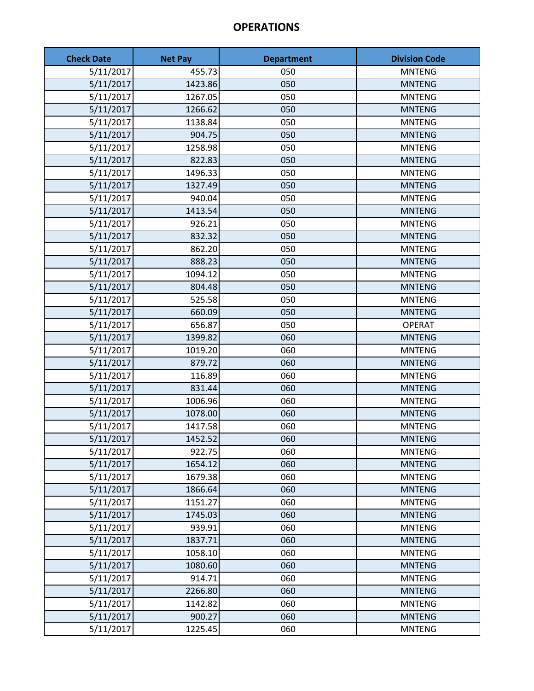| <b>Check Date</b> | <b>Net Pay</b> | <b>Department</b> | <b>Division Code</b> |
|-------------------|----------------|-------------------|----------------------|
| 5/11/2017         | 455.73         | 050               | <b>MNTENG</b>        |
| 5/11/2017         | 1423.86        | 050               | <b>MNTENG</b>        |
| 5/11/2017         | 1267.05        | 050               | <b>MNTENG</b>        |
| 5/11/2017         | 1266.62        | 050               | <b>MNTENG</b>        |
| 5/11/2017         | 1138.84        | 050               | <b>MNTENG</b>        |
| 5/11/2017         | 904.75         | 050               | <b>MNTENG</b>        |
| 5/11/2017         | 1258.98        | 050               | <b>MNTENG</b>        |
| 5/11/2017         | 822.83         | 050               | <b>MNTENG</b>        |
| 5/11/2017         | 1496.33        | 050               | <b>MNTENG</b>        |
| 5/11/2017         | 1327.49        | 050               | <b>MNTENG</b>        |
| 5/11/2017         | 940.04         | 050               | <b>MNTENG</b>        |
| 5/11/2017         | 1413.54        | 050               | <b>MNTENG</b>        |
| 5/11/2017         | 926.21         | 050               | <b>MNTENG</b>        |
| 5/11/2017         | 832.32         | 050               | <b>MNTENG</b>        |
| 5/11/2017         | 862.20         | 050               | <b>MNTENG</b>        |
| 5/11/2017         | 888.23         | 050               | <b>MNTENG</b>        |
| 5/11/2017         | 1094.12        | 050               | <b>MNTENG</b>        |
| 5/11/2017         | 804.48         | 050               | <b>MNTENG</b>        |
| 5/11/2017         | 525.58         | 050               | <b>MNTENG</b>        |
| 5/11/2017         | 660.09         | 050               | <b>MNTENG</b>        |
| 5/11/2017         | 656.87         | 050               | <b>OPERAT</b>        |
| 5/11/2017         | 1399.82        | 060               | <b>MNTENG</b>        |
| 5/11/2017         | 1019.20        | 060               | <b>MNTENG</b>        |
| 5/11/2017         | 879.72         | 060               | <b>MNTENG</b>        |
| 5/11/2017         | 116.89         | 060               | <b>MNTENG</b>        |
| 5/11/2017         | 831.44         | 060               | <b>MNTENG</b>        |
| 5/11/2017         | 1006.96        | 060               | <b>MNTENG</b>        |
| 5/11/2017         | 1078.00        | 060               | <b>MNTENG</b>        |
| 5/11/2017         | 1417.58        | 060               | <b>MNTENG</b>        |
| 5/11/2017         | 1452.52        | 060               | <b>MNTENG</b>        |
| 5/11/2017         | 922.75         | 060               | <b>MNTENG</b>        |
| 5/11/2017         | 1654.12        | 060               | <b>MNTENG</b>        |
| 5/11/2017         | 1679.38        | 060               | <b>MNTENG</b>        |
| 5/11/2017         | 1866.64        | 060               | <b>MNTENG</b>        |
| 5/11/2017         | 1151.27        | 060               | <b>MNTENG</b>        |
| 5/11/2017         | 1745.03        | 060               | <b>MNTENG</b>        |
| 5/11/2017         | 939.91         | 060               | <b>MNTENG</b>        |
| 5/11/2017         | 1837.71        | 060               | <b>MNTENG</b>        |
| 5/11/2017         | 1058.10        | 060               | <b>MNTENG</b>        |
| 5/11/2017         | 1080.60        | 060               | <b>MNTENG</b>        |
| 5/11/2017         | 914.71         | 060               | <b>MNTENG</b>        |
| 5/11/2017         | 2266.80        | 060               | <b>MNTENG</b>        |
| 5/11/2017         | 1142.82        | 060               | <b>MNTENG</b>        |
| 5/11/2017         | 900.27         | 060               | <b>MNTENG</b>        |
| 5/11/2017         | 1225.45        | 060               | <b>MNTENG</b>        |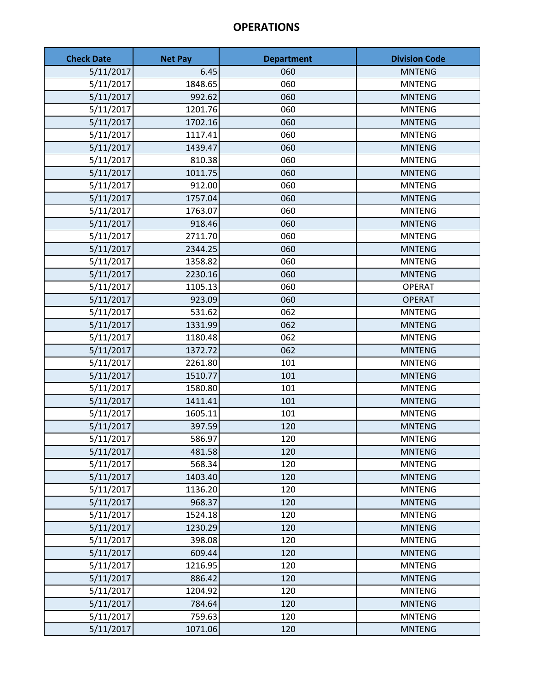| <b>Check Date</b> | <b>Net Pay</b> | <b>Department</b> | <b>Division Code</b> |
|-------------------|----------------|-------------------|----------------------|
| 5/11/2017         | 6.45           | 060               | <b>MNTENG</b>        |
| 5/11/2017         | 1848.65        | 060               | <b>MNTENG</b>        |
| 5/11/2017         | 992.62         | 060               | <b>MNTENG</b>        |
| 5/11/2017         | 1201.76        | 060               | <b>MNTENG</b>        |
| 5/11/2017         | 1702.16        | 060               | <b>MNTENG</b>        |
| 5/11/2017         | 1117.41        | 060               | <b>MNTENG</b>        |
| 5/11/2017         | 1439.47        | 060               | <b>MNTENG</b>        |
| 5/11/2017         | 810.38         | 060               | <b>MNTENG</b>        |
| 5/11/2017         | 1011.75        | 060               | <b>MNTENG</b>        |
| 5/11/2017         | 912.00         | 060               | <b>MNTENG</b>        |
| 5/11/2017         | 1757.04        | 060               | <b>MNTENG</b>        |
| 5/11/2017         | 1763.07        | 060               | <b>MNTENG</b>        |
| 5/11/2017         | 918.46         | 060               | <b>MNTENG</b>        |
| 5/11/2017         | 2711.70        | 060               | <b>MNTENG</b>        |
| 5/11/2017         | 2344.25        | 060               | <b>MNTENG</b>        |
| 5/11/2017         | 1358.82        | 060               | <b>MNTENG</b>        |
| 5/11/2017         | 2230.16        | 060               | <b>MNTENG</b>        |
| 5/11/2017         | 1105.13        | 060               | <b>OPERAT</b>        |
| 5/11/2017         | 923.09         | 060               | <b>OPERAT</b>        |
| 5/11/2017         | 531.62         | 062               | <b>MNTENG</b>        |
| 5/11/2017         | 1331.99        | 062               | <b>MNTENG</b>        |
| 5/11/2017         | 1180.48        | 062               | <b>MNTENG</b>        |
| 5/11/2017         | 1372.72        | 062               | <b>MNTENG</b>        |
| 5/11/2017         | 2261.80        | 101               | <b>MNTENG</b>        |
| 5/11/2017         | 1510.77        | 101               | <b>MNTENG</b>        |
| 5/11/2017         | 1580.80        | 101               | <b>MNTENG</b>        |
| 5/11/2017         | 1411.41        | 101               | <b>MNTENG</b>        |
| 5/11/2017         | 1605.11        | 101               | <b>MNTENG</b>        |
| 5/11/2017         | 397.59         | 120               | <b>MNTENG</b>        |
| 5/11/2017         | 586.97         | 120               | <b>MNTENG</b>        |
| 5/11/2017         | 481.58         | 120               | <b>MNTENG</b>        |
| 5/11/2017         | 568.34         | 120               | <b>MNTENG</b>        |
| 5/11/2017         | 1403.40        | 120               | <b>MNTENG</b>        |
| 5/11/2017         | 1136.20        | 120               | <b>MNTENG</b>        |
| 5/11/2017         | 968.37         | 120               | <b>MNTENG</b>        |
| 5/11/2017         | 1524.18        | 120               | <b>MNTENG</b>        |
| 5/11/2017         | 1230.29        | 120               | <b>MNTENG</b>        |
| 5/11/2017         | 398.08         | 120               | <b>MNTENG</b>        |
| 5/11/2017         | 609.44         | 120               | <b>MNTENG</b>        |
| 5/11/2017         | 1216.95        | 120               | <b>MNTENG</b>        |
| 5/11/2017         | 886.42         | 120               | <b>MNTENG</b>        |
| 5/11/2017         | 1204.92        | 120               | <b>MNTENG</b>        |
| 5/11/2017         | 784.64         | 120               | <b>MNTENG</b>        |
| 5/11/2017         | 759.63         | 120               | <b>MNTENG</b>        |
| 5/11/2017         | 1071.06        | 120               | <b>MNTENG</b>        |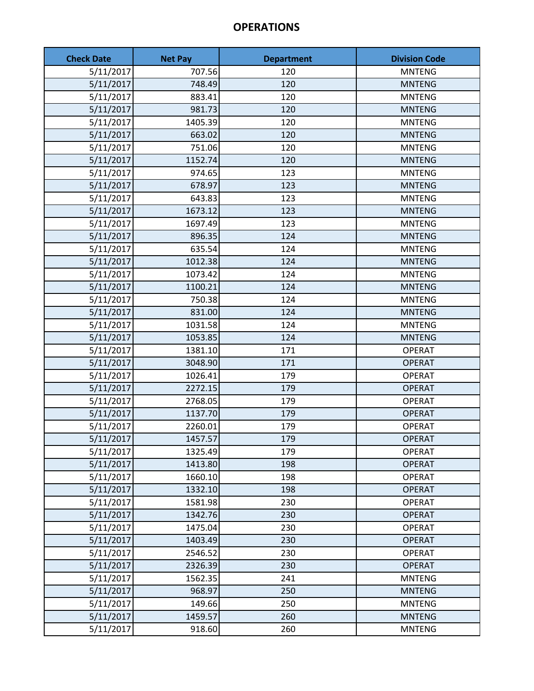| <b>Check Date</b> | <b>Net Pay</b> | <b>Department</b> | <b>Division Code</b> |
|-------------------|----------------|-------------------|----------------------|
| 5/11/2017         | 707.56         | 120               | <b>MNTENG</b>        |
| 5/11/2017         | 748.49         | 120               | <b>MNTENG</b>        |
| 5/11/2017         | 883.41         | 120               | <b>MNTENG</b>        |
| 5/11/2017         | 981.73         | 120               | <b>MNTENG</b>        |
| 5/11/2017         | 1405.39        | 120               | <b>MNTENG</b>        |
| 5/11/2017         | 663.02         | 120               | <b>MNTENG</b>        |
| 5/11/2017         | 751.06         | 120               | <b>MNTENG</b>        |
| 5/11/2017         | 1152.74        | 120               | <b>MNTENG</b>        |
| 5/11/2017         | 974.65         | 123               | <b>MNTENG</b>        |
| 5/11/2017         | 678.97         | 123               | <b>MNTENG</b>        |
| 5/11/2017         | 643.83         | 123               | <b>MNTENG</b>        |
| 5/11/2017         | 1673.12        | 123               | <b>MNTENG</b>        |
| 5/11/2017         | 1697.49        | 123               | <b>MNTENG</b>        |
| 5/11/2017         | 896.35         | 124               | <b>MNTENG</b>        |
| 5/11/2017         | 635.54         | 124               | <b>MNTENG</b>        |
| 5/11/2017         | 1012.38        | 124               | <b>MNTENG</b>        |
| 5/11/2017         | 1073.42        | 124               | <b>MNTENG</b>        |
| 5/11/2017         | 1100.21        | 124               | <b>MNTENG</b>        |
| 5/11/2017         | 750.38         | 124               | <b>MNTENG</b>        |
| 5/11/2017         | 831.00         | 124               | <b>MNTENG</b>        |
| 5/11/2017         | 1031.58        | 124               | <b>MNTENG</b>        |
| 5/11/2017         | 1053.85        | 124               | <b>MNTENG</b>        |
| 5/11/2017         | 1381.10        | 171               | <b>OPERAT</b>        |
| 5/11/2017         | 3048.90        | 171               | <b>OPERAT</b>        |
| 5/11/2017         | 1026.41        | 179               | <b>OPERAT</b>        |
| 5/11/2017         | 2272.15        | 179               | <b>OPERAT</b>        |
| 5/11/2017         | 2768.05        | 179               | <b>OPERAT</b>        |
| 5/11/2017         | 1137.70        | 179               | <b>OPERAT</b>        |
| 5/11/2017         | 2260.01        | 179               | <b>OPERAT</b>        |
| 5/11/2017         | 1457.57        | 179               | <b>OPERAT</b>        |
| 5/11/2017         | 1325.49        | 179               | <b>OPERAT</b>        |
| 5/11/2017         | 1413.80        | 198               | <b>OPERAT</b>        |
| 5/11/2017         | 1660.10        | 198               | <b>OPERAT</b>        |
| 5/11/2017         | 1332.10        | 198               | <b>OPERAT</b>        |
| 5/11/2017         | 1581.98        | 230               | <b>OPERAT</b>        |
| 5/11/2017         | 1342.76        | 230               | <b>OPERAT</b>        |
| 5/11/2017         | 1475.04        | 230               | <b>OPERAT</b>        |
| 5/11/2017         | 1403.49        | 230               | <b>OPERAT</b>        |
| 5/11/2017         | 2546.52        | 230               | <b>OPERAT</b>        |
| 5/11/2017         | 2326.39        | 230               | <b>OPERAT</b>        |
| 5/11/2017         | 1562.35        | 241               | <b>MNTENG</b>        |
| 5/11/2017         | 968.97         | 250               | <b>MNTENG</b>        |
| 5/11/2017         | 149.66         | 250               | <b>MNTENG</b>        |
| 5/11/2017         | 1459.57        | 260               | <b>MNTENG</b>        |
| 5/11/2017         | 918.60         | 260               | <b>MNTENG</b>        |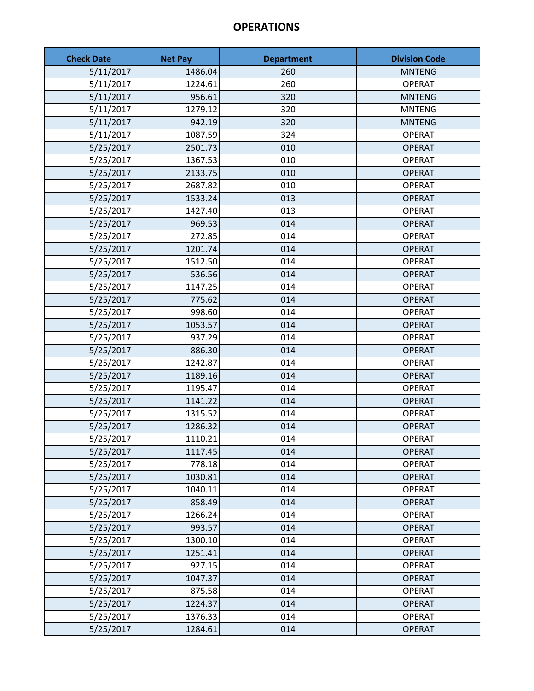| <b>Check Date</b> | <b>Net Pay</b> | <b>Department</b> | <b>Division Code</b> |
|-------------------|----------------|-------------------|----------------------|
| 5/11/2017         | 1486.04        | 260               | <b>MNTENG</b>        |
| 5/11/2017         | 1224.61        | 260               | <b>OPERAT</b>        |
| 5/11/2017         | 956.61         | 320               | <b>MNTENG</b>        |
| 5/11/2017         | 1279.12        | 320               | <b>MNTENG</b>        |
| 5/11/2017         | 942.19         | 320               | <b>MNTENG</b>        |
| 5/11/2017         | 1087.59        | 324               | <b>OPERAT</b>        |
| 5/25/2017         | 2501.73        | 010               | <b>OPERAT</b>        |
| 5/25/2017         | 1367.53        | 010               | <b>OPERAT</b>        |
| 5/25/2017         | 2133.75        | 010               | <b>OPERAT</b>        |
| 5/25/2017         | 2687.82        | 010               | <b>OPERAT</b>        |
| 5/25/2017         | 1533.24        | 013               | <b>OPERAT</b>        |
| 5/25/2017         | 1427.40        | 013               | <b>OPERAT</b>        |
| 5/25/2017         | 969.53         | 014               | <b>OPERAT</b>        |
| 5/25/2017         | 272.85         | 014               | <b>OPERAT</b>        |
| 5/25/2017         | 1201.74        | 014               | <b>OPERAT</b>        |
| 5/25/2017         | 1512.50        | 014               | <b>OPERAT</b>        |
| 5/25/2017         | 536.56         | 014               | <b>OPERAT</b>        |
| 5/25/2017         | 1147.25        | 014               | <b>OPERAT</b>        |
| 5/25/2017         | 775.62         | 014               | <b>OPERAT</b>        |
| 5/25/2017         | 998.60         | 014               | <b>OPERAT</b>        |
| 5/25/2017         | 1053.57        | 014               | <b>OPERAT</b>        |
| 5/25/2017         | 937.29         | 014               | <b>OPERAT</b>        |
| 5/25/2017         | 886.30         | 014               | <b>OPERAT</b>        |
| 5/25/2017         | 1242.87        | 014               | <b>OPERAT</b>        |
| 5/25/2017         | 1189.16        | 014               | <b>OPERAT</b>        |
| 5/25/2017         | 1195.47        | 014               | <b>OPERAT</b>        |
| 5/25/2017         | 1141.22        | 014               | <b>OPERAT</b>        |
| 5/25/2017         | 1315.52        | 014               | <b>OPERAT</b>        |
| 5/25/2017         | 1286.32        | 014               | <b>OPERAT</b>        |
| 5/25/2017         | 1110.21        | 014               | <b>OPERAT</b>        |
| 5/25/2017         | 1117.45        | 014               | <b>OPERAT</b>        |
| 5/25/2017         | 778.18         | 014               | <b>OPERAT</b>        |
| 5/25/2017         | 1030.81        | 014               | <b>OPERAT</b>        |
| 5/25/2017         | 1040.11        | 014               | <b>OPERAT</b>        |
| 5/25/2017         | 858.49         | 014               | <b>OPERAT</b>        |
| 5/25/2017         | 1266.24        | 014               | <b>OPERAT</b>        |
| 5/25/2017         | 993.57         | 014               | <b>OPERAT</b>        |
| 5/25/2017         | 1300.10        | 014               | <b>OPERAT</b>        |
| 5/25/2017         | 1251.41        | 014               | <b>OPERAT</b>        |
| 5/25/2017         | 927.15         | 014               | <b>OPERAT</b>        |
| 5/25/2017         | 1047.37        | 014               | <b>OPERAT</b>        |
| 5/25/2017         | 875.58         | 014               | <b>OPERAT</b>        |
| 5/25/2017         | 1224.37        | 014               | <b>OPERAT</b>        |
| 5/25/2017         | 1376.33        | 014               | <b>OPERAT</b>        |
| 5/25/2017         | 1284.61        | 014               | <b>OPERAT</b>        |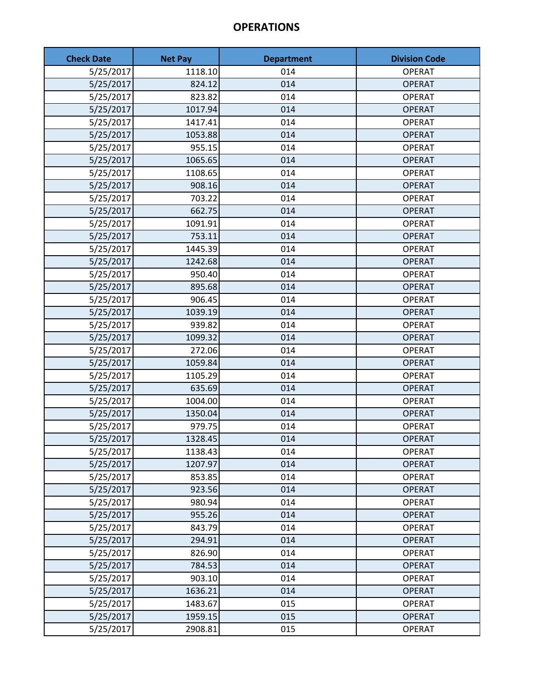| <b>Check Date</b> | <b>Net Pay</b> | <b>Department</b> | <b>Division Code</b> |
|-------------------|----------------|-------------------|----------------------|
| 5/25/2017         | 1118.10        | 014               | <b>OPERAT</b>        |
| 5/25/2017         | 824.12         | 014               | <b>OPERAT</b>        |
| 5/25/2017         | 823.82         | 014               | <b>OPERAT</b>        |
| 5/25/2017         | 1017.94        | 014               | <b>OPERAT</b>        |
| 5/25/2017         | 1417.41        | 014               | <b>OPERAT</b>        |
| 5/25/2017         | 1053.88        | 014               | <b>OPERAT</b>        |
| 5/25/2017         | 955.15         | 014               | <b>OPERAT</b>        |
| 5/25/2017         | 1065.65        | 014               | <b>OPERAT</b>        |
| 5/25/2017         | 1108.65        | 014               | <b>OPERAT</b>        |
| 5/25/2017         | 908.16         | 014               | <b>OPERAT</b>        |
| 5/25/2017         | 703.22         | 014               | <b>OPERAT</b>        |
| 5/25/2017         | 662.75         | 014               | <b>OPERAT</b>        |
| 5/25/2017         | 1091.91        | 014               | <b>OPERAT</b>        |
| 5/25/2017         | 753.11         | 014               | <b>OPERAT</b>        |
| 5/25/2017         | 1445.39        | 014               | <b>OPERAT</b>        |
| 5/25/2017         | 1242.68        | 014               | <b>OPERAT</b>        |
| 5/25/2017         | 950.40         | 014               | <b>OPERAT</b>        |
| 5/25/2017         | 895.68         | 014               | <b>OPERAT</b>        |
| 5/25/2017         | 906.45         | 014               | <b>OPERAT</b>        |
| 5/25/2017         | 1039.19        | 014               | <b>OPERAT</b>        |
| 5/25/2017         | 939.82         | 014               | <b>OPERAT</b>        |
| 5/25/2017         | 1099.32        | 014               | <b>OPERAT</b>        |
| 5/25/2017         | 272.06         | 014               | <b>OPERAT</b>        |
| 5/25/2017         | 1059.84        | 014               | <b>OPERAT</b>        |
| 5/25/2017         | 1105.29        | 014               | <b>OPERAT</b>        |
| 5/25/2017         | 635.69         | 014               | <b>OPERAT</b>        |
| 5/25/2017         | 1004.00        | 014               | <b>OPERAT</b>        |
| 5/25/2017         | 1350.04        | 014               | <b>OPERAT</b>        |
| 5/25/2017         | 979.75         | 014               | <b>OPERAT</b>        |
| 5/25/2017         | 1328.45        | 014               | <b>OPERAT</b>        |
| 5/25/2017         | 1138.43        | 014               | <b>OPERAT</b>        |
| 5/25/2017         | 1207.97        | 014               | <b>OPERAT</b>        |
| 5/25/2017         | 853.85         | 014               | <b>OPERAT</b>        |
| 5/25/2017         | 923.56         | 014               | <b>OPERAT</b>        |
| 5/25/2017         | 980.94         | 014               | <b>OPERAT</b>        |
| 5/25/2017         | 955.26         | 014               | <b>OPERAT</b>        |
| 5/25/2017         | 843.79         | 014               | <b>OPERAT</b>        |
| 5/25/2017         | 294.91         | 014               | <b>OPERAT</b>        |
| 5/25/2017         | 826.90         | 014               | <b>OPERAT</b>        |
| 5/25/2017         | 784.53         | 014               | <b>OPERAT</b>        |
| 5/25/2017         | 903.10         | 014               | <b>OPERAT</b>        |
| 5/25/2017         | 1636.21        | 014               | <b>OPERAT</b>        |
| 5/25/2017         | 1483.67        | 015               | <b>OPERAT</b>        |
| 5/25/2017         | 1959.15        | 015               | <b>OPERAT</b>        |
| 5/25/2017         | 2908.81        | 015               | <b>OPERAT</b>        |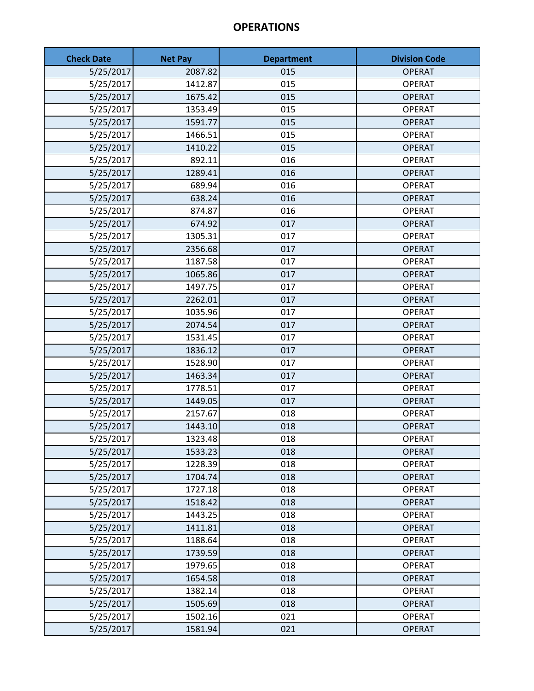| <b>Check Date</b> | <b>Net Pay</b> | <b>Department</b> | <b>Division Code</b> |
|-------------------|----------------|-------------------|----------------------|
| 5/25/2017         | 2087.82        | 015               | <b>OPERAT</b>        |
| 5/25/2017         | 1412.87        | 015               | <b>OPERAT</b>        |
| 5/25/2017         | 1675.42        | 015               | <b>OPERAT</b>        |
| 5/25/2017         | 1353.49        | 015               | <b>OPERAT</b>        |
| 5/25/2017         | 1591.77        | 015               | <b>OPERAT</b>        |
| 5/25/2017         | 1466.51        | 015               | <b>OPERAT</b>        |
| 5/25/2017         | 1410.22        | 015               | <b>OPERAT</b>        |
| 5/25/2017         | 892.11         | 016               | <b>OPERAT</b>        |
| 5/25/2017         | 1289.41        | 016               | <b>OPERAT</b>        |
| 5/25/2017         | 689.94         | 016               | <b>OPERAT</b>        |
| 5/25/2017         | 638.24         | 016               | <b>OPERAT</b>        |
| 5/25/2017         | 874.87         | 016               | <b>OPERAT</b>        |
| 5/25/2017         | 674.92         | 017               | <b>OPERAT</b>        |
| 5/25/2017         | 1305.31        | 017               | <b>OPERAT</b>        |
| 5/25/2017         | 2356.68        | 017               | <b>OPERAT</b>        |
| 5/25/2017         | 1187.58        | 017               | <b>OPERAT</b>        |
| 5/25/2017         | 1065.86        | 017               | <b>OPERAT</b>        |
| 5/25/2017         | 1497.75        | 017               | <b>OPERAT</b>        |
| 5/25/2017         | 2262.01        | 017               | <b>OPERAT</b>        |
| 5/25/2017         | 1035.96        | 017               | <b>OPERAT</b>        |
| 5/25/2017         | 2074.54        | 017               | <b>OPERAT</b>        |
| 5/25/2017         | 1531.45        | 017               | <b>OPERAT</b>        |
| 5/25/2017         | 1836.12        | 017               | <b>OPERAT</b>        |
| 5/25/2017         | 1528.90        | 017               | <b>OPERAT</b>        |
| 5/25/2017         | 1463.34        | 017               | <b>OPERAT</b>        |
| 5/25/2017         | 1778.51        | 017               | <b>OPERAT</b>        |
| 5/25/2017         | 1449.05        | 017               | <b>OPERAT</b>        |
| 5/25/2017         | 2157.67        | 018               | <b>OPERAT</b>        |
| 5/25/2017         | 1443.10        | 018               | <b>OPERAT</b>        |
| 5/25/2017         | 1323.48        | 018               | <b>OPERAT</b>        |
| 5/25/2017         | 1533.23        | 018               | <b>OPERAT</b>        |
| 5/25/2017         | 1228.39        | 018               | <b>OPERAT</b>        |
| 5/25/2017         | 1704.74        | 018               | <b>OPERAT</b>        |
| 5/25/2017         | 1727.18        | 018               | <b>OPERAT</b>        |
| 5/25/2017         | 1518.42        | 018               | <b>OPERAT</b>        |
| 5/25/2017         | 1443.25        | 018               | <b>OPERAT</b>        |
| 5/25/2017         | 1411.81        | 018               | <b>OPERAT</b>        |
| 5/25/2017         | 1188.64        | 018               | <b>OPERAT</b>        |
| 5/25/2017         | 1739.59        | 018               | <b>OPERAT</b>        |
| 5/25/2017         | 1979.65        | 018               | <b>OPERAT</b>        |
| 5/25/2017         | 1654.58        | 018               | <b>OPERAT</b>        |
| 5/25/2017         | 1382.14        | 018               | <b>OPERAT</b>        |
| 5/25/2017         | 1505.69        | 018               | <b>OPERAT</b>        |
| 5/25/2017         | 1502.16        | 021               | <b>OPERAT</b>        |
| 5/25/2017         | 1581.94        | 021               | <b>OPERAT</b>        |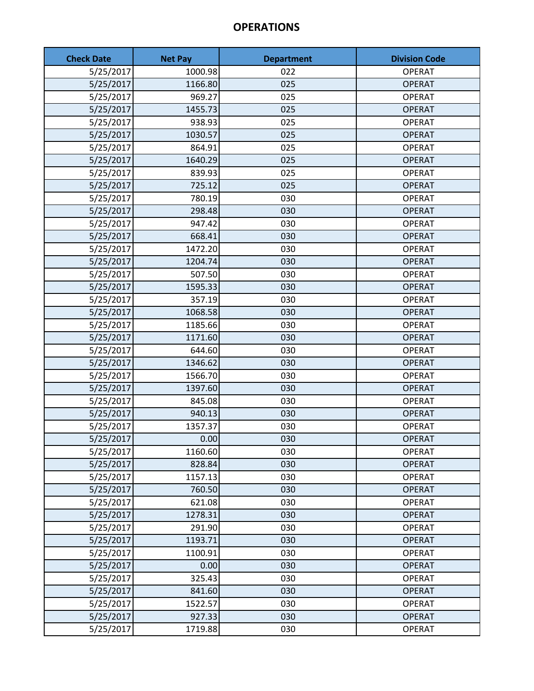| <b>Check Date</b> | <b>Net Pay</b> | <b>Department</b> | <b>Division Code</b> |
|-------------------|----------------|-------------------|----------------------|
| 5/25/2017         | 1000.98        | 022               | <b>OPERAT</b>        |
| 5/25/2017         | 1166.80        | 025               | <b>OPERAT</b>        |
| 5/25/2017         | 969.27         | 025               | <b>OPERAT</b>        |
| 5/25/2017         | 1455.73        | 025               | <b>OPERAT</b>        |
| 5/25/2017         | 938.93         | 025               | <b>OPERAT</b>        |
| 5/25/2017         | 1030.57        | 025               | <b>OPERAT</b>        |
| 5/25/2017         | 864.91         | 025               | <b>OPERAT</b>        |
| 5/25/2017         | 1640.29        | 025               | <b>OPERAT</b>        |
| 5/25/2017         | 839.93         | 025               | <b>OPERAT</b>        |
| 5/25/2017         | 725.12         | 025               | <b>OPERAT</b>        |
| 5/25/2017         | 780.19         | 030               | <b>OPERAT</b>        |
| 5/25/2017         | 298.48         | 030               | <b>OPERAT</b>        |
| 5/25/2017         | 947.42         | 030               | <b>OPERAT</b>        |
| 5/25/2017         | 668.41         | 030               | <b>OPERAT</b>        |
| 5/25/2017         | 1472.20        | 030               | <b>OPERAT</b>        |
| 5/25/2017         | 1204.74        | 030               | <b>OPERAT</b>        |
| 5/25/2017         | 507.50         | 030               | <b>OPERAT</b>        |
| 5/25/2017         | 1595.33        | 030               | <b>OPERAT</b>        |
| 5/25/2017         | 357.19         | 030               | <b>OPERAT</b>        |
| 5/25/2017         | 1068.58        | 030               | <b>OPERAT</b>        |
| 5/25/2017         | 1185.66        | 030               | <b>OPERAT</b>        |
| 5/25/2017         | 1171.60        | 030               | <b>OPERAT</b>        |
| 5/25/2017         | 644.60         | 030               | <b>OPERAT</b>        |
| 5/25/2017         | 1346.62        | 030               | <b>OPERAT</b>        |
| 5/25/2017         | 1566.70        | 030               | <b>OPERAT</b>        |
| 5/25/2017         | 1397.60        | 030               | <b>OPERAT</b>        |
| 5/25/2017         | 845.08         | 030               | <b>OPERAT</b>        |
| 5/25/2017         | 940.13         | 030               | <b>OPERAT</b>        |
| 5/25/2017         | 1357.37        | 030               | <b>OPERAT</b>        |
| 5/25/2017         | 0.00           | 030               | <b>OPERAT</b>        |
| 5/25/2017         | 1160.60        | 030               | <b>OPERAT</b>        |
| 5/25/2017         | 828.84         | 030               | <b>OPERAT</b>        |
| 5/25/2017         | 1157.13        | 030               | <b>OPERAT</b>        |
| 5/25/2017         | 760.50         | 030               | <b>OPERAT</b>        |
| 5/25/2017         | 621.08         | 030               | <b>OPERAT</b>        |
| 5/25/2017         | 1278.31        | 030               | <b>OPERAT</b>        |
| 5/25/2017         | 291.90         | 030               | <b>OPERAT</b>        |
| 5/25/2017         | 1193.71        | 030               | <b>OPERAT</b>        |
| 5/25/2017         | 1100.91        | 030               | <b>OPERAT</b>        |
| 5/25/2017         | 0.00           | 030               | <b>OPERAT</b>        |
| 5/25/2017         | 325.43         | 030               | <b>OPERAT</b>        |
| 5/25/2017         | 841.60         | 030               | <b>OPERAT</b>        |
| 5/25/2017         | 1522.57        | 030               | <b>OPERAT</b>        |
| 5/25/2017         | 927.33         | 030               | <b>OPERAT</b>        |
| 5/25/2017         | 1719.88        | 030               | <b>OPERAT</b>        |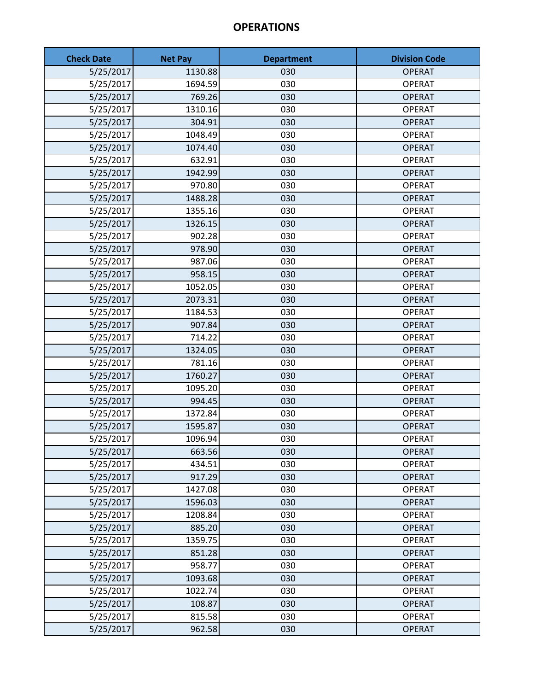| <b>Check Date</b> | <b>Net Pay</b> | <b>Department</b> | <b>Division Code</b> |
|-------------------|----------------|-------------------|----------------------|
| 5/25/2017         | 1130.88        | 030               | <b>OPERAT</b>        |
| 5/25/2017         | 1694.59        | 030               | <b>OPERAT</b>        |
| 5/25/2017         | 769.26         | 030               | <b>OPERAT</b>        |
| 5/25/2017         | 1310.16        | 030               | <b>OPERAT</b>        |
| 5/25/2017         | 304.91         | 030               | <b>OPERAT</b>        |
| 5/25/2017         | 1048.49        | 030               | <b>OPERAT</b>        |
| 5/25/2017         | 1074.40        | 030               | <b>OPERAT</b>        |
| 5/25/2017         | 632.91         | 030               | <b>OPERAT</b>        |
| 5/25/2017         | 1942.99        | 030               | <b>OPERAT</b>        |
| 5/25/2017         | 970.80         | 030               | <b>OPERAT</b>        |
| 5/25/2017         | 1488.28        | 030               | <b>OPERAT</b>        |
| 5/25/2017         | 1355.16        | 030               | <b>OPERAT</b>        |
| 5/25/2017         | 1326.15        | 030               | <b>OPERAT</b>        |
| 5/25/2017         | 902.28         | 030               | <b>OPERAT</b>        |
| 5/25/2017         | 978.90         | 030               | <b>OPERAT</b>        |
| 5/25/2017         | 987.06         | 030               | <b>OPERAT</b>        |
| 5/25/2017         | 958.15         | 030               | <b>OPERAT</b>        |
| 5/25/2017         | 1052.05        | 030               | <b>OPERAT</b>        |
| 5/25/2017         | 2073.31        | 030               | <b>OPERAT</b>        |
| 5/25/2017         | 1184.53        | 030               | <b>OPERAT</b>        |
| 5/25/2017         | 907.84         | 030               | <b>OPERAT</b>        |
| 5/25/2017         | 714.22         | 030               | <b>OPERAT</b>        |
| 5/25/2017         | 1324.05        | 030               | <b>OPERAT</b>        |
| 5/25/2017         | 781.16         | 030               | <b>OPERAT</b>        |
| 5/25/2017         | 1760.27        | 030               | <b>OPERAT</b>        |
| 5/25/2017         | 1095.20        | 030               | <b>OPERAT</b>        |
| 5/25/2017         | 994.45         | 030               | <b>OPERAT</b>        |
| 5/25/2017         | 1372.84        | 030               | <b>OPERAT</b>        |
| 5/25/2017         | 1595.87        | 030               | <b>OPERAT</b>        |
| 5/25/2017         | 1096.94        | 030               | <b>OPERAT</b>        |
| 5/25/2017         | 663.56         | 030               | <b>OPERAT</b>        |
| 5/25/2017         | 434.51         | 030               | <b>OPERAT</b>        |
| 5/25/2017         | 917.29         | 030               | <b>OPERAT</b>        |
| 5/25/2017         | 1427.08        | 030               | <b>OPERAT</b>        |
| 5/25/2017         | 1596.03        | 030               | <b>OPERAT</b>        |
| 5/25/2017         | 1208.84        | 030               | <b>OPERAT</b>        |
| 5/25/2017         | 885.20         | 030               | <b>OPERAT</b>        |
| 5/25/2017         | 1359.75        | 030               | <b>OPERAT</b>        |
| 5/25/2017         | 851.28         | 030               | <b>OPERAT</b>        |
| 5/25/2017         | 958.77         | 030               | <b>OPERAT</b>        |
| 5/25/2017         | 1093.68        | 030               | <b>OPERAT</b>        |
| 5/25/2017         | 1022.74        | 030               | <b>OPERAT</b>        |
| 5/25/2017         | 108.87         | 030               | <b>OPERAT</b>        |
| 5/25/2017         | 815.58         | 030               | <b>OPERAT</b>        |
| 5/25/2017         | 962.58         | 030               | <b>OPERAT</b>        |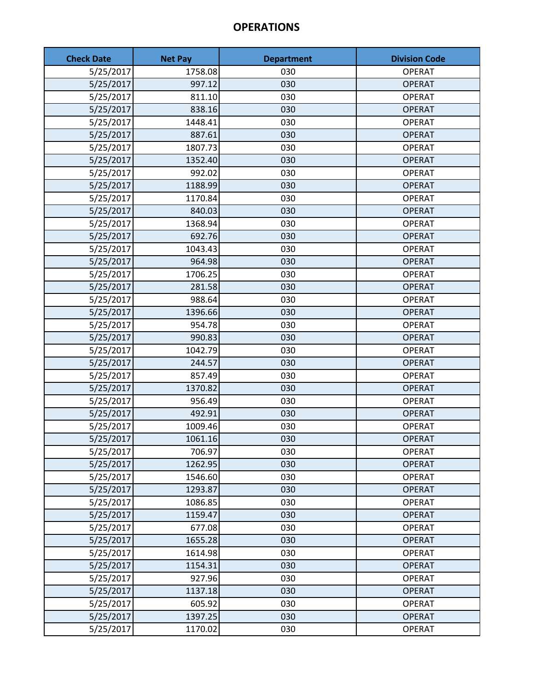| <b>Check Date</b> | <b>Net Pay</b> | <b>Department</b> | <b>Division Code</b> |
|-------------------|----------------|-------------------|----------------------|
| 5/25/2017         | 1758.08        | 030               | <b>OPERAT</b>        |
| 5/25/2017         | 997.12         | 030               | <b>OPERAT</b>        |
| 5/25/2017         | 811.10         | 030               | <b>OPERAT</b>        |
| 5/25/2017         | 838.16         | 030               | <b>OPERAT</b>        |
| 5/25/2017         | 1448.41        | 030               | <b>OPERAT</b>        |
| 5/25/2017         | 887.61         | 030               | <b>OPERAT</b>        |
| 5/25/2017         | 1807.73        | 030               | <b>OPERAT</b>        |
| 5/25/2017         | 1352.40        | 030               | <b>OPERAT</b>        |
| 5/25/2017         | 992.02         | 030               | <b>OPERAT</b>        |
| 5/25/2017         | 1188.99        | 030               | <b>OPERAT</b>        |
| 5/25/2017         | 1170.84        | 030               | <b>OPERAT</b>        |
| 5/25/2017         | 840.03         | 030               | <b>OPERAT</b>        |
| 5/25/2017         | 1368.94        | 030               | <b>OPERAT</b>        |
| 5/25/2017         | 692.76         | 030               | <b>OPERAT</b>        |
| 5/25/2017         | 1043.43        | 030               | <b>OPERAT</b>        |
| 5/25/2017         | 964.98         | 030               | <b>OPERAT</b>        |
| 5/25/2017         | 1706.25        | 030               | <b>OPERAT</b>        |
| 5/25/2017         | 281.58         | 030               | <b>OPERAT</b>        |
| 5/25/2017         | 988.64         | 030               | <b>OPERAT</b>        |
| 5/25/2017         | 1396.66        | 030               | <b>OPERAT</b>        |
| 5/25/2017         | 954.78         | 030               | <b>OPERAT</b>        |
| 5/25/2017         | 990.83         | 030               | <b>OPERAT</b>        |
| 5/25/2017         | 1042.79        | 030               | <b>OPERAT</b>        |
| 5/25/2017         | 244.57         | 030               | <b>OPERAT</b>        |
| 5/25/2017         | 857.49         | 030               | <b>OPERAT</b>        |
| 5/25/2017         | 1370.82        | 030               | <b>OPERAT</b>        |
| 5/25/2017         | 956.49         | 030               | <b>OPERAT</b>        |
| 5/25/2017         | 492.91         | 030               | <b>OPERAT</b>        |
| 5/25/2017         | 1009.46        | 030               | <b>OPERAT</b>        |
| 5/25/2017         | 1061.16        | 030               | <b>OPERAT</b>        |
| 5/25/2017         | 706.97         | 030               | <b>OPERAT</b>        |
| 5/25/2017         | 1262.95        | 030               | <b>OPERAT</b>        |
| 5/25/2017         | 1546.60        | 030               | <b>OPERAT</b>        |
| 5/25/2017         | 1293.87        | 030               | <b>OPERAT</b>        |
| 5/25/2017         | 1086.85        | 030               | <b>OPERAT</b>        |
| 5/25/2017         | 1159.47        | 030               | <b>OPERAT</b>        |
| 5/25/2017         | 677.08         | 030               | <b>OPERAT</b>        |
| 5/25/2017         | 1655.28        | 030               | <b>OPERAT</b>        |
| 5/25/2017         | 1614.98        | 030               | <b>OPERAT</b>        |
| 5/25/2017         | 1154.31        | 030               | <b>OPERAT</b>        |
| 5/25/2017         | 927.96         | 030               | <b>OPERAT</b>        |
| 5/25/2017         | 1137.18        | 030               | <b>OPERAT</b>        |
| 5/25/2017         | 605.92         | 030               | <b>OPERAT</b>        |
| 5/25/2017         | 1397.25        | 030               | <b>OPERAT</b>        |
| 5/25/2017         | 1170.02        | 030               | <b>OPERAT</b>        |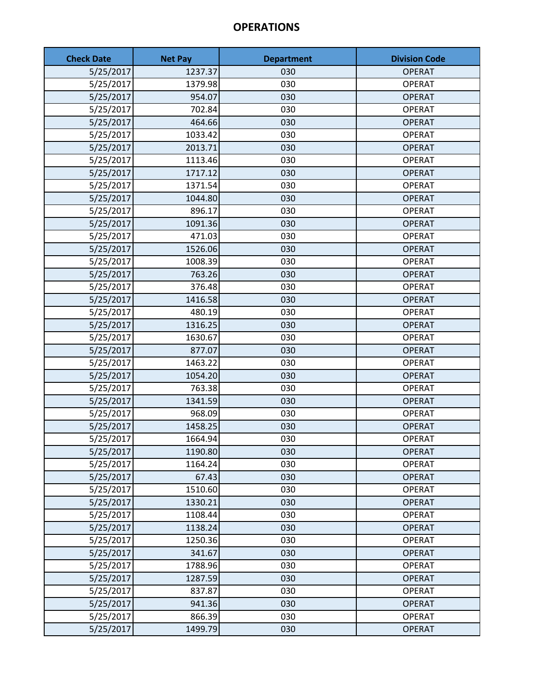| <b>Check Date</b> | <b>Net Pay</b> | <b>Department</b> | <b>Division Code</b> |
|-------------------|----------------|-------------------|----------------------|
| 5/25/2017         | 1237.37        | 030               | <b>OPERAT</b>        |
| 5/25/2017         | 1379.98        | 030               | <b>OPERAT</b>        |
| 5/25/2017         | 954.07         | 030               | <b>OPERAT</b>        |
| 5/25/2017         | 702.84         | 030               | <b>OPERAT</b>        |
| 5/25/2017         | 464.66         | 030               | <b>OPERAT</b>        |
| 5/25/2017         | 1033.42        | 030               | <b>OPERAT</b>        |
| 5/25/2017         | 2013.71        | 030               | <b>OPERAT</b>        |
| 5/25/2017         | 1113.46        | 030               | <b>OPERAT</b>        |
| 5/25/2017         | 1717.12        | 030               | <b>OPERAT</b>        |
| 5/25/2017         | 1371.54        | 030               | <b>OPERAT</b>        |
| 5/25/2017         | 1044.80        | 030               | <b>OPERAT</b>        |
| 5/25/2017         | 896.17         | 030               | <b>OPERAT</b>        |
| 5/25/2017         | 1091.36        | 030               | <b>OPERAT</b>        |
| 5/25/2017         | 471.03         | 030               | <b>OPERAT</b>        |
| 5/25/2017         | 1526.06        | 030               | <b>OPERAT</b>        |
| 5/25/2017         | 1008.39        | 030               | <b>OPERAT</b>        |
| 5/25/2017         | 763.26         | 030               | <b>OPERAT</b>        |
| 5/25/2017         | 376.48         | 030               | <b>OPERAT</b>        |
| 5/25/2017         | 1416.58        | 030               | <b>OPERAT</b>        |
| 5/25/2017         | 480.19         | 030               | <b>OPERAT</b>        |
| 5/25/2017         | 1316.25        | 030               | <b>OPERAT</b>        |
| 5/25/2017         | 1630.67        | 030               | <b>OPERAT</b>        |
| 5/25/2017         | 877.07         | 030               | <b>OPERAT</b>        |
| 5/25/2017         | 1463.22        | 030               | <b>OPERAT</b>        |
| 5/25/2017         | 1054.20        | 030               | <b>OPERAT</b>        |
| 5/25/2017         | 763.38         | 030               | <b>OPERAT</b>        |
| 5/25/2017         | 1341.59        | 030               | <b>OPERAT</b>        |
| 5/25/2017         | 968.09         | 030               | <b>OPERAT</b>        |
| 5/25/2017         | 1458.25        | 030               | <b>OPERAT</b>        |
| 5/25/2017         | 1664.94        | 030               | <b>OPERAT</b>        |
| 5/25/2017         | 1190.80        | 030               | <b>OPERAT</b>        |
| 5/25/2017         | 1164.24        | 030               | <b>OPERAT</b>        |
| 5/25/2017         | 67.43          | 030               | <b>OPERAT</b>        |
| 5/25/2017         | 1510.60        | 030               | <b>OPERAT</b>        |
| 5/25/2017         | 1330.21        | 030               | <b>OPERAT</b>        |
| 5/25/2017         | 1108.44        | 030               | <b>OPERAT</b>        |
| 5/25/2017         | 1138.24        | 030               | <b>OPERAT</b>        |
| 5/25/2017         | 1250.36        | 030               | <b>OPERAT</b>        |
| 5/25/2017         | 341.67         | 030               | <b>OPERAT</b>        |
| 5/25/2017         | 1788.96        | 030               | <b>OPERAT</b>        |
| 5/25/2017         | 1287.59        | 030               | <b>OPERAT</b>        |
| 5/25/2017         | 837.87         | 030               | <b>OPERAT</b>        |
| 5/25/2017         | 941.36         | 030               | <b>OPERAT</b>        |
| 5/25/2017         | 866.39         | 030               | <b>OPERAT</b>        |
| 5/25/2017         | 1499.79        | 030               | <b>OPERAT</b>        |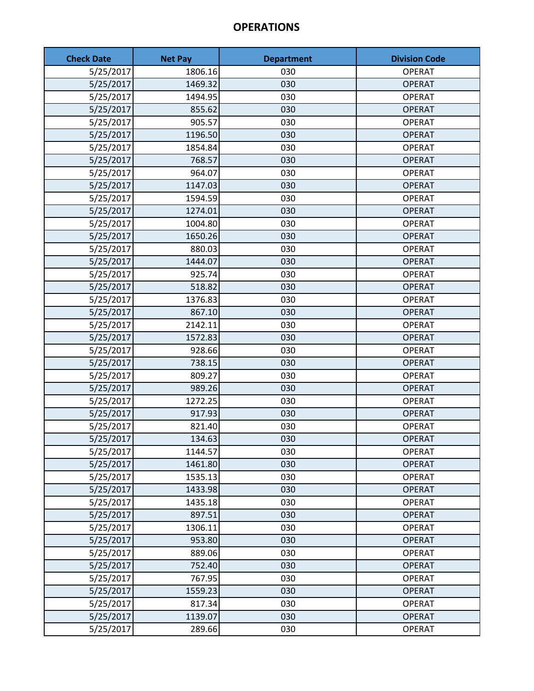| <b>Check Date</b> | <b>Net Pay</b> | <b>Department</b> | <b>Division Code</b> |
|-------------------|----------------|-------------------|----------------------|
| 5/25/2017         | 1806.16        | 030               | <b>OPERAT</b>        |
| 5/25/2017         | 1469.32        | 030               | <b>OPERAT</b>        |
| 5/25/2017         | 1494.95        | 030               | <b>OPERAT</b>        |
| 5/25/2017         | 855.62         | 030               | <b>OPERAT</b>        |
| 5/25/2017         | 905.57         | 030               | <b>OPERAT</b>        |
| 5/25/2017         | 1196.50        | 030               | <b>OPERAT</b>        |
| 5/25/2017         | 1854.84        | 030               | <b>OPERAT</b>        |
| 5/25/2017         | 768.57         | 030               | <b>OPERAT</b>        |
| 5/25/2017         | 964.07         | 030               | <b>OPERAT</b>        |
| 5/25/2017         | 1147.03        | 030               | <b>OPERAT</b>        |
| 5/25/2017         | 1594.59        | 030               | <b>OPERAT</b>        |
| 5/25/2017         | 1274.01        | 030               | <b>OPERAT</b>        |
| 5/25/2017         | 1004.80        | 030               | <b>OPERAT</b>        |
| 5/25/2017         | 1650.26        | 030               | <b>OPERAT</b>        |
| 5/25/2017         | 880.03         | 030               | <b>OPERAT</b>        |
| 5/25/2017         | 1444.07        | 030               | <b>OPERAT</b>        |
| 5/25/2017         | 925.74         | 030               | <b>OPERAT</b>        |
| 5/25/2017         | 518.82         | 030               | <b>OPERAT</b>        |
| 5/25/2017         | 1376.83        | 030               | <b>OPERAT</b>        |
| 5/25/2017         | 867.10         | 030               | <b>OPERAT</b>        |
| 5/25/2017         | 2142.11        | 030               | <b>OPERAT</b>        |
| 5/25/2017         | 1572.83        | 030               | <b>OPERAT</b>        |
| 5/25/2017         | 928.66         | 030               | <b>OPERAT</b>        |
| 5/25/2017         | 738.15         | 030               | <b>OPERAT</b>        |
| 5/25/2017         | 809.27         | 030               | <b>OPERAT</b>        |
| 5/25/2017         | 989.26         | 030               | <b>OPERAT</b>        |
| 5/25/2017         | 1272.25        | 030               | <b>OPERAT</b>        |
| 5/25/2017         | 917.93         | 030               | <b>OPERAT</b>        |
| 5/25/2017         | 821.40         | 030               | <b>OPERAT</b>        |
| 5/25/2017         | 134.63         | 030               | <b>OPERAT</b>        |
| 5/25/2017         | 1144.57        | 030               | <b>OPERAT</b>        |
| 5/25/2017         | 1461.80        | 030               | <b>OPERAT</b>        |
| 5/25/2017         | 1535.13        | 030               | <b>OPERAT</b>        |
| 5/25/2017         | 1433.98        | 030               | <b>OPERAT</b>        |
| 5/25/2017         | 1435.18        | 030               | <b>OPERAT</b>        |
| 5/25/2017         | 897.51         | 030               | <b>OPERAT</b>        |
| 5/25/2017         | 1306.11        | 030               | <b>OPERAT</b>        |
| 5/25/2017         | 953.80         | 030               | <b>OPERAT</b>        |
| 5/25/2017         | 889.06         | 030               | <b>OPERAT</b>        |
| 5/25/2017         | 752.40         | 030               | <b>OPERAT</b>        |
| 5/25/2017         | 767.95         | 030               | <b>OPERAT</b>        |
| 5/25/2017         | 1559.23        | 030               | <b>OPERAT</b>        |
| 5/25/2017         | 817.34         | 030               | <b>OPERAT</b>        |
| 5/25/2017         | 1139.07        | 030               | <b>OPERAT</b>        |
| 5/25/2017         | 289.66         | 030               | <b>OPERAT</b>        |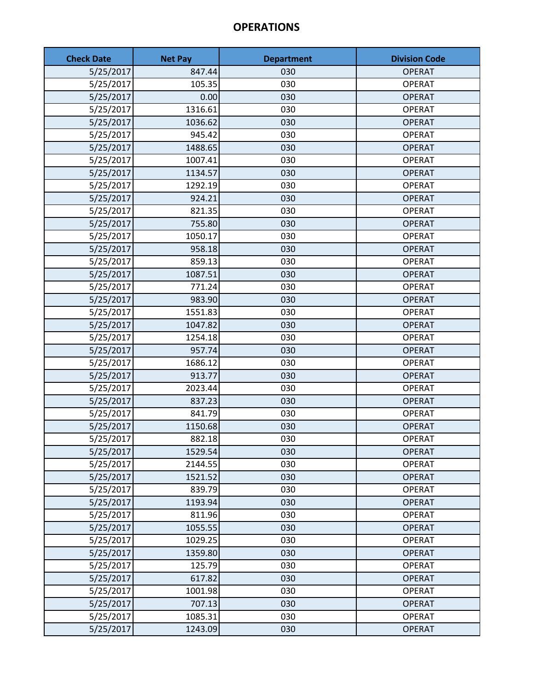| <b>Check Date</b> | <b>Net Pay</b> | <b>Department</b> | <b>Division Code</b> |
|-------------------|----------------|-------------------|----------------------|
| 5/25/2017         | 847.44         | 030               | <b>OPERAT</b>        |
| 5/25/2017         | 105.35         | 030               | <b>OPERAT</b>        |
| 5/25/2017         | 0.00           | 030               | <b>OPERAT</b>        |
| 5/25/2017         | 1316.61        | 030               | <b>OPERAT</b>        |
| 5/25/2017         | 1036.62        | 030               | <b>OPERAT</b>        |
| 5/25/2017         | 945.42         | 030               | <b>OPERAT</b>        |
| 5/25/2017         | 1488.65        | 030               | <b>OPERAT</b>        |
| 5/25/2017         | 1007.41        | 030               | <b>OPERAT</b>        |
| 5/25/2017         | 1134.57        | 030               | <b>OPERAT</b>        |
| 5/25/2017         | 1292.19        | 030               | <b>OPERAT</b>        |
| 5/25/2017         | 924.21         | 030               | <b>OPERAT</b>        |
| 5/25/2017         | 821.35         | 030               | <b>OPERAT</b>        |
| 5/25/2017         | 755.80         | 030               | <b>OPERAT</b>        |
| 5/25/2017         | 1050.17        | 030               | <b>OPERAT</b>        |
| 5/25/2017         | 958.18         | 030               | <b>OPERAT</b>        |
| 5/25/2017         | 859.13         | 030               | <b>OPERAT</b>        |
| 5/25/2017         | 1087.51        | 030               | <b>OPERAT</b>        |
| 5/25/2017         | 771.24         | 030               | <b>OPERAT</b>        |
| 5/25/2017         | 983.90         | 030               | <b>OPERAT</b>        |
| 5/25/2017         | 1551.83        | 030               | <b>OPERAT</b>        |
| 5/25/2017         | 1047.82        | 030               | <b>OPERAT</b>        |
| 5/25/2017         | 1254.18        | 030               | <b>OPERAT</b>        |
| 5/25/2017         | 957.74         | 030               | <b>OPERAT</b>        |
| 5/25/2017         | 1686.12        | 030               | <b>OPERAT</b>        |
| 5/25/2017         | 913.77         | 030               | <b>OPERAT</b>        |
| 5/25/2017         | 2023.44        | 030               | <b>OPERAT</b>        |
| 5/25/2017         | 837.23         | 030               | <b>OPERAT</b>        |
| 5/25/2017         | 841.79         | 030               | <b>OPERAT</b>        |
| 5/25/2017         | 1150.68        | 030               | <b>OPERAT</b>        |
| 5/25/2017         | 882.18         | 030               | <b>OPERAT</b>        |
| 5/25/2017         | 1529.54        | 030               | <b>OPERAT</b>        |
| 5/25/2017         | 2144.55        | 030               | <b>OPERAT</b>        |
| 5/25/2017         | 1521.52        | 030               | <b>OPERAT</b>        |
| 5/25/2017         | 839.79         | 030               | <b>OPERAT</b>        |
| 5/25/2017         | 1193.94        | 030               | <b>OPERAT</b>        |
| 5/25/2017         | 811.96         | 030               | <b>OPERAT</b>        |
| 5/25/2017         | 1055.55        | 030               | <b>OPERAT</b>        |
| 5/25/2017         | 1029.25        | 030               | <b>OPERAT</b>        |
| 5/25/2017         | 1359.80        | 030               | <b>OPERAT</b>        |
| 5/25/2017         | 125.79         | 030               | <b>OPERAT</b>        |
| 5/25/2017         | 617.82         | 030               | <b>OPERAT</b>        |
| 5/25/2017         | 1001.98        | 030               | <b>OPERAT</b>        |
| 5/25/2017         | 707.13         | 030               | <b>OPERAT</b>        |
| 5/25/2017         | 1085.31        | 030               | <b>OPERAT</b>        |
| 5/25/2017         | 1243.09        | 030               | <b>OPERAT</b>        |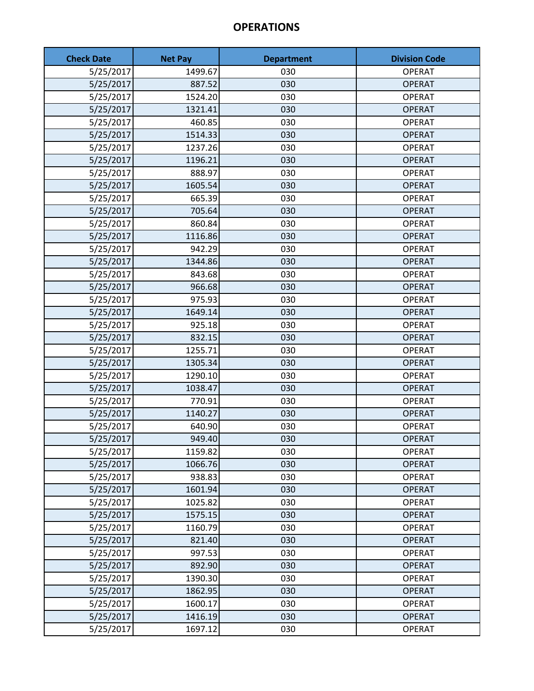| <b>Check Date</b> | <b>Net Pay</b> | <b>Department</b> | <b>Division Code</b> |
|-------------------|----------------|-------------------|----------------------|
| 5/25/2017         | 1499.67        | 030               | <b>OPERAT</b>        |
| 5/25/2017         | 887.52         | 030               | <b>OPERAT</b>        |
| 5/25/2017         | 1524.20        | 030               | <b>OPERAT</b>        |
| 5/25/2017         | 1321.41        | 030               | <b>OPERAT</b>        |
| 5/25/2017         | 460.85         | 030               | <b>OPERAT</b>        |
| 5/25/2017         | 1514.33        | 030               | <b>OPERAT</b>        |
| 5/25/2017         | 1237.26        | 030               | <b>OPERAT</b>        |
| 5/25/2017         | 1196.21        | 030               | <b>OPERAT</b>        |
| 5/25/2017         | 888.97         | 030               | <b>OPERAT</b>        |
| 5/25/2017         | 1605.54        | 030               | <b>OPERAT</b>        |
| 5/25/2017         | 665.39         | 030               | <b>OPERAT</b>        |
| 5/25/2017         | 705.64         | 030               | <b>OPERAT</b>        |
| 5/25/2017         | 860.84         | 030               | <b>OPERAT</b>        |
| 5/25/2017         | 1116.86        | 030               | <b>OPERAT</b>        |
| 5/25/2017         | 942.29         | 030               | <b>OPERAT</b>        |
| 5/25/2017         | 1344.86        | 030               | <b>OPERAT</b>        |
| 5/25/2017         | 843.68         | 030               | <b>OPERAT</b>        |
| 5/25/2017         | 966.68         | 030               | <b>OPERAT</b>        |
| 5/25/2017         | 975.93         | 030               | <b>OPERAT</b>        |
| 5/25/2017         | 1649.14        | 030               | <b>OPERAT</b>        |
| 5/25/2017         | 925.18         | 030               | <b>OPERAT</b>        |
| 5/25/2017         | 832.15         | 030               | <b>OPERAT</b>        |
| 5/25/2017         | 1255.71        | 030               | <b>OPERAT</b>        |
| 5/25/2017         | 1305.34        | 030               | <b>OPERAT</b>        |
| 5/25/2017         | 1290.10        | 030               | <b>OPERAT</b>        |
| 5/25/2017         | 1038.47        | 030               | <b>OPERAT</b>        |
| 5/25/2017         | 770.91         | 030               | <b>OPERAT</b>        |
| 5/25/2017         | 1140.27        | 030               | <b>OPERAT</b>        |
| 5/25/2017         | 640.90         | 030               | <b>OPERAT</b>        |
| 5/25/2017         | 949.40         | 030               | <b>OPERAT</b>        |
| 5/25/2017         | 1159.82        | 030               | <b>OPERAT</b>        |
| 5/25/2017         | 1066.76        | 030               | <b>OPERAT</b>        |
| 5/25/2017         | 938.83         | 030               | <b>OPERAT</b>        |
| 5/25/2017         | 1601.94        | 030               | <b>OPERAT</b>        |
| 5/25/2017         | 1025.82        | 030               | <b>OPERAT</b>        |
| 5/25/2017         | 1575.15        | 030               | <b>OPERAT</b>        |
| 5/25/2017         | 1160.79        | 030               | <b>OPERAT</b>        |
| 5/25/2017         | 821.40         | 030               | <b>OPERAT</b>        |
| 5/25/2017         | 997.53         | 030               | <b>OPERAT</b>        |
| 5/25/2017         | 892.90         | 030               | <b>OPERAT</b>        |
| 5/25/2017         | 1390.30        | 030               | <b>OPERAT</b>        |
| 5/25/2017         | 1862.95        | 030               | <b>OPERAT</b>        |
| 5/25/2017         | 1600.17        | 030               | <b>OPERAT</b>        |
| 5/25/2017         | 1416.19        | 030               | <b>OPERAT</b>        |
| 5/25/2017         | 1697.12        | 030               | <b>OPERAT</b>        |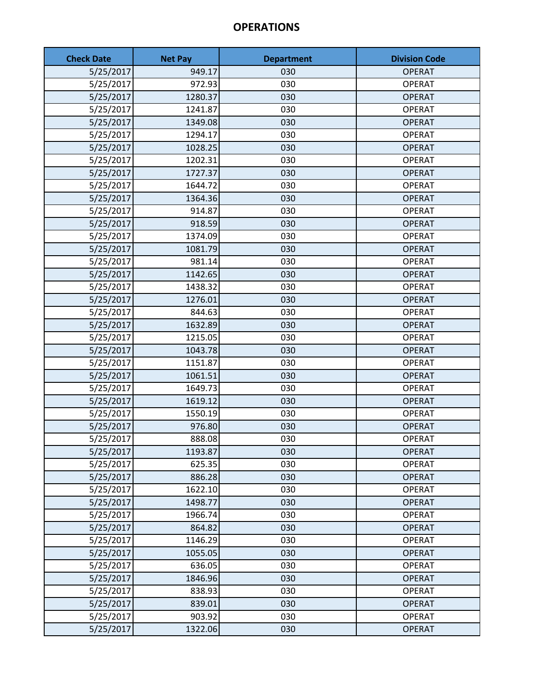| <b>Check Date</b> | <b>Net Pay</b> | <b>Department</b> | <b>Division Code</b> |
|-------------------|----------------|-------------------|----------------------|
| 5/25/2017         | 949.17         | 030               | <b>OPERAT</b>        |
| 5/25/2017         | 972.93         | 030               | <b>OPERAT</b>        |
| 5/25/2017         | 1280.37        | 030               | <b>OPERAT</b>        |
| 5/25/2017         | 1241.87        | 030               | <b>OPERAT</b>        |
| 5/25/2017         | 1349.08        | 030               | <b>OPERAT</b>        |
| 5/25/2017         | 1294.17        | 030               | <b>OPERAT</b>        |
| 5/25/2017         | 1028.25        | 030               | <b>OPERAT</b>        |
| 5/25/2017         | 1202.31        | 030               | <b>OPERAT</b>        |
| 5/25/2017         | 1727.37        | 030               | <b>OPERAT</b>        |
| 5/25/2017         | 1644.72        | 030               | <b>OPERAT</b>        |
| 5/25/2017         | 1364.36        | 030               | <b>OPERAT</b>        |
| 5/25/2017         | 914.87         | 030               | <b>OPERAT</b>        |
| 5/25/2017         | 918.59         | 030               | <b>OPERAT</b>        |
| 5/25/2017         | 1374.09        | 030               | <b>OPERAT</b>        |
| 5/25/2017         | 1081.79        | 030               | <b>OPERAT</b>        |
| 5/25/2017         | 981.14         | 030               | <b>OPERAT</b>        |
| 5/25/2017         | 1142.65        | 030               | <b>OPERAT</b>        |
| 5/25/2017         | 1438.32        | 030               | <b>OPERAT</b>        |
| 5/25/2017         | 1276.01        | 030               | <b>OPERAT</b>        |
| 5/25/2017         | 844.63         | 030               | <b>OPERAT</b>        |
| 5/25/2017         | 1632.89        | 030               | <b>OPERAT</b>        |
| 5/25/2017         | 1215.05        | 030               | <b>OPERAT</b>        |
| 5/25/2017         | 1043.78        | 030               | <b>OPERAT</b>        |
| 5/25/2017         | 1151.87        | 030               | <b>OPERAT</b>        |
| 5/25/2017         | 1061.51        | 030               | <b>OPERAT</b>        |
| 5/25/2017         | 1649.73        | 030               | <b>OPERAT</b>        |
| 5/25/2017         | 1619.12        | 030               | <b>OPERAT</b>        |
| 5/25/2017         | 1550.19        | 030               | <b>OPERAT</b>        |
| 5/25/2017         | 976.80         | 030               | <b>OPERAT</b>        |
| 5/25/2017         | 888.08         | 030               | <b>OPERAT</b>        |
| 5/25/2017         | 1193.87        | 030               | <b>OPERAT</b>        |
| 5/25/2017         | 625.35         | 030               | <b>OPERAT</b>        |
| 5/25/2017         | 886.28         | 030               | <b>OPERAT</b>        |
| 5/25/2017         | 1622.10        | 030               | <b>OPERAT</b>        |
| 5/25/2017         | 1498.77        | 030               | <b>OPERAT</b>        |
| 5/25/2017         | 1966.74        | 030               | <b>OPERAT</b>        |
| 5/25/2017         | 864.82         | 030               | <b>OPERAT</b>        |
| 5/25/2017         | 1146.29        | 030               | <b>OPERAT</b>        |
| 5/25/2017         | 1055.05        | 030               | <b>OPERAT</b>        |
| 5/25/2017         | 636.05         | 030               | <b>OPERAT</b>        |
| 5/25/2017         | 1846.96        | 030               | <b>OPERAT</b>        |
| 5/25/2017         | 838.93         | 030               | <b>OPERAT</b>        |
| 5/25/2017         | 839.01         | 030               | <b>OPERAT</b>        |
| 5/25/2017         | 903.92         | 030               | <b>OPERAT</b>        |
| 5/25/2017         | 1322.06        | 030               | <b>OPERAT</b>        |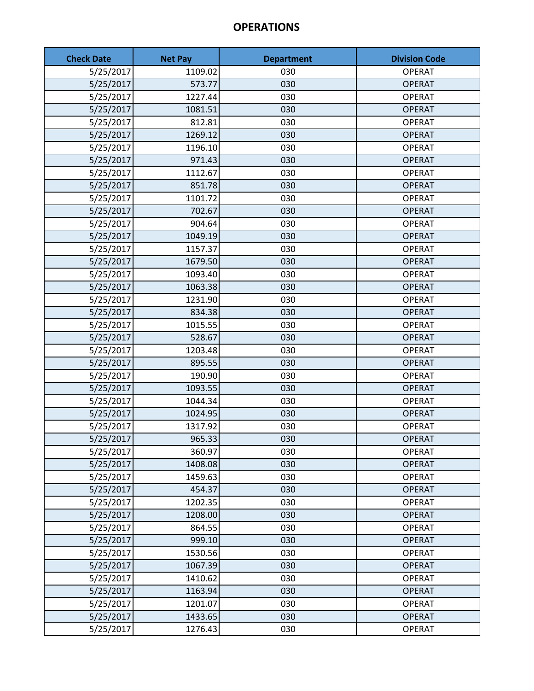| <b>Check Date</b> | <b>Net Pay</b> | <b>Department</b> | <b>Division Code</b> |
|-------------------|----------------|-------------------|----------------------|
| 5/25/2017         | 1109.02        | 030               | <b>OPERAT</b>        |
| 5/25/2017         | 573.77         | 030               | <b>OPERAT</b>        |
| 5/25/2017         | 1227.44        | 030               | <b>OPERAT</b>        |
| 5/25/2017         | 1081.51        | 030               | <b>OPERAT</b>        |
| 5/25/2017         | 812.81         | 030               | <b>OPERAT</b>        |
| 5/25/2017         | 1269.12        | 030               | <b>OPERAT</b>        |
| 5/25/2017         | 1196.10        | 030               | <b>OPERAT</b>        |
| 5/25/2017         | 971.43         | 030               | <b>OPERAT</b>        |
| 5/25/2017         | 1112.67        | 030               | <b>OPERAT</b>        |
| 5/25/2017         | 851.78         | 030               | <b>OPERAT</b>        |
| 5/25/2017         | 1101.72        | 030               | <b>OPERAT</b>        |
| 5/25/2017         | 702.67         | 030               | <b>OPERAT</b>        |
| 5/25/2017         | 904.64         | 030               | <b>OPERAT</b>        |
| 5/25/2017         | 1049.19        | 030               | <b>OPERAT</b>        |
| 5/25/2017         | 1157.37        | 030               | <b>OPERAT</b>        |
| 5/25/2017         | 1679.50        | 030               | <b>OPERAT</b>        |
| 5/25/2017         | 1093.40        | 030               | <b>OPERAT</b>        |
| 5/25/2017         | 1063.38        | 030               | <b>OPERAT</b>        |
| 5/25/2017         | 1231.90        | 030               | <b>OPERAT</b>        |
| 5/25/2017         | 834.38         | 030               | <b>OPERAT</b>        |
| 5/25/2017         | 1015.55        | 030               | <b>OPERAT</b>        |
| 5/25/2017         | 528.67         | 030               | <b>OPERAT</b>        |
| 5/25/2017         | 1203.48        | 030               | <b>OPERAT</b>        |
| 5/25/2017         | 895.55         | 030               | <b>OPERAT</b>        |
| 5/25/2017         | 190.90         | 030               | <b>OPERAT</b>        |
| 5/25/2017         | 1093.55        | 030               | <b>OPERAT</b>        |
| 5/25/2017         | 1044.34        | 030               | <b>OPERAT</b>        |
| 5/25/2017         | 1024.95        | 030               | <b>OPERAT</b>        |
| 5/25/2017         | 1317.92        | 030               | <b>OPERAT</b>        |
| 5/25/2017         | 965.33         | 030               | <b>OPERAT</b>        |
| 5/25/2017         | 360.97         | 030               | <b>OPERAT</b>        |
| 5/25/2017         | 1408.08        | 030               | <b>OPERAT</b>        |
| 5/25/2017         | 1459.63        | 030               | <b>OPERAT</b>        |
| 5/25/2017         | 454.37         | 030               | <b>OPERAT</b>        |
| 5/25/2017         | 1202.35        | 030               | <b>OPERAT</b>        |
| 5/25/2017         | 1208.00        | 030               | <b>OPERAT</b>        |
| 5/25/2017         | 864.55         | 030               | <b>OPERAT</b>        |
| 5/25/2017         | 999.10         | 030               | <b>OPERAT</b>        |
| 5/25/2017         | 1530.56        | 030               | <b>OPERAT</b>        |
| 5/25/2017         | 1067.39        | 030               | <b>OPERAT</b>        |
| 5/25/2017         | 1410.62        | 030               | <b>OPERAT</b>        |
| 5/25/2017         | 1163.94        | 030               | <b>OPERAT</b>        |
| 5/25/2017         | 1201.07        | 030               | <b>OPERAT</b>        |
| 5/25/2017         | 1433.65        | 030               | <b>OPERAT</b>        |
| 5/25/2017         | 1276.43        | 030               | <b>OPERAT</b>        |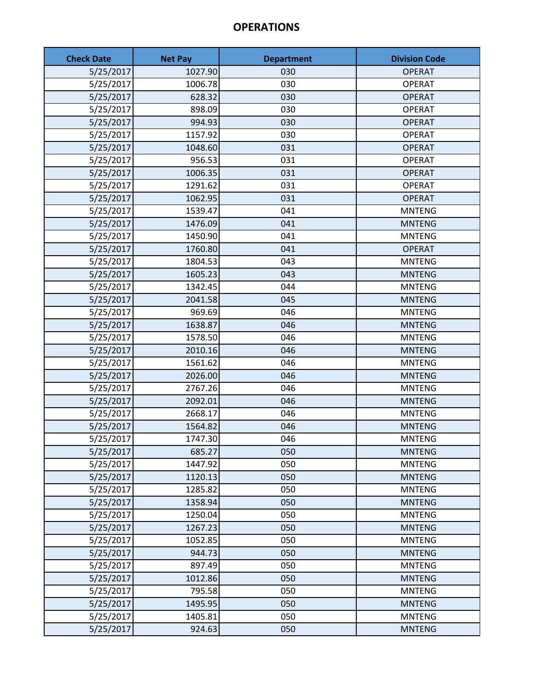| <b>Check Date</b> | <b>Net Pay</b> | <b>Department</b> | <b>Division Code</b> |
|-------------------|----------------|-------------------|----------------------|
| 5/25/2017         | 1027.90        | 030               | <b>OPERAT</b>        |
| 5/25/2017         | 1006.78        | 030               | <b>OPERAT</b>        |
| 5/25/2017         | 628.32         | 030               | <b>OPERAT</b>        |
| 5/25/2017         | 898.09         | 030               | <b>OPERAT</b>        |
| 5/25/2017         | 994.93         | 030               | <b>OPERAT</b>        |
| 5/25/2017         | 1157.92        | 030               | <b>OPERAT</b>        |
| 5/25/2017         | 1048.60        | 031               | <b>OPERAT</b>        |
| 5/25/2017         | 956.53         | 031               | <b>OPERAT</b>        |
| 5/25/2017         | 1006.35        | 031               | <b>OPERAT</b>        |
| 5/25/2017         | 1291.62        | 031               | <b>OPERAT</b>        |
| 5/25/2017         | 1062.95        | 031               | <b>OPERAT</b>        |
| 5/25/2017         | 1539.47        | 041               | <b>MNTENG</b>        |
| 5/25/2017         | 1476.09        | 041               | <b>MNTENG</b>        |
| 5/25/2017         | 1450.90        | 041               | <b>MNTENG</b>        |
| 5/25/2017         | 1760.80        | 041               | <b>OPERAT</b>        |
| 5/25/2017         | 1804.53        | 043               | <b>MNTENG</b>        |
| 5/25/2017         | 1605.23        | 043               | <b>MNTENG</b>        |
| 5/25/2017         | 1342.45        | 044               | <b>MNTENG</b>        |
| 5/25/2017         | 2041.58        | 045               | <b>MNTENG</b>        |
| 5/25/2017         | 969.69         | 046               | <b>MNTENG</b>        |
| 5/25/2017         | 1638.87        | 046               | <b>MNTENG</b>        |
| 5/25/2017         | 1578.50        | 046               | <b>MNTENG</b>        |
| 5/25/2017         | 2010.16        | 046               | <b>MNTENG</b>        |
| 5/25/2017         | 1561.62        | 046               | <b>MNTENG</b>        |
| 5/25/2017         | 2026.00        | 046               | <b>MNTENG</b>        |
| 5/25/2017         | 2767.26        | 046               | <b>MNTENG</b>        |
| 5/25/2017         | 2092.01        | 046               | <b>MNTENG</b>        |
| 5/25/2017         | 2668.17        | 046               | <b>MNTENG</b>        |
| 5/25/2017         | 1564.82        | 046               | <b>MNTENG</b>        |
| 5/25/2017         | 1747.30        | 046               | <b>MNTENG</b>        |
| 5/25/2017         | 685.27         | 050               | <b>MNTENG</b>        |
| 5/25/2017         | 1447.92        | 050               | <b>MNTENG</b>        |
| 5/25/2017         | 1120.13        | 050               | <b>MNTENG</b>        |
| 5/25/2017         | 1285.82        | 050               | <b>MNTENG</b>        |
| 5/25/2017         | 1358.94        | 050               | <b>MNTENG</b>        |
| 5/25/2017         | 1250.04        | 050               | <b>MNTENG</b>        |
| 5/25/2017         | 1267.23        | 050               | <b>MNTENG</b>        |
| 5/25/2017         | 1052.85        | 050               | <b>MNTENG</b>        |
| 5/25/2017         | 944.73         | 050               | <b>MNTENG</b>        |
| 5/25/2017         | 897.49         | 050               | <b>MNTENG</b>        |
| 5/25/2017         | 1012.86        | 050               | <b>MNTENG</b>        |
| 5/25/2017         | 795.58         | 050               | <b>MNTENG</b>        |
| 5/25/2017         | 1495.95        | 050               | <b>MNTENG</b>        |
| 5/25/2017         | 1405.81        | 050               | <b>MNTENG</b>        |
| 5/25/2017         | 924.63         | 050               | <b>MNTENG</b>        |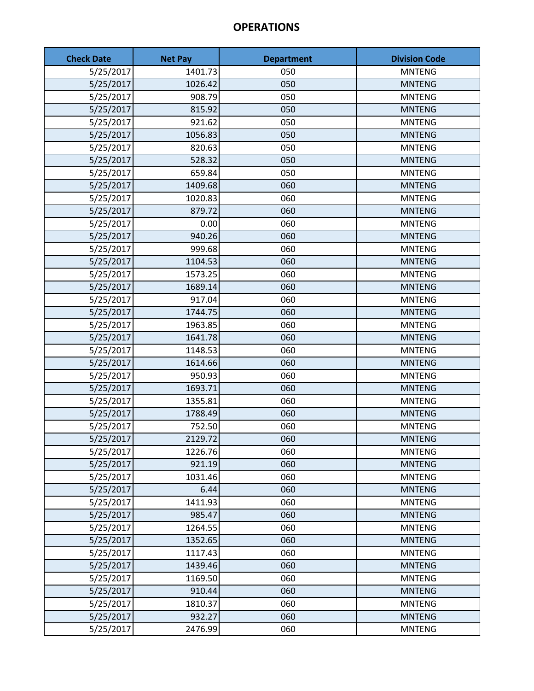| <b>Check Date</b> | <b>Net Pay</b> | <b>Department</b> | <b>Division Code</b> |
|-------------------|----------------|-------------------|----------------------|
| 5/25/2017         | 1401.73        | 050               | <b>MNTENG</b>        |
| 5/25/2017         | 1026.42        | 050               | <b>MNTENG</b>        |
| 5/25/2017         | 908.79         | 050               | <b>MNTENG</b>        |
| 5/25/2017         | 815.92         | 050               | <b>MNTENG</b>        |
| 5/25/2017         | 921.62         | 050               | <b>MNTENG</b>        |
| 5/25/2017         | 1056.83        | 050               | <b>MNTENG</b>        |
| 5/25/2017         | 820.63         | 050               | <b>MNTENG</b>        |
| 5/25/2017         | 528.32         | 050               | <b>MNTENG</b>        |
| 5/25/2017         | 659.84         | 050               | <b>MNTENG</b>        |
| 5/25/2017         | 1409.68        | 060               | <b>MNTENG</b>        |
| 5/25/2017         | 1020.83        | 060               | <b>MNTENG</b>        |
| 5/25/2017         | 879.72         | 060               | <b>MNTENG</b>        |
| 5/25/2017         | 0.00           | 060               | <b>MNTENG</b>        |
| 5/25/2017         | 940.26         | 060               | <b>MNTENG</b>        |
| 5/25/2017         | 999.68         | 060               | <b>MNTENG</b>        |
| 5/25/2017         | 1104.53        | 060               | <b>MNTENG</b>        |
| 5/25/2017         | 1573.25        | 060               | <b>MNTENG</b>        |
| 5/25/2017         | 1689.14        | 060               | <b>MNTENG</b>        |
| 5/25/2017         | 917.04         | 060               | <b>MNTENG</b>        |
| 5/25/2017         | 1744.75        | 060               | <b>MNTENG</b>        |
| 5/25/2017         | 1963.85        | 060               | <b>MNTENG</b>        |
| 5/25/2017         | 1641.78        | 060               | <b>MNTENG</b>        |
| 5/25/2017         | 1148.53        | 060               | <b>MNTENG</b>        |
| 5/25/2017         | 1614.66        | 060               | <b>MNTENG</b>        |
| 5/25/2017         | 950.93         | 060               | <b>MNTENG</b>        |
| 5/25/2017         | 1693.71        | 060               | <b>MNTENG</b>        |
| 5/25/2017         | 1355.81        | 060               | <b>MNTENG</b>        |
| 5/25/2017         | 1788.49        | 060               | <b>MNTENG</b>        |
| 5/25/2017         | 752.50         | 060               | <b>MNTENG</b>        |
| 5/25/2017         | 2129.72        | 060               | <b>MNTENG</b>        |
| 5/25/2017         | 1226.76        | 060               | <b>MNTENG</b>        |
| 5/25/2017         | 921.19         | 060               | <b>MNTENG</b>        |
| 5/25/2017         | 1031.46        | 060               | <b>MNTENG</b>        |
| 5/25/2017         | 6.44           | 060               | <b>MNTENG</b>        |
| 5/25/2017         | 1411.93        | 060               | <b>MNTENG</b>        |
| 5/25/2017         | 985.47         | 060               | <b>MNTENG</b>        |
| 5/25/2017         | 1264.55        | 060               | <b>MNTENG</b>        |
| 5/25/2017         | 1352.65        | 060               | <b>MNTENG</b>        |
| 5/25/2017         | 1117.43        | 060               | <b>MNTENG</b>        |
| 5/25/2017         | 1439.46        | 060               | <b>MNTENG</b>        |
| 5/25/2017         | 1169.50        | 060               | <b>MNTENG</b>        |
| 5/25/2017         | 910.44         | 060               | <b>MNTENG</b>        |
| 5/25/2017         | 1810.37        | 060               | <b>MNTENG</b>        |
| 5/25/2017         | 932.27         | 060               | <b>MNTENG</b>        |
| 5/25/2017         | 2476.99        | 060               | <b>MNTENG</b>        |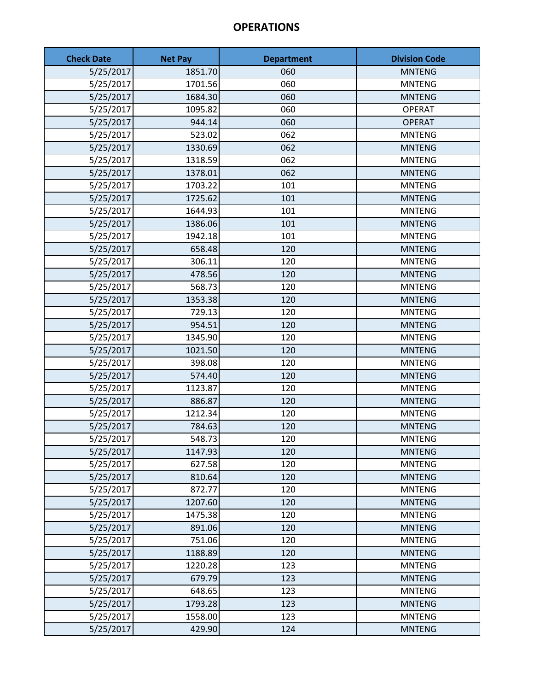| <b>Check Date</b> | <b>Net Pay</b> | <b>Department</b> | <b>Division Code</b> |
|-------------------|----------------|-------------------|----------------------|
| 5/25/2017         | 1851.70        | 060               | <b>MNTENG</b>        |
| 5/25/2017         | 1701.56        | 060               | <b>MNTENG</b>        |
| 5/25/2017         | 1684.30        | 060               | <b>MNTENG</b>        |
| 5/25/2017         | 1095.82        | 060               | <b>OPERAT</b>        |
| 5/25/2017         | 944.14         | 060               | <b>OPERAT</b>        |
| 5/25/2017         | 523.02         | 062               | <b>MNTENG</b>        |
| 5/25/2017         | 1330.69        | 062               | <b>MNTENG</b>        |
| 5/25/2017         | 1318.59        | 062               | <b>MNTENG</b>        |
| 5/25/2017         | 1378.01        | 062               | <b>MNTENG</b>        |
| 5/25/2017         | 1703.22        | 101               | <b>MNTENG</b>        |
| 5/25/2017         | 1725.62        | 101               | <b>MNTENG</b>        |
| 5/25/2017         | 1644.93        | 101               | <b>MNTENG</b>        |
| 5/25/2017         | 1386.06        | 101               | <b>MNTENG</b>        |
| 5/25/2017         | 1942.18        | 101               | <b>MNTENG</b>        |
| 5/25/2017         | 658.48         | 120               | <b>MNTENG</b>        |
| 5/25/2017         | 306.11         | 120               | <b>MNTENG</b>        |
| 5/25/2017         | 478.56         | 120               | <b>MNTENG</b>        |
| 5/25/2017         | 568.73         | 120               | <b>MNTENG</b>        |
| 5/25/2017         | 1353.38        | 120               | <b>MNTENG</b>        |
| 5/25/2017         | 729.13         | 120               | <b>MNTENG</b>        |
| 5/25/2017         | 954.51         | 120               | <b>MNTENG</b>        |
| 5/25/2017         | 1345.90        | 120               | <b>MNTENG</b>        |
| 5/25/2017         | 1021.50        | 120               | <b>MNTENG</b>        |
| 5/25/2017         | 398.08         | 120               | <b>MNTENG</b>        |
| 5/25/2017         | 574.40         | 120               | <b>MNTENG</b>        |
| 5/25/2017         | 1123.87        | 120               | <b>MNTENG</b>        |
| 5/25/2017         | 886.87         | 120               | <b>MNTENG</b>        |
| 5/25/2017         | 1212.34        | 120               | <b>MNTENG</b>        |
| 5/25/2017         | 784.63         | 120               | <b>MNTENG</b>        |
| 5/25/2017         | 548.73         | 120               | <b>MNTENG</b>        |
| 5/25/2017         | 1147.93        | 120               | <b>MNTENG</b>        |
| 5/25/2017         | 627.58         | 120               | <b>MNTENG</b>        |
| 5/25/2017         | 810.64         | 120               | <b>MNTENG</b>        |
| 5/25/2017         | 872.77         | 120               | <b>MNTENG</b>        |
| 5/25/2017         | 1207.60        | 120               | <b>MNTENG</b>        |
| 5/25/2017         | 1475.38        | 120               | <b>MNTENG</b>        |
| 5/25/2017         | 891.06         | 120               | <b>MNTENG</b>        |
| 5/25/2017         | 751.06         | 120               | <b>MNTENG</b>        |
| 5/25/2017         | 1188.89        | 120               | <b>MNTENG</b>        |
| 5/25/2017         | 1220.28        | 123               | <b>MNTENG</b>        |
| 5/25/2017         | 679.79         | 123               | <b>MNTENG</b>        |
| 5/25/2017         | 648.65         | 123               | <b>MNTENG</b>        |
| 5/25/2017         | 1793.28        | 123               | <b>MNTENG</b>        |
| 5/25/2017         | 1558.00        | 123               | <b>MNTENG</b>        |
| 5/25/2017         | 429.90         | 124               | <b>MNTENG</b>        |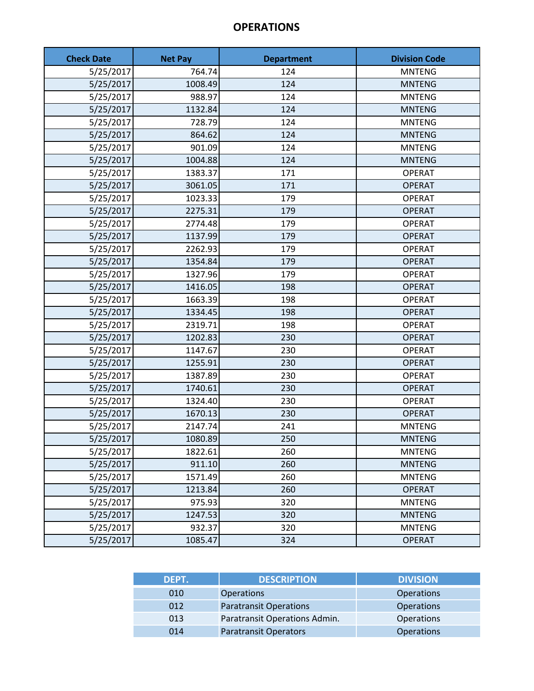| <b>Check Date</b> | <b>Net Pay</b> | <b>Department</b> | <b>Division Code</b> |
|-------------------|----------------|-------------------|----------------------|
| 5/25/2017         | 764.74         | 124               | <b>MNTENG</b>        |
| 5/25/2017         | 1008.49        | 124               | <b>MNTENG</b>        |
| 5/25/2017         | 988.97         | 124               | <b>MNTENG</b>        |
| 5/25/2017         | 1132.84        | 124               | <b>MNTENG</b>        |
| 5/25/2017         | 728.79         | 124               | <b>MNTENG</b>        |
| 5/25/2017         | 864.62         | 124               | <b>MNTENG</b>        |
| 5/25/2017         | 901.09         | 124               | <b>MNTENG</b>        |
| 5/25/2017         | 1004.88        | 124               | <b>MNTENG</b>        |
| 5/25/2017         | 1383.37        | 171               | <b>OPERAT</b>        |
| 5/25/2017         | 3061.05        | 171               | <b>OPERAT</b>        |
| 5/25/2017         | 1023.33        | 179               | <b>OPERAT</b>        |
| 5/25/2017         | 2275.31        | 179               | <b>OPERAT</b>        |
| 5/25/2017         | 2774.48        | 179               | <b>OPERAT</b>        |
| 5/25/2017         | 1137.99        | 179               | <b>OPERAT</b>        |
| 5/25/2017         | 2262.93        | 179               | <b>OPERAT</b>        |
| 5/25/2017         | 1354.84        | 179               | <b>OPERAT</b>        |
| 5/25/2017         | 1327.96        | 179               | <b>OPERAT</b>        |
| 5/25/2017         | 1416.05        | 198               | <b>OPERAT</b>        |
| 5/25/2017         | 1663.39        | 198               | <b>OPERAT</b>        |
| 5/25/2017         | 1334.45        | 198               | <b>OPERAT</b>        |
| 5/25/2017         | 2319.71        | 198               | <b>OPERAT</b>        |
| 5/25/2017         | 1202.83        | 230               | <b>OPERAT</b>        |
| 5/25/2017         | 1147.67        | 230               | <b>OPERAT</b>        |
| 5/25/2017         | 1255.91        | 230               | <b>OPERAT</b>        |
| 5/25/2017         | 1387.89        | 230               | <b>OPERAT</b>        |
| 5/25/2017         | 1740.61        | 230               | <b>OPERAT</b>        |
| 5/25/2017         | 1324.40        | 230               | <b>OPERAT</b>        |
| 5/25/2017         | 1670.13        | 230               | <b>OPERAT</b>        |
| 5/25/2017         | 2147.74        | 241               | <b>MNTENG</b>        |
| 5/25/2017         | 1080.89        | 250               | <b>MNTENG</b>        |
| 5/25/2017         | 1822.61        | 260               | <b>MNTENG</b>        |
| 5/25/2017         | 911.10         | 260               | <b>MNTENG</b>        |
| 5/25/2017         | 1571.49        | 260               | <b>MNTENG</b>        |
| 5/25/2017         | 1213.84        | 260               | <b>OPERAT</b>        |
| 5/25/2017         | 975.93         | 320               | <b>MNTENG</b>        |
| 5/25/2017         | 1247.53        | 320               | <b>MNTENG</b>        |
| 5/25/2017         | 932.37         | 320               | <b>MNTENG</b>        |
| 5/25/2017         | 1085.47        | 324               | <b>OPERAT</b>        |

| DEPT. | <b>DESCRIPTION</b>            | <b>DIVISION</b>   |
|-------|-------------------------------|-------------------|
| 010   | <b>Operations</b>             | <b>Operations</b> |
| 012   | <b>Paratransit Operations</b> | <b>Operations</b> |
| 013   | Paratransit Operations Admin. | Operations        |
| 014   | <b>Paratransit Operators</b>  | <b>Operations</b> |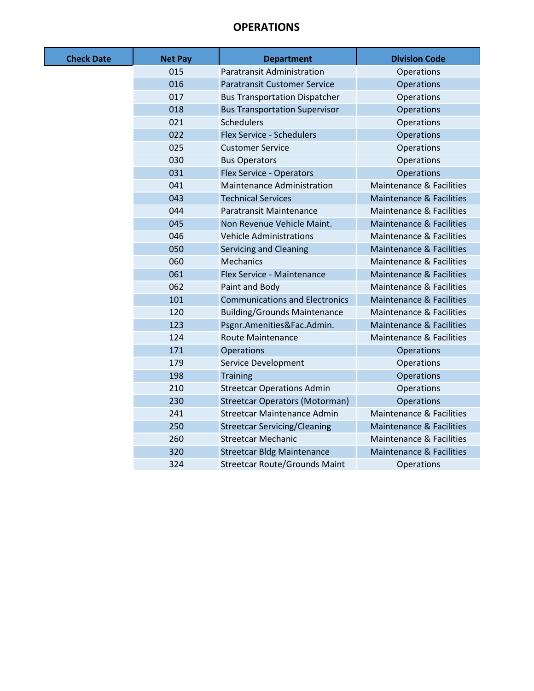| <b>Check Date</b> | <b>Net Pay</b> | <b>Department</b>                     | <b>Division Code</b>                |
|-------------------|----------------|---------------------------------------|-------------------------------------|
|                   | 015            | <b>Paratransit Administration</b>     | Operations                          |
|                   | 016            | <b>Paratransit Customer Service</b>   | <b>Operations</b>                   |
|                   | 017            | <b>Bus Transportation Dispatcher</b>  | Operations                          |
|                   | 018            | <b>Bus Transportation Supervisor</b>  | Operations                          |
|                   | 021            | <b>Schedulers</b>                     | Operations                          |
|                   | 022            | <b>Flex Service - Schedulers</b>      | <b>Operations</b>                   |
|                   | 025            | <b>Customer Service</b>               | Operations                          |
|                   | 030            | <b>Bus Operators</b>                  | Operations                          |
|                   | 031            | Flex Service - Operators              | <b>Operations</b>                   |
|                   | 041            | Maintenance Administration            | <b>Maintenance &amp; Facilities</b> |
|                   | 043            | <b>Technical Services</b>             | <b>Maintenance &amp; Facilities</b> |
|                   | 044            | Paratransit Maintenance               | <b>Maintenance &amp; Facilities</b> |
|                   | 045            | Non Revenue Vehicle Maint.            | <b>Maintenance &amp; Facilities</b> |
|                   | 046            | <b>Vehicle Administrations</b>        | Maintenance & Facilities            |
|                   | 050            | <b>Servicing and Cleaning</b>         | <b>Maintenance &amp; Facilities</b> |
|                   | 060            | <b>Mechanics</b>                      | <b>Maintenance &amp; Facilities</b> |
|                   | 061            | Flex Service - Maintenance            | <b>Maintenance &amp; Facilities</b> |
|                   | 062            | Paint and Body                        | <b>Maintenance &amp; Facilities</b> |
|                   | 101            | <b>Communications and Electronics</b> | <b>Maintenance &amp; Facilities</b> |
|                   | 120            | <b>Building/Grounds Maintenance</b>   | <b>Maintenance &amp; Facilities</b> |
|                   | 123            | Psgnr.Amenities&Fac.Admin.            | <b>Maintenance &amp; Facilities</b> |
|                   | 124            | <b>Route Maintenance</b>              | <b>Maintenance &amp; Facilities</b> |
|                   | 171            | <b>Operations</b>                     | Operations                          |
|                   | 179            | Service Development                   | Operations                          |
|                   | 198            | <b>Training</b>                       | Operations                          |
|                   | 210            | <b>Streetcar Operations Admin</b>     | Operations                          |
|                   | 230            | <b>Streetcar Operators (Motorman)</b> | <b>Operations</b>                   |
|                   | 241            | <b>Streetcar Maintenance Admin</b>    | <b>Maintenance &amp; Facilities</b> |
|                   | 250            | <b>Streetcar Servicing/Cleaning</b>   | <b>Maintenance &amp; Facilities</b> |
|                   | 260            | <b>Streetcar Mechanic</b>             | <b>Maintenance &amp; Facilities</b> |
|                   | 320            | <b>Streetcar Bldg Maintenance</b>     | <b>Maintenance &amp; Facilities</b> |
|                   | 324            | <b>Streetcar Route/Grounds Maint</b>  | Operations                          |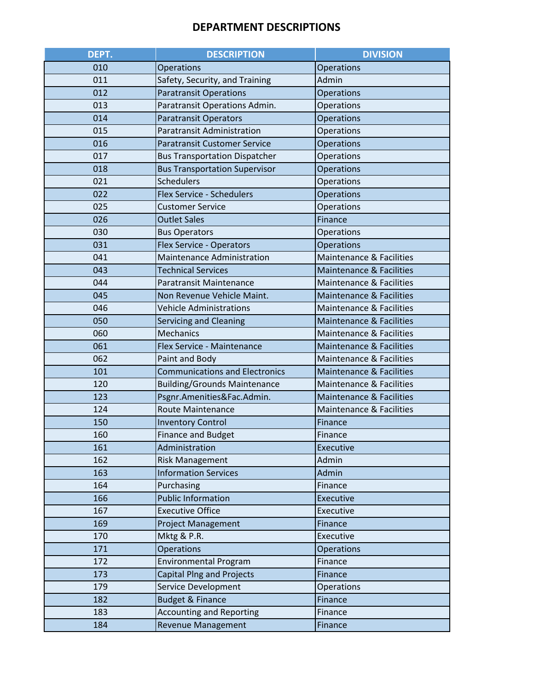#### **DEPARTMENT DESCRIPTIONS**

| DEPT. | <b>DESCRIPTION</b>                    | <b>DIVISION</b>                     |
|-------|---------------------------------------|-------------------------------------|
| 010   | <b>Operations</b>                     | Operations                          |
| 011   | Safety, Security, and Training        | Admin                               |
| 012   | <b>Paratransit Operations</b>         | Operations                          |
| 013   | Paratransit Operations Admin.         | <b>Operations</b>                   |
| 014   | <b>Paratransit Operators</b>          | <b>Operations</b>                   |
| 015   | <b>Paratransit Administration</b>     | <b>Operations</b>                   |
| 016   | <b>Paratransit Customer Service</b>   | <b>Operations</b>                   |
| 017   | <b>Bus Transportation Dispatcher</b>  | <b>Operations</b>                   |
| 018   | <b>Bus Transportation Supervisor</b>  | <b>Operations</b>                   |
| 021   | <b>Schedulers</b>                     | Operations                          |
| 022   | <b>Flex Service - Schedulers</b>      | <b>Operations</b>                   |
| 025   | <b>Customer Service</b>               | Operations                          |
| 026   | <b>Outlet Sales</b>                   | Finance                             |
| 030   | <b>Bus Operators</b>                  | <b>Operations</b>                   |
| 031   | <b>Flex Service - Operators</b>       | <b>Operations</b>                   |
| 041   | Maintenance Administration            | Maintenance & Facilities            |
| 043   | <b>Technical Services</b>             | <b>Maintenance &amp; Facilities</b> |
| 044   | Paratransit Maintenance               | <b>Maintenance &amp; Facilities</b> |
| 045   | Non Revenue Vehicle Maint.            | Maintenance & Facilities            |
| 046   | <b>Vehicle Administrations</b>        | Maintenance & Facilities            |
| 050   | <b>Servicing and Cleaning</b>         | <b>Maintenance &amp; Facilities</b> |
| 060   | <b>Mechanics</b>                      | Maintenance & Facilities            |
| 061   | Flex Service - Maintenance            | <b>Maintenance &amp; Facilities</b> |
| 062   | Paint and Body                        | Maintenance & Facilities            |
| 101   | <b>Communications and Electronics</b> | <b>Maintenance &amp; Facilities</b> |
| 120   | <b>Building/Grounds Maintenance</b>   | Maintenance & Facilities            |
| 123   | Psgnr.Amenities&Fac.Admin.            | <b>Maintenance &amp; Facilities</b> |
| 124   | <b>Route Maintenance</b>              | <b>Maintenance &amp; Facilities</b> |
| 150   | <b>Inventory Control</b>              | Finance                             |
| 160   | <b>Finance and Budget</b>             | Finance                             |
| 161   | Administration                        | Executive                           |
| 162   | <b>Risk Management</b>                | Admin                               |
| 163   | <b>Information Services</b>           | Admin                               |
| 164   | Purchasing                            | Finance                             |
| 166   | <b>Public Information</b>             | <b>Executive</b>                    |
| 167   | <b>Executive Office</b>               | Executive                           |
| 169   | <b>Project Management</b>             | Finance                             |
| 170   | Mktg & P.R.                           | Executive                           |
| 171   | <b>Operations</b>                     | <b>Operations</b>                   |
| 172   | <b>Environmental Program</b>          | Finance                             |
| 173   | <b>Capital Plng and Projects</b>      | Finance                             |
| 179   | Service Development                   | <b>Operations</b>                   |
| 182   | <b>Budget &amp; Finance</b>           | Finance                             |
| 183   | <b>Accounting and Reporting</b>       | Finance                             |
| 184   | <b>Revenue Management</b>             | Finance                             |